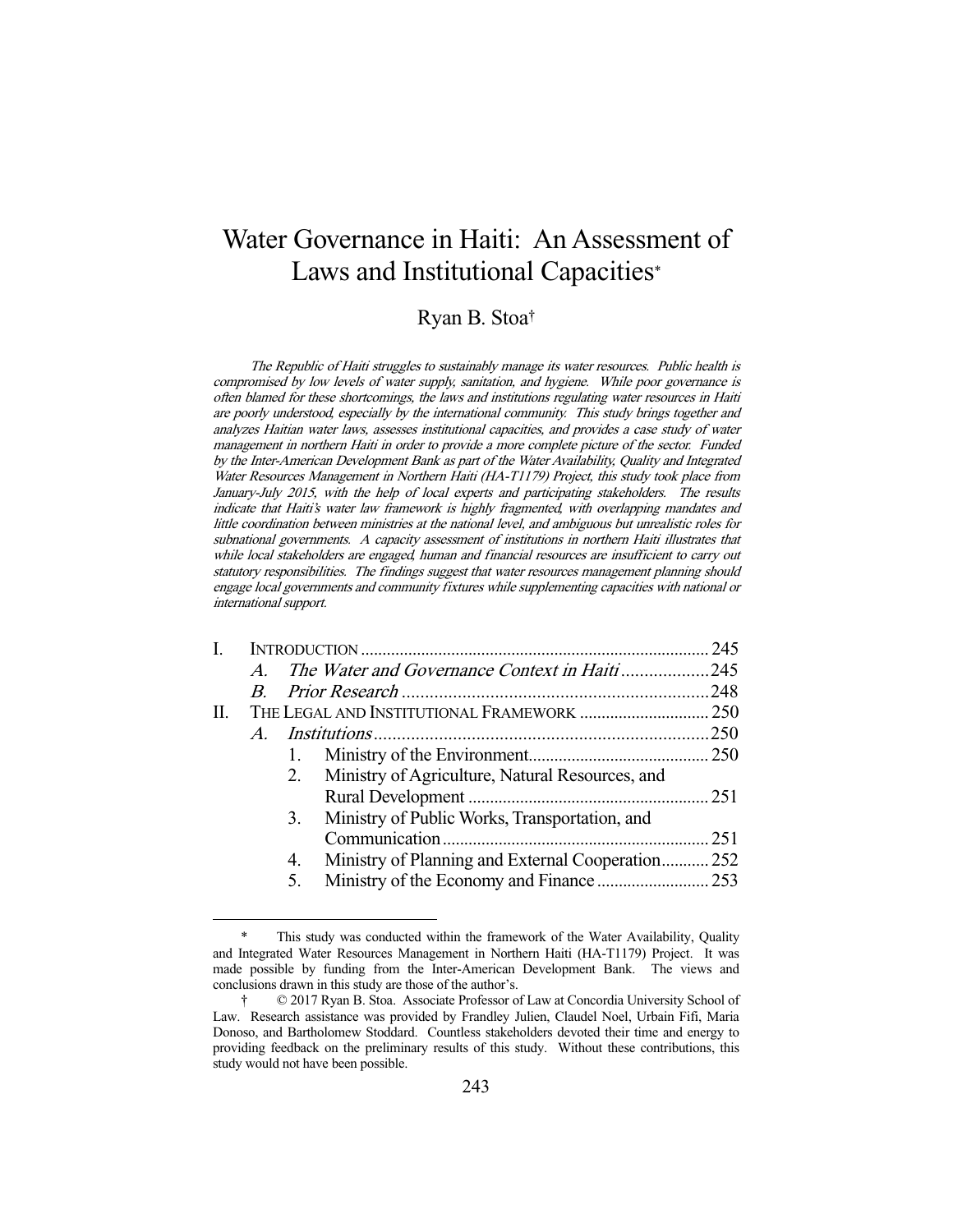# Water Governance in Haiti: An Assessment of Laws and Institutional Capacities\*

# Ryan B. Stoa†

The Republic of Haiti struggles to sustainably manage its water resources. Public health is compromised by low levels of water supply, sanitation, and hygiene. While poor governance is often blamed for these shortcomings, the laws and institutions regulating water resources in Haiti are poorly understood, especially by the international community. This study brings together and analyzes Haitian water laws, assesses institutional capacities, and provides a case study of water management in northern Haiti in order to provide a more complete picture of the sector. Funded by the Inter-American Development Bank as part of the Water Availability, Quality and Integrated Water Resources Management in Northern Haiti (HA-T1179) Project, this study took place from January-July 2015, with the help of local experts and participating stakeholders. The results indicate that Haiti's water law framework is highly fragmented, with overlapping mandates and little coordination between ministries at the national level, and ambiguous but unrealistic roles for subnational governments. A capacity assessment of institutions in northern Haiti illustrates that while local stakeholders are engaged, human and financial resources are insufficient to carry out statutory responsibilities. The findings suggest that water resources management planning should engage local governments and community fixtures while supplementing capacities with national or international support.

| L. |                  |    |                                                   |  |
|----|------------------|----|---------------------------------------------------|--|
|    | $\boldsymbol{A}$ |    | The Water and Governance Context in Haiti245      |  |
|    | $B_{-}$          |    |                                                   |  |
| П. |                  |    |                                                   |  |
|    |                  |    |                                                   |  |
|    |                  |    |                                                   |  |
|    |                  | 2. | Ministry of Agriculture, Natural Resources, and   |  |
|    |                  |    |                                                   |  |
|    |                  | 3. | Ministry of Public Works, Transportation, and     |  |
|    |                  |    |                                                   |  |
|    |                  | 4. | Ministry of Planning and External Cooperation 252 |  |
|    |                  | 5. |                                                   |  |
|    |                  |    |                                                   |  |

 <sup>\*</sup> This study was conducted within the framework of the Water Availability, Quality and Integrated Water Resources Management in Northern Haiti (HA-T1179) Project. It was made possible by funding from the Inter-American Development Bank. The views and conclusions drawn in this study are those of the author's.

 <sup>† © 2017</sup> Ryan B. Stoa. Associate Professor of Law at Concordia University School of Law. Research assistance was provided by Frandley Julien, Claudel Noel, Urbain Fifi, Maria Donoso, and Bartholomew Stoddard. Countless stakeholders devoted their time and energy to providing feedback on the preliminary results of this study. Without these contributions, this study would not have been possible.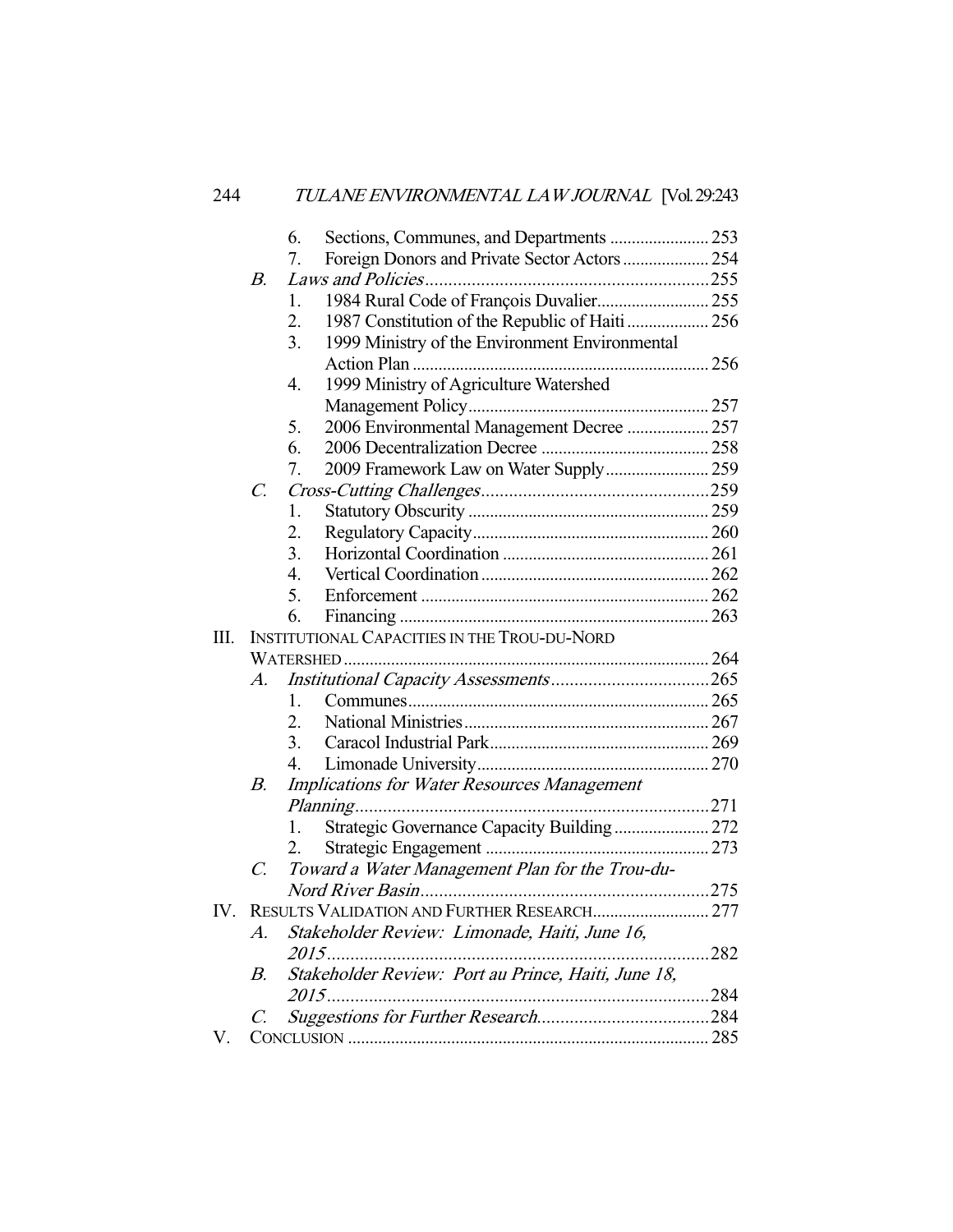|     |                 | 6.               |                                                     |      |
|-----|-----------------|------------------|-----------------------------------------------------|------|
|     |                 | 7.               | Foreign Donors and Private Sector Actors  254       |      |
|     | В.              |                  |                                                     |      |
|     |                 | 1.               | 1984 Rural Code of François Duvalier 255            |      |
|     |                 | 2.               | 1987 Constitution of the Republic of Haiti 256      |      |
|     |                 | 3.               | 1999 Ministry of the Environment Environmental      |      |
|     |                 |                  |                                                     |      |
|     |                 | $\overline{4}$ . | 1999 Ministry of Agriculture Watershed              |      |
|     |                 |                  |                                                     |      |
|     |                 | 5.               | 2006 Environmental Management Decree  257           |      |
|     |                 | 6.               |                                                     |      |
|     |                 | 7.               | 2009 Framework Law on Water Supply 259              |      |
|     | $\mathcal{C}$ . |                  |                                                     |      |
|     |                 | 1.               |                                                     |      |
|     |                 | 2.               |                                                     |      |
|     |                 | 3.               |                                                     |      |
|     |                 | 4.               |                                                     |      |
|     |                 | 5.               |                                                     |      |
|     |                 | 6.               |                                                     |      |
| Ш.  |                 |                  | <b>INSTITUTIONAL CAPACITIES IN THE TROU-DU-NORD</b> |      |
|     |                 |                  |                                                     |      |
|     | A.              |                  |                                                     |      |
|     |                 | 1.               |                                                     |      |
|     |                 | 2.               |                                                     |      |
|     |                 | 3.               |                                                     |      |
|     |                 | 4.               |                                                     |      |
|     | В.              |                  | Implications for Water Resources Management         |      |
|     |                 |                  |                                                     |      |
|     |                 | 1.               | Strategic Governance Capacity Building 272          |      |
|     |                 | 2.               |                                                     |      |
|     | $\mathcal{C}$ . |                  | Toward a Water Management Plan for the Trou-du-     |      |
|     |                 |                  |                                                     |      |
| IV. |                 |                  |                                                     |      |
|     | А.              |                  | Stakeholder Review: Limonade, Haiti, June 16,       |      |
|     |                 | 2015.            |                                                     | .282 |
|     | В.              |                  | Stakeholder Review: Port au Prince, Haiti, June 18, |      |
|     |                 | 2015             |                                                     | .284 |
|     | Ċ.              |                  |                                                     |      |
| V.  |                 |                  |                                                     |      |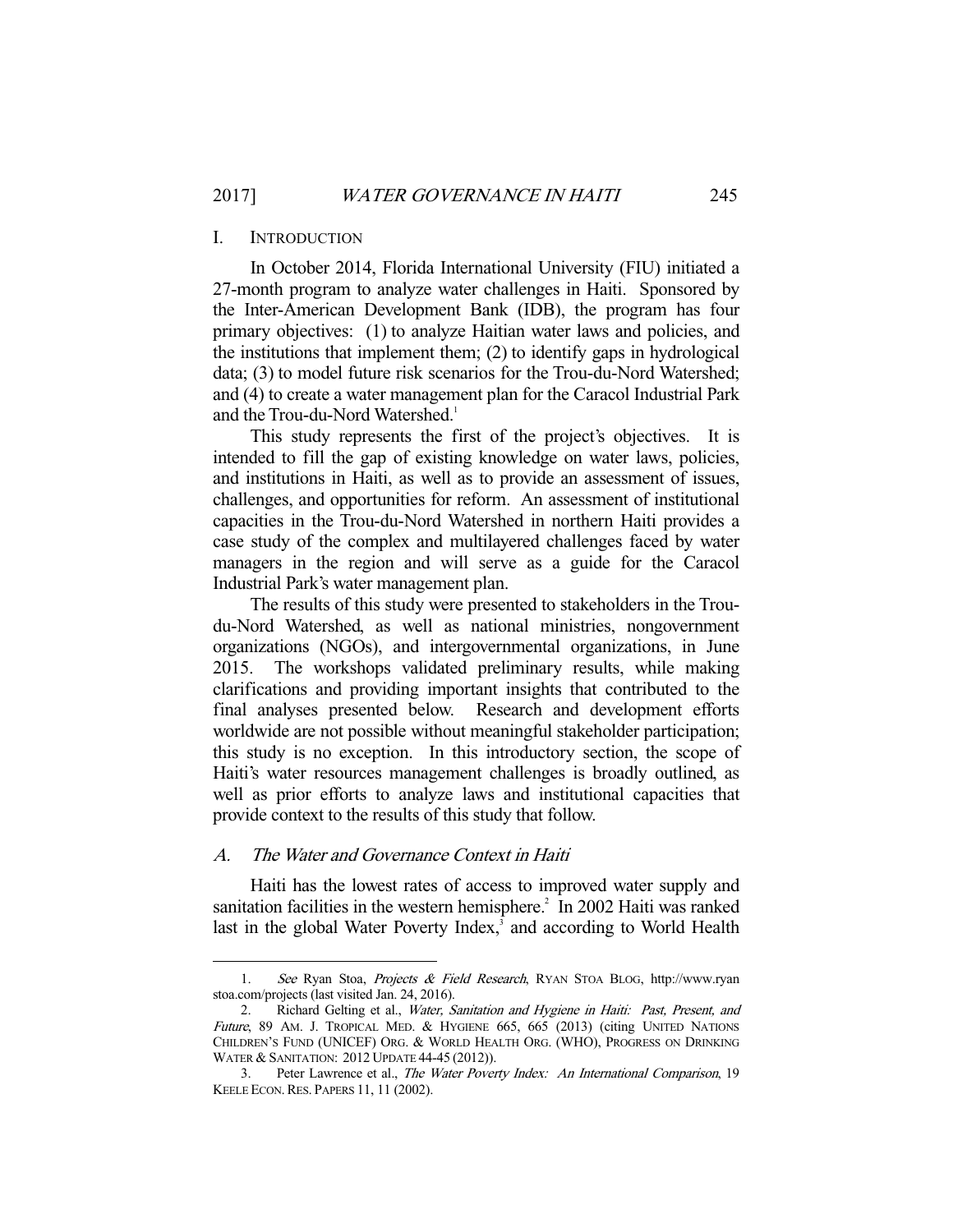#### I. INTRODUCTION

 In October 2014, Florida International University (FIU) initiated a 27-month program to analyze water challenges in Haiti. Sponsored by the Inter-American Development Bank (IDB), the program has four primary objectives: (1) to analyze Haitian water laws and policies, and the institutions that implement them; (2) to identify gaps in hydrological data; (3) to model future risk scenarios for the Trou-du-Nord Watershed; and (4) to create a water management plan for the Caracol Industrial Park and the Trou-du-Nord Watershed.<sup>1</sup>

 This study represents the first of the project's objectives. It is intended to fill the gap of existing knowledge on water laws, policies, and institutions in Haiti, as well as to provide an assessment of issues, challenges, and opportunities for reform. An assessment of institutional capacities in the Trou-du-Nord Watershed in northern Haiti provides a case study of the complex and multilayered challenges faced by water managers in the region and will serve as a guide for the Caracol Industrial Park's water management plan.

 The results of this study were presented to stakeholders in the Troudu-Nord Watershed, as well as national ministries, nongovernment organizations (NGOs), and intergovernmental organizations, in June 2015. The workshops validated preliminary results, while making clarifications and providing important insights that contributed to the final analyses presented below. Research and development efforts worldwide are not possible without meaningful stakeholder participation; this study is no exception. In this introductory section, the scope of Haiti's water resources management challenges is broadly outlined, as well as prior efforts to analyze laws and institutional capacities that provide context to the results of this study that follow.

## A. The Water and Governance Context in Haiti

-

 Haiti has the lowest rates of access to improved water supply and sanitation facilities in the western hemisphere.<sup>2</sup> In 2002 Haiti was ranked last in the global Water Poverty Index,<sup>3</sup> and according to World Health

<sup>1.</sup> See Ryan Stoa, Projects & Field Research, RYAN STOA BLOG, http://www.ryan stoa.com/projects (last visited Jan. 24, 2016).

<sup>2.</sup> Richard Gelting et al., Water, Sanitation and Hygiene in Haiti: Past, Present, and Future, 89 AM. J. TROPICAL MED. & HYGIENE 665, 665 (2013) (citing UNITED NATIONS CHILDREN'S FUND (UNICEF) ORG. & WORLD HEALTH ORG. (WHO), PROGRESS ON DRINKING WATER & SANITATION: 2012 UPDATE 44-45 (2012)).

 <sup>3.</sup> Peter Lawrence et al., The Water Poverty Index: An International Comparison, 19 KEELE ECON.RES. PAPERS 11, 11 (2002).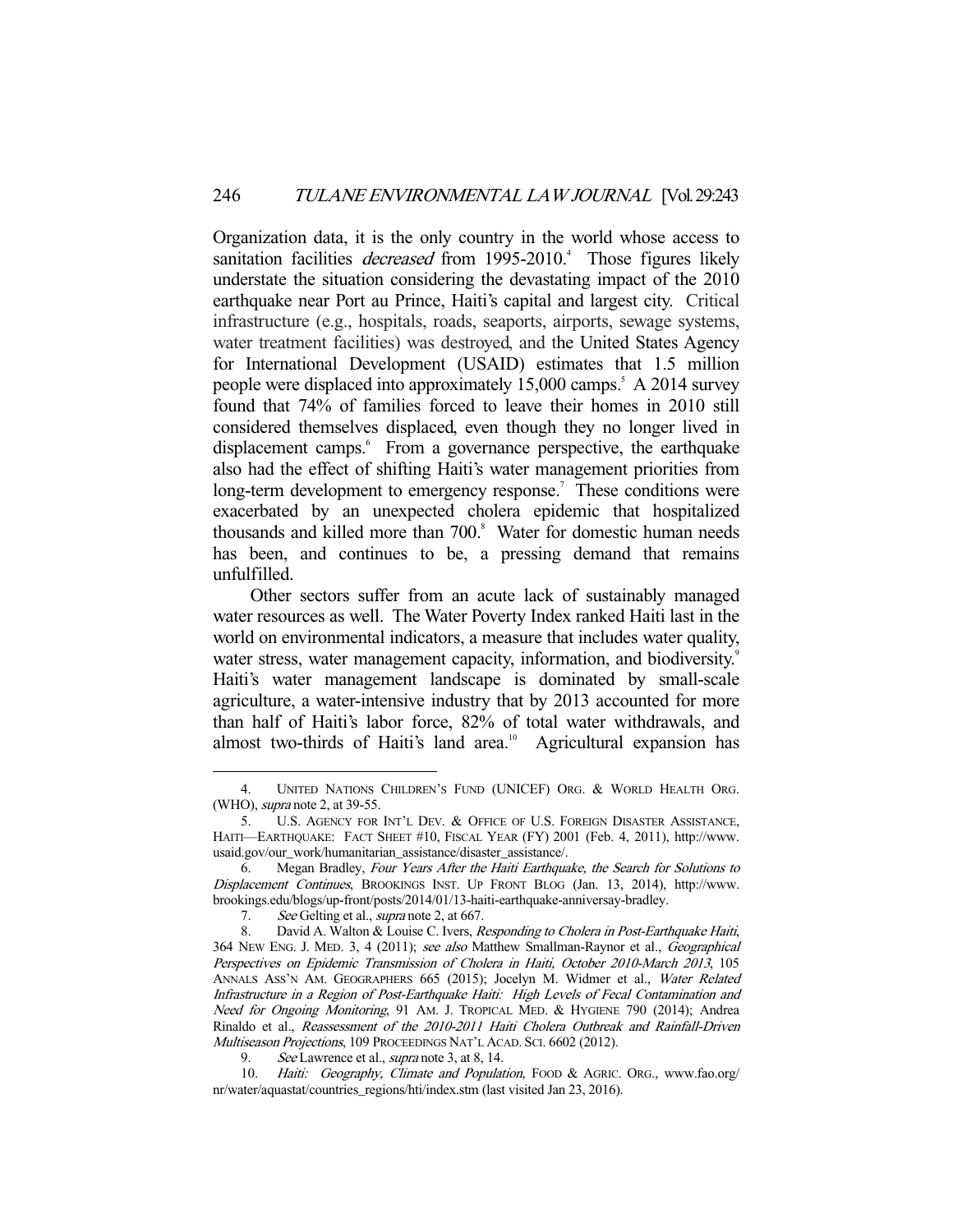Organization data, it is the only country in the world whose access to sanitation facilities *decreased* from 1995-2010.<sup>4</sup> Those figures likely understate the situation considering the devastating impact of the 2010 earthquake near Port au Prince, Haiti's capital and largest city. Critical infrastructure (e.g., hospitals, roads, seaports, airports, sewage systems, water treatment facilities) was destroyed, and the United States Agency for International Development (USAID) estimates that 1.5 million people were displaced into approximately 15,000 camps.<sup>5</sup> A 2014 survey found that 74% of families forced to leave their homes in 2010 still considered themselves displaced, even though they no longer lived in displacement camps.<sup>6</sup> From a governance perspective, the earthquake also had the effect of shifting Haiti's water management priorities from long-term development to emergency response.<sup>7</sup> These conditions were exacerbated by an unexpected cholera epidemic that hospitalized thousands and killed more than 700.<sup>8</sup> Water for domestic human needs has been, and continues to be, a pressing demand that remains unfulfilled.

 Other sectors suffer from an acute lack of sustainably managed water resources as well. The Water Poverty Index ranked Haiti last in the world on environmental indicators, a measure that includes water quality, water stress, water management capacity, information, and biodiversity.<sup>9</sup> Haiti's water management landscape is dominated by small-scale agriculture, a water-intensive industry that by 2013 accounted for more than half of Haiti's labor force, 82% of total water withdrawals, and almost two-thirds of Haiti's land area.<sup>10</sup> Agricultural expansion has

 <sup>4.</sup> UNITED NATIONS CHILDREN'S FUND (UNICEF) ORG. & WORLD HEALTH ORG. (WHO), supra note 2, at 39-55.

 <sup>5.</sup> U.S. AGENCY FOR INT'L DEV. & OFFICE OF U.S. FOREIGN DISASTER ASSISTANCE, HAITI—EARTHQUAKE: FACT SHEET #10, FISCAL YEAR (FY) 2001 (Feb. 4, 2011), http://www. usaid.gov/our\_work/humanitarian\_assistance/disaster\_assistance/.

 <sup>6.</sup> Megan Bradley, Four Years After the Haiti Earthquake, the Search for Solutions to Displacement Continues, BROOKINGS INST. UP FRONT BLOG (Jan. 13, 2014), http://www. brookings.edu/blogs/up-front/posts/2014/01/13-haiti-earthquake-anniversay-bradley.

<sup>7.</sup> See Gelting et al., *supra* note 2, at 667.

<sup>8.</sup> David A. Walton & Louise C. Ivers, Responding to Cholera in Post-Earthquake Haiti, 364 NEW ENG. J. MED. 3, 4 (2011); see also Matthew Smallman-Raynor et al., Geographical Perspectives on Epidemic Transmission of Cholera in Haiti, October 2010-March 2013, 105 ANNALS ASS'N AM. GEOGRAPHERS 665 (2015); Jocelyn M. Widmer et al., Water Related Infrastructure in a Region of Post-Earthquake Haiti: High Levels of Fecal Contamination and Need for Ongoing Monitoring, 91 AM. J. TROPICAL MED. & HYGIENE 790 (2014); Andrea Rinaldo et al., Reassessment of the 2010-2011 Haiti Cholera Outbreak and Rainfall-Driven Multiseason Projections, 109 PROCEEDINGS NAT'L ACAD. SCI. 6602 (2012).

<sup>9.</sup> See Lawrence et al., *supra* note 3, at 8, 14.

<sup>10.</sup> Haiti: Geography, Climate and Population, FOOD & AGRIC. ORG., www.fao.org/ nr/water/aquastat/countries\_regions/hti/index.stm (last visited Jan 23, 2016).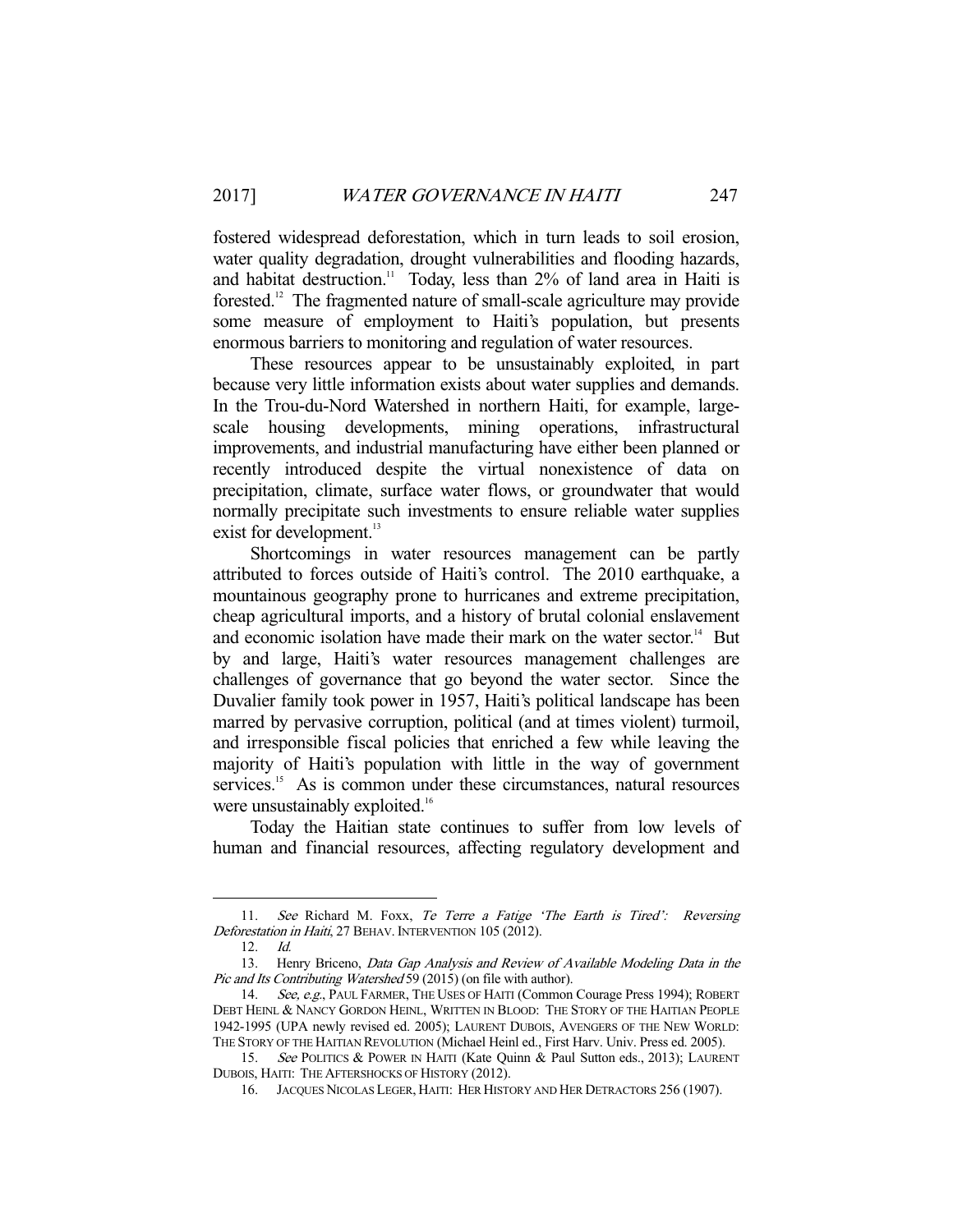fostered widespread deforestation, which in turn leads to soil erosion, water quality degradation, drought vulnerabilities and flooding hazards, and habitat destruction.<sup>11</sup> Today, less than 2% of land area in Haiti is forested.12 The fragmented nature of small-scale agriculture may provide some measure of employment to Haiti's population, but presents enormous barriers to monitoring and regulation of water resources.

 These resources appear to be unsustainably exploited, in part because very little information exists about water supplies and demands. In the Trou-du-Nord Watershed in northern Haiti, for example, largescale housing developments, mining operations, infrastructural improvements, and industrial manufacturing have either been planned or recently introduced despite the virtual nonexistence of data on precipitation, climate, surface water flows, or groundwater that would normally precipitate such investments to ensure reliable water supplies exist for development.<sup>13</sup>

 Shortcomings in water resources management can be partly attributed to forces outside of Haiti's control. The 2010 earthquake, a mountainous geography prone to hurricanes and extreme precipitation, cheap agricultural imports, and a history of brutal colonial enslavement and economic isolation have made their mark on the water sector.<sup>14</sup> But by and large, Haiti's water resources management challenges are challenges of governance that go beyond the water sector. Since the Duvalier family took power in 1957, Haiti's political landscape has been marred by pervasive corruption, political (and at times violent) turmoil, and irresponsible fiscal policies that enriched a few while leaving the majority of Haiti's population with little in the way of government services.<sup>15</sup> As is common under these circumstances, natural resources were unsustainably exploited.<sup>16</sup>

 Today the Haitian state continues to suffer from low levels of human and financial resources, affecting regulatory development and

<sup>11.</sup> See Richard M. Foxx, Te Terre a Fatige 'The Earth is Tired': Reversing Deforestation in Haiti, 27 BEHAV. INTERVENTION 105 (2012).

 <sup>12.</sup> Id.

<sup>13.</sup> Henry Briceno, Data Gap Analysis and Review of Available Modeling Data in the Pic and Its Contributing Watershed 59 (2015) (on file with author).

<sup>14.</sup> See, e.g., PAUL FARMER, THE USES OF HAITI (Common Courage Press 1994); ROBERT DEBT HEINL & NANCY GORDON HEINL, WRITTEN IN BLOOD: THE STORY OF THE HAITIAN PEOPLE 1942-1995 (UPA newly revised ed. 2005); LAURENT DUBOIS, AVENGERS OF THE NEW WORLD: THE STORY OF THE HAITIAN REVOLUTION (Michael Heinl ed., First Harv. Univ. Press ed. 2005).

<sup>15.</sup> See POLITICS & POWER IN HAITI (Kate Quinn & Paul Sutton eds., 2013); LAURENT DUBOIS, HAITI: THE AFTERSHOCKS OF HISTORY (2012).

 <sup>16.</sup> JACQUES NICOLAS LEGER, HAITI: HER HISTORY AND HER DETRACTORS 256 (1907).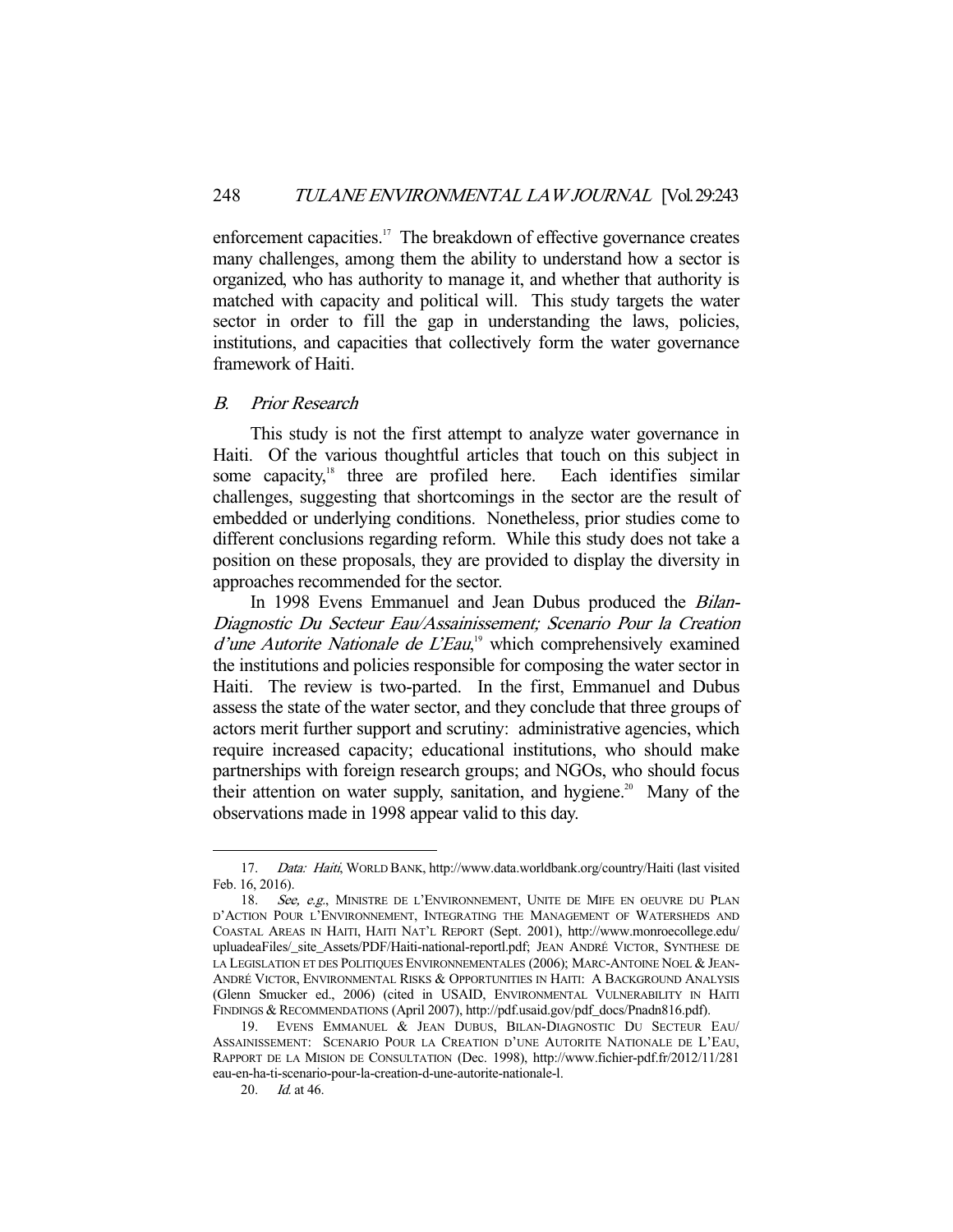enforcement capacities.<sup>17</sup> The breakdown of effective governance creates many challenges, among them the ability to understand how a sector is organized, who has authority to manage it, and whether that authority is matched with capacity and political will. This study targets the water sector in order to fill the gap in understanding the laws, policies, institutions, and capacities that collectively form the water governance framework of Haiti.

#### B. Prior Research

 This study is not the first attempt to analyze water governance in Haiti. Of the various thoughtful articles that touch on this subject in some capacity,<sup>18</sup> three are profiled here. Each identifies similar challenges, suggesting that shortcomings in the sector are the result of embedded or underlying conditions. Nonetheless, prior studies come to different conclusions regarding reform. While this study does not take a position on these proposals, they are provided to display the diversity in approaches recommended for the sector.

In 1998 Evens Emmanuel and Jean Dubus produced the *Bilan*-Diagnostic Du Secteur Eau/Assainissement; Scenario Pour la Creation d'une Autorite Nationale de L'Eau,<sup>19</sup> which comprehensively examined the institutions and policies responsible for composing the water sector in Haiti. The review is two-parted. In the first, Emmanuel and Dubus assess the state of the water sector, and they conclude that three groups of actors merit further support and scrutiny: administrative agencies, which require increased capacity; educational institutions, who should make partnerships with foreign research groups; and NGOs, who should focus their attention on water supply, sanitation, and hygiene.<sup>20</sup> Many of the observations made in 1998 appear valid to this day.

 <sup>17.</sup> Data: Haiti, WORLD BANK, http://www.data.worldbank.org/country/Haiti (last visited Feb. 16, 2016).

<sup>18.</sup> See, e.g., MINISTRE DE L'ENVIRONNEMENT, UNITE DE MIFE EN OEUVRE DU PLAN D'ACTION POUR L'ENVIRONNEMENT, INTEGRATING THE MANAGEMENT OF WATERSHEDS AND COASTAL AREAS IN HAITI, HAITI NAT'L REPORT (Sept. 2001), http://www.monroecollege.edu/ upluadeaFiles/\_site\_Assets/PDF/Haiti-national-reportl.pdf; JEAN ANDRÉ VICTOR, SYNTHESE DE LA LEGISLATION ET DES POLITIQUES ENVIRONNEMENTALES (2006); MARC-ANTOINE NOEL & JEAN-ANDRÉ VICTOR, ENVIRONMENTAL RISKS & OPPORTUNITIES IN HAITI: A BACKGROUND ANALYSIS (Glenn Smucker ed., 2006) (cited in USAID, ENVIRONMENTAL VULNERABILITY IN HAITI FINDINGS & RECOMMENDATIONS (April 2007), http://pdf.usaid.gov/pdf\_docs/Pnadn816.pdf).

 <sup>19.</sup> EVENS EMMANUEL & JEAN DUBUS, BILAN-DIAGNOSTIC DU SECTEUR EAU/ ASSAINISSEMENT: SCENARIO POUR LA CREATION D'UNE AUTORITE NATIONALE DE L'EAU, RAPPORT DE LA MISION DE CONSULTATION (Dec. 1998), http://www.fichier-pdf.fr/2012/11/281 eau-en-ha-ti-scenario-pour-la-creation-d-une-autorite-nationale-l.

 <sup>20.</sup> Id. at 46.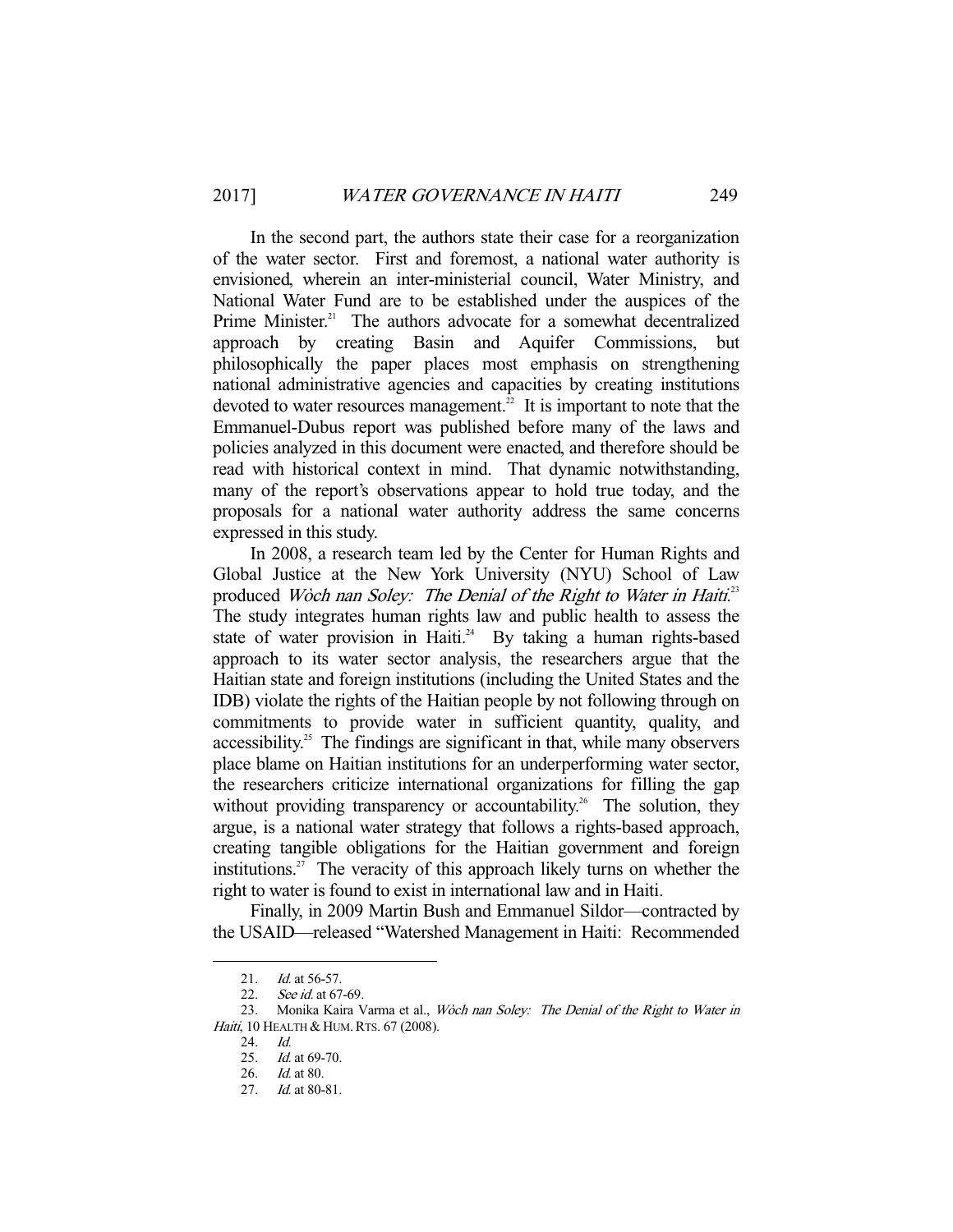In the second part, the authors state their case for a reorganization of the water sector. First and foremost, a national water authority is envisioned, wherein an inter-ministerial council, Water Ministry, and National Water Fund are to be established under the auspices of the Prime Minister.<sup>21</sup> The authors advocate for a somewhat decentralized approach by creating Basin and Aquifer Commissions, but philosophically the paper places most emphasis on strengthening national administrative agencies and capacities by creating institutions devoted to water resources management. $\overline{2}$  It is important to note that the Emmanuel-Dubus report was published before many of the laws and policies analyzed in this document were enacted, and therefore should be read with historical context in mind. That dynamic notwithstanding, many of the report's observations appear to hold true today, and the proposals for a national water authority address the same concerns expressed in this study.

 In 2008, a research team led by the Center for Human Rights and Global Justice at the New York University (NYU) School of Law produced Woch nan Soley: The Denial of the Right to Water in Haiti.<sup>23</sup> The study integrates human rights law and public health to assess the state of water provision in Haiti.<sup>24</sup> By taking a human rights-based approach to its water sector analysis, the researchers argue that the Haitian state and foreign institutions (including the United States and the IDB) violate the rights of the Haitian people by not following through on commitments to provide water in sufficient quantity, quality, and  $accessibility<sup>25</sup>$ . The findings are significant in that, while many observers place blame on Haitian institutions for an underperforming water sector, the researchers criticize international organizations for filling the gap without providing transparency or accountability.<sup>26</sup> The solution, they argue, is a national water strategy that follows a rights-based approach, creating tangible obligations for the Haitian government and foreign institutions.<sup>27</sup> The veracity of this approach likely turns on whether the right to water is found to exist in international law and in Haiti.

 Finally, in 2009 Martin Bush and Emmanuel Sildor—contracted by the USAID—released "Watershed Management in Haiti: Recommended

<sup>21.</sup> *Id.* at 56-57.

<sup>22.</sup> See id. at 67-69.

<sup>23.</sup> Monika Kaira Varma et al., Woch nan Soley: The Denial of the Right to Water in Haiti, 10 HEALTH & HUM. RTS. 67 (2008).

 <sup>24.</sup> Id.

<sup>25.</sup> *Id.* at 69-70.

 <sup>26.</sup> Id. at 80.

<sup>27.</sup> *Id.* at 80-81.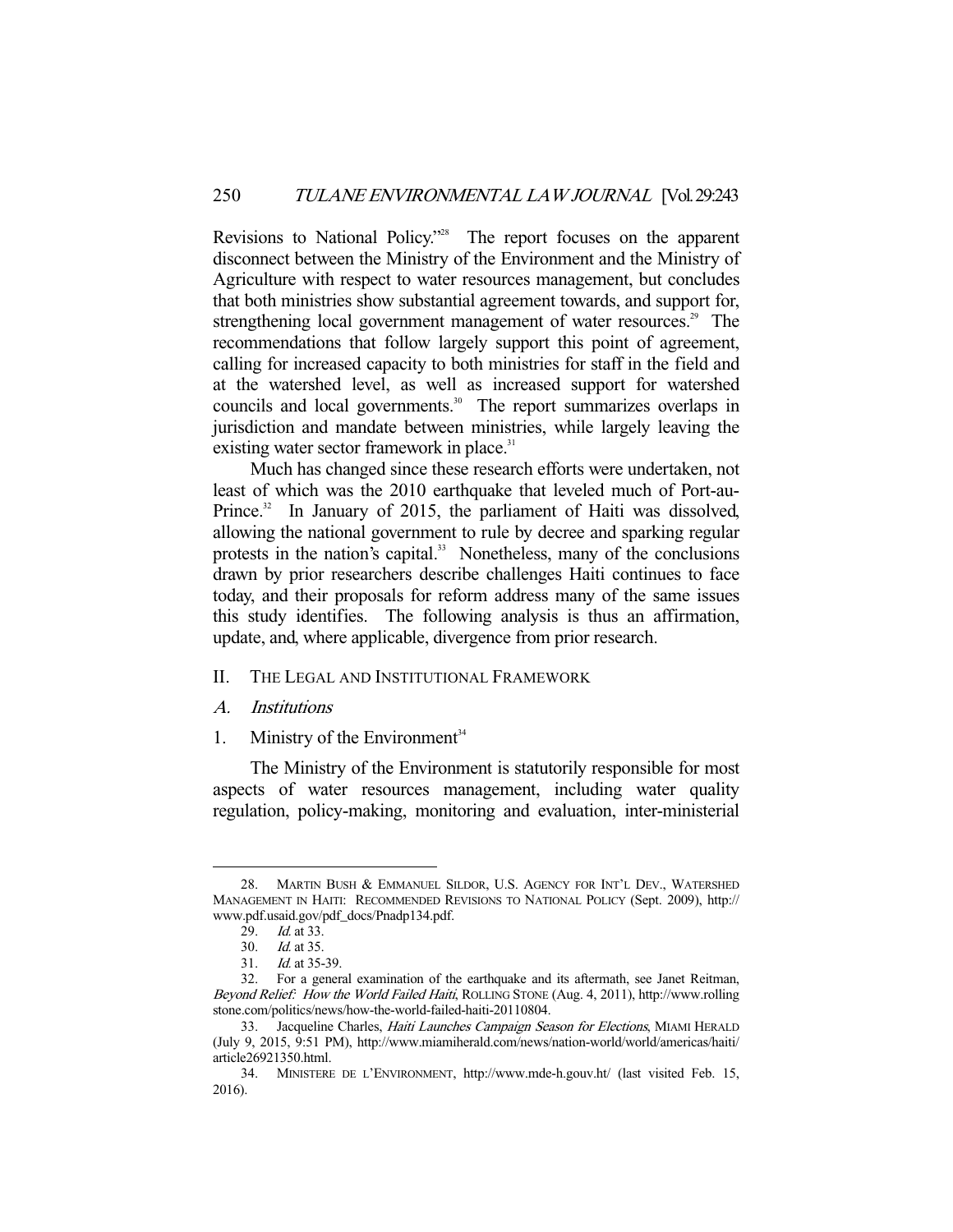Revisions to National Policy."28 The report focuses on the apparent disconnect between the Ministry of the Environment and the Ministry of Agriculture with respect to water resources management, but concludes that both ministries show substantial agreement towards, and support for, strengthening local government management of water resources.<sup>29</sup> The recommendations that follow largely support this point of agreement, calling for increased capacity to both ministries for staff in the field and at the watershed level, as well as increased support for watershed councils and local governments.<sup>30</sup> The report summarizes overlaps in jurisdiction and mandate between ministries, while largely leaving the existing water sector framework in place.<sup>31</sup>

 Much has changed since these research efforts were undertaken, not least of which was the 2010 earthquake that leveled much of Port-au-Prince.<sup>32</sup> In January of 2015, the parliament of Haiti was dissolved, allowing the national government to rule by decree and sparking regular protests in the nation's capital.<sup>33</sup> Nonetheless, many of the conclusions drawn by prior researchers describe challenges Haiti continues to face today, and their proposals for reform address many of the same issues this study identifies. The following analysis is thus an affirmation, update, and, where applicable, divergence from prior research.

- II. THE LEGAL AND INSTITUTIONAL FRAMEWORK
- A. Institutions
- 1. Ministry of the Environment<sup>34</sup>

 The Ministry of the Environment is statutorily responsible for most aspects of water resources management, including water quality regulation, policy-making, monitoring and evaluation, inter-ministerial

 <sup>28.</sup> MARTIN BUSH & EMMANUEL SILDOR, U.S. AGENCY FOR INT'L DEV., WATERSHED MANAGEMENT IN HAITI: RECOMMENDED REVISIONS TO NATIONAL POLICY (Sept. 2009), http:// www.pdf.usaid.gov/pdf\_docs/Pnadp134.pdf.

<sup>29.</sup> *Id.* at 33.

 <sup>30.</sup> Id. at 35.

 <sup>31.</sup> Id. at 35-39.

 <sup>32.</sup> For a general examination of the earthquake and its aftermath, see Janet Reitman, Beyond Relief: How the World Failed Haiti, ROLLING STONE (Aug. 4, 2011), http://www.rolling stone.com/politics/news/how-the-world-failed-haiti-20110804.

<sup>33.</sup> Jacqueline Charles, Haiti Launches Campaign Season for Elections, MIAMI HERALD (July 9, 2015, 9:51 PM), http://www.miamiherald.com/news/nation-world/world/americas/haiti/ article26921350.html.

 <sup>34.</sup> MINISTERE DE L'ENVIRONMENT, http://www.mde-h.gouv.ht/ (last visited Feb. 15, 2016).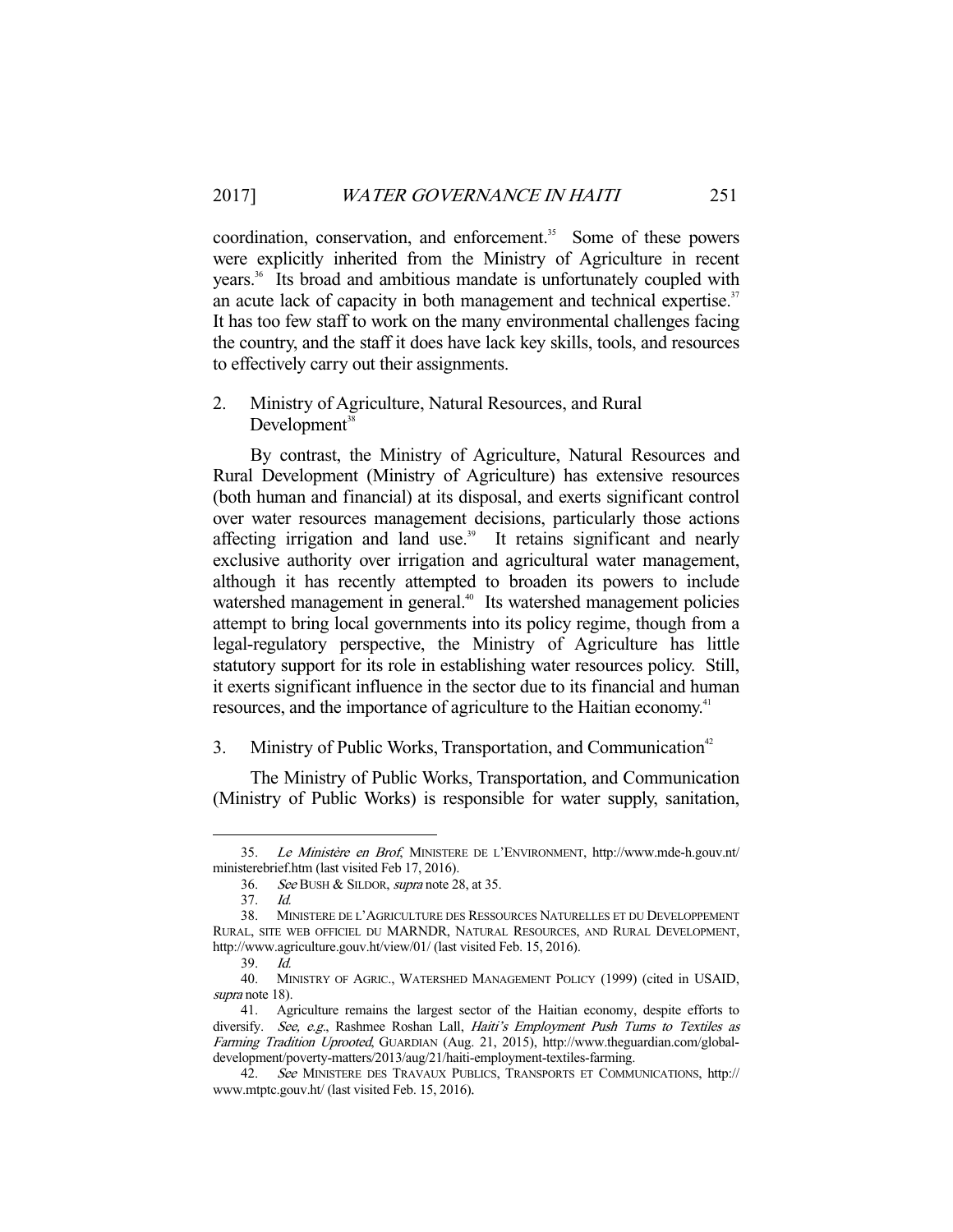coordination, conservation, and enforcement.<sup>35</sup> Some of these powers were explicitly inherited from the Ministry of Agriculture in recent years.36 Its broad and ambitious mandate is unfortunately coupled with an acute lack of capacity in both management and technical expertise.<sup>37</sup> It has too few staff to work on the many environmental challenges facing the country, and the staff it does have lack key skills, tools, and resources to effectively carry out their assignments.

2. Ministry of Agriculture, Natural Resources, and Rural  $Development<sup>38</sup>$ 

 By contrast, the Ministry of Agriculture, Natural Resources and Rural Development (Ministry of Agriculture) has extensive resources (both human and financial) at its disposal, and exerts significant control over water resources management decisions, particularly those actions affecting irrigation and land use.<sup>39</sup> It retains significant and nearly exclusive authority over irrigation and agricultural water management, although it has recently attempted to broaden its powers to include watershed management in general.<sup>40</sup> Its watershed management policies attempt to bring local governments into its policy regime, though from a legal-regulatory perspective, the Ministry of Agriculture has little statutory support for its role in establishing water resources policy. Still, it exerts significant influence in the sector due to its financial and human resources, and the importance of agriculture to the Haitian economy.<sup>41</sup>

#### 3. Ministry of Public Works, Transportation, and Communication<sup>42</sup>

 The Ministry of Public Works, Transportation, and Communication (Ministry of Public Works) is responsible for water supply, sanitation,

Le Ministère en Brof, MINISTERE DE L'ENVIRONMENT, http://www.mde-h.gouv.nt/ ministerebrief.htm (last visited Feb 17, 2016).

 <sup>36.</sup> See BUSH & SILDOR, supra note 28, at 35.

 <sup>37.</sup> Id.

 <sup>38.</sup> MINISTERE DE L'AGRICULTURE DES RESSOURCES NATURELLES ET DU DEVELOPPEMENT RURAL, SITE WEB OFFICIEL DU MARNDR, NATURAL RESOURCES, AND RURAL DEVELOPMENT, http://www.agriculture.gouv.ht/view/01/ (last visited Feb. 15, 2016).

 $39 \frac{Id}{ }$ 

 <sup>40.</sup> MINISTRY OF AGRIC., WATERSHED MANAGEMENT POLICY (1999) (cited in USAID, supra note 18).

 <sup>41.</sup> Agriculture remains the largest sector of the Haitian economy, despite efforts to diversify. See, e.g., Rashmee Roshan Lall, Haiti's Employment Push Turns to Textiles as Farming Tradition Uprooted, GUARDIAN (Aug. 21, 2015), http://www.theguardian.com/globaldevelopment/poverty-matters/2013/aug/21/haiti-employment-textiles-farming.

 <sup>42.</sup> See MINISTERE DES TRAVAUX PUBLICS, TRANSPORTS ET COMMUNICATIONS, http:// www.mtptc.gouv.ht/ (last visited Feb. 15, 2016).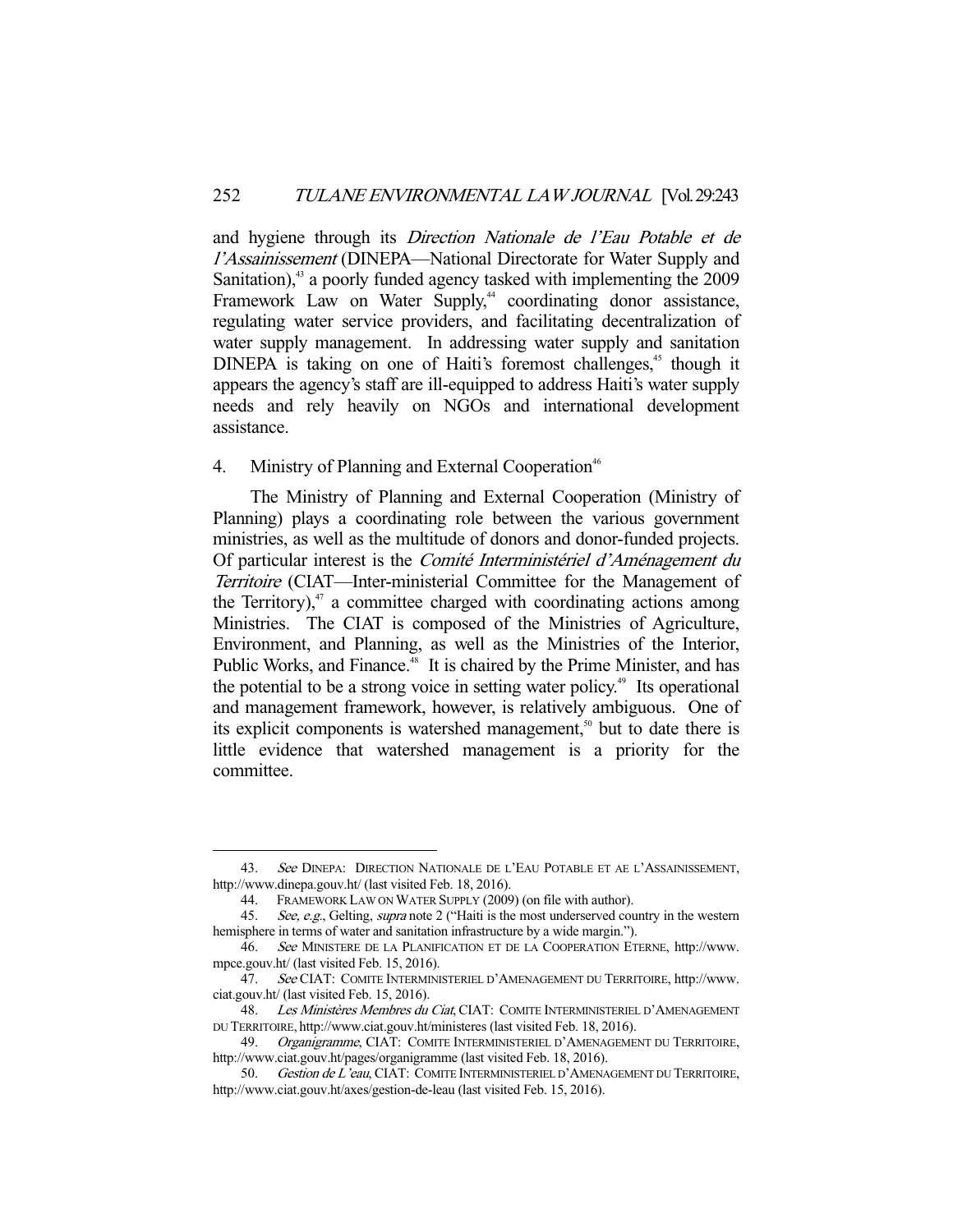and hygiene through its Direction Nationale de l'Eau Potable et de l'Assainissement (DINEPA—National Directorate for Water Supply and Sanitation),<sup>43</sup> a poorly funded agency tasked with implementing the 2009 Framework Law on Water Supply,<sup>44</sup> coordinating donor assistance, regulating water service providers, and facilitating decentralization of water supply management. In addressing water supply and sanitation DINEPA is taking on one of Haiti's foremost challenges, $45$  though it appears the agency's staff are ill-equipped to address Haiti's water supply needs and rely heavily on NGOs and international development assistance.

## 4. Ministry of Planning and External Cooperation<sup>46</sup>

 The Ministry of Planning and External Cooperation (Ministry of Planning) plays a coordinating role between the various government ministries, as well as the multitude of donors and donor-funded projects. Of particular interest is the Comité Interministériel d'Aménagement du Territoire (CIAT—Inter-ministerial Committee for the Management of the Territory), $47$  a committee charged with coordinating actions among Ministries. The CIAT is composed of the Ministries of Agriculture, Environment, and Planning, as well as the Ministries of the Interior, Public Works, and Finance.<sup>48</sup> It is chaired by the Prime Minister, and has the potential to be a strong voice in setting water policy.<sup> $49$ </sup> Its operational and management framework, however, is relatively ambiguous. One of its explicit components is watershed management,<sup> $50$ </sup> but to date there is little evidence that watershed management is a priority for the committee.

<sup>43.</sup> See DINEPA: DIRECTION NATIONALE DE L'EAU POTABLE ET AE L'ASSAINISSEMENT, http://www.dinepa.gouv.ht/ (last visited Feb. 18, 2016).

 <sup>44.</sup> FRAMEWORK LAW ON WATER SUPPLY (2009) (on file with author).

<sup>45.</sup> See, e.g., Gelting, supra note 2 ("Haiti is the most underserved country in the western hemisphere in terms of water and sanitation infrastructure by a wide margin.").

 <sup>46.</sup> See MINISTERE DE LA PLANIFICATION ET DE LA COOPERATION ETERNE, http://www. mpce.gouv.ht/ (last visited Feb. 15, 2016).

 <sup>47.</sup> See CIAT: COMITE INTERMINISTERIEL D'AMENAGEMENT DU TERRITOIRE, http://www. ciat.gouv.ht/ (last visited Feb. 15, 2016).

<sup>48.</sup> Les Ministères Membres du Ciat, CIAT: COMITE INTERMINISTERIEL D'AMENAGEMENT DU TERRITOIRE, http://www.ciat.gouv.ht/ministeres (last visited Feb. 18, 2016).

<sup>49.</sup> Organigramme, CIAT: COMITE INTERMINISTERIEL D'AMENAGEMENT DU TERRITOIRE, http://www.ciat.gouv.ht/pages/organigramme (last visited Feb. 18, 2016).

<sup>50.</sup> Gestion de L'eau, CIAT: COMITE INTERMINISTERIEL D'AMENAGEMENT DU TERRITOIRE, http://www.ciat.gouv.ht/axes/gestion-de-leau (last visited Feb. 15, 2016).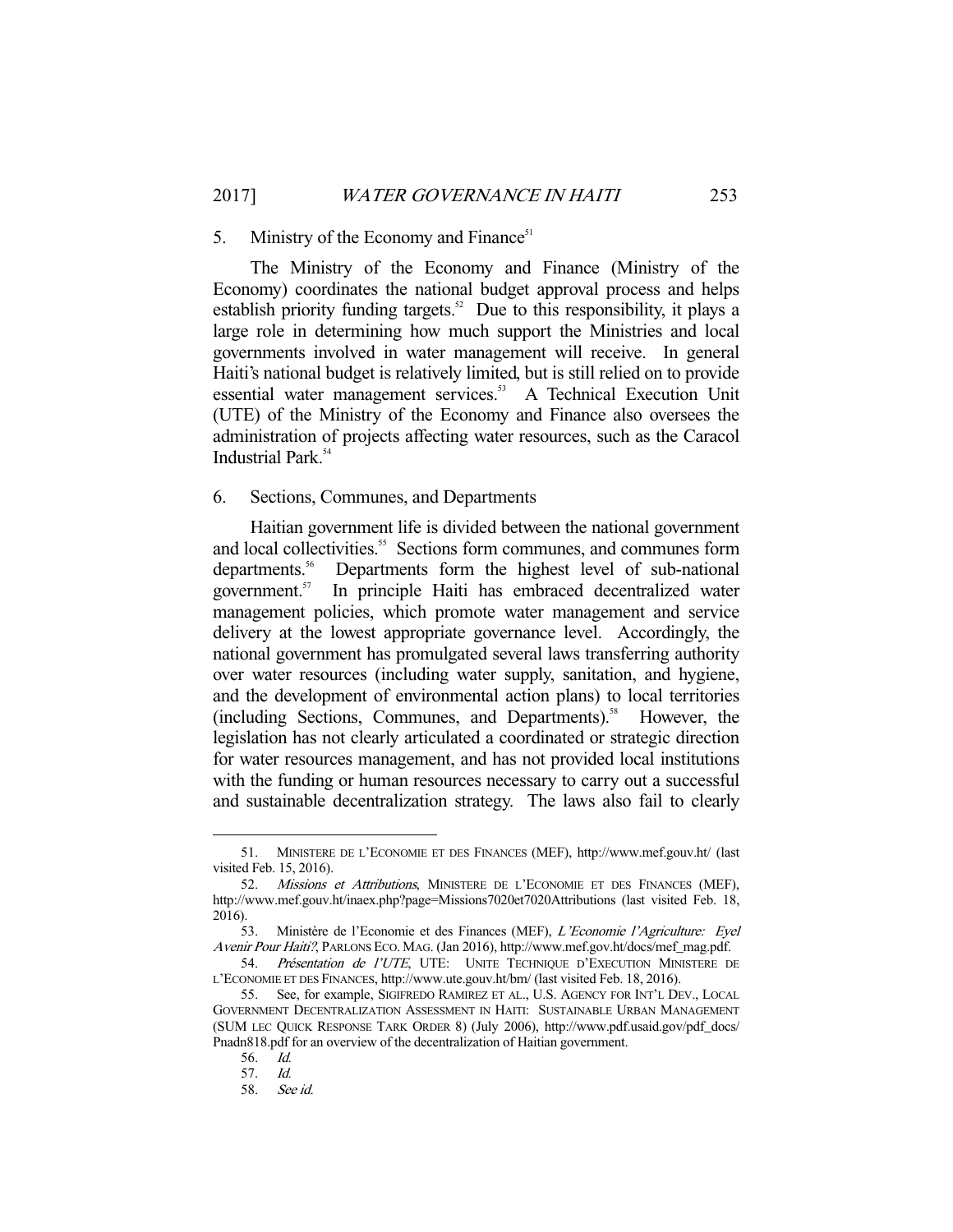# 5. Ministry of the Economy and Finance<sup>51</sup>

 The Ministry of the Economy and Finance (Ministry of the Economy) coordinates the national budget approval process and helps establish priority funding targets.<sup>52</sup> Due to this responsibility, it plays a large role in determining how much support the Ministries and local governments involved in water management will receive. In general Haiti's national budget is relatively limited, but is still relied on to provide essential water management services.<sup>53</sup> A Technical Execution Unit (UTE) of the Ministry of the Economy and Finance also oversees the administration of projects affecting water resources, such as the Caracol Industrial Park.<sup>54</sup>

#### 6. Sections, Communes, and Departments

 Haitian government life is divided between the national government and local collectivities.<sup>55</sup> Sections form communes, and communes form departments.<sup>56</sup> Departments form the highest level of sub-national government.<sup>57</sup> In principle Haiti has embraced decentralized water In principle Haiti has embraced decentralized water management policies, which promote water management and service delivery at the lowest appropriate governance level. Accordingly, the national government has promulgated several laws transferring authority over water resources (including water supply, sanitation, and hygiene, and the development of environmental action plans) to local territories (including Sections, Communes, and Departments).<sup>58</sup> However, the legislation has not clearly articulated a coordinated or strategic direction for water resources management, and has not provided local institutions with the funding or human resources necessary to carry out a successful and sustainable decentralization strategy. The laws also fail to clearly

 <sup>51.</sup> MINISTERE DE L'ECONOMIE ET DES FINANCES (MEF), http://www.mef.gouv.ht/ (last visited Feb. 15, 2016).

 <sup>52.</sup> Missions et Attributions, MINISTERE DE L'ECONOMIE ET DES FINANCES (MEF), http://www.mef.gouv.ht/inaex.php?page=Missions7020et7020Attributions (last visited Feb. 18, 2016).

 <sup>53.</sup> Ministère de l'Economie et des Finances (MEF), L'Economie l'Agriculture: Eyel Avenir Pour Haiti?, PARLONS ECO. MAG. (Jan 2016), http://www.mef.gov.ht/docs/mef\_mag.pdf.

<sup>54.</sup> Présentation de l'UTE, UTE: UNITE TECHNIQUE D'EXECUTION MINISTERE DE L'ECONOMIE ET DES FINANCES, http://www.ute.gouv.ht/bm/ (last visited Feb. 18, 2016).

 <sup>55.</sup> See, for example, SIGIFREDO RAMIREZ ET AL., U.S. AGENCY FOR INT'L DEV., LOCAL GOVERNMENT DECENTRALIZATION ASSESSMENT IN HAITI: SUSTAINABLE URBAN MANAGEMENT (SUM LEC QUICK RESPONSE TARK ORDER 8) (July 2006), http://www.pdf.usaid.gov/pdf\_docs/ Pnadn818.pdf for an overview of the decentralization of Haitian government.

 <sup>56.</sup> Id.

 <sup>57.</sup> Id.

 <sup>58.</sup> See id.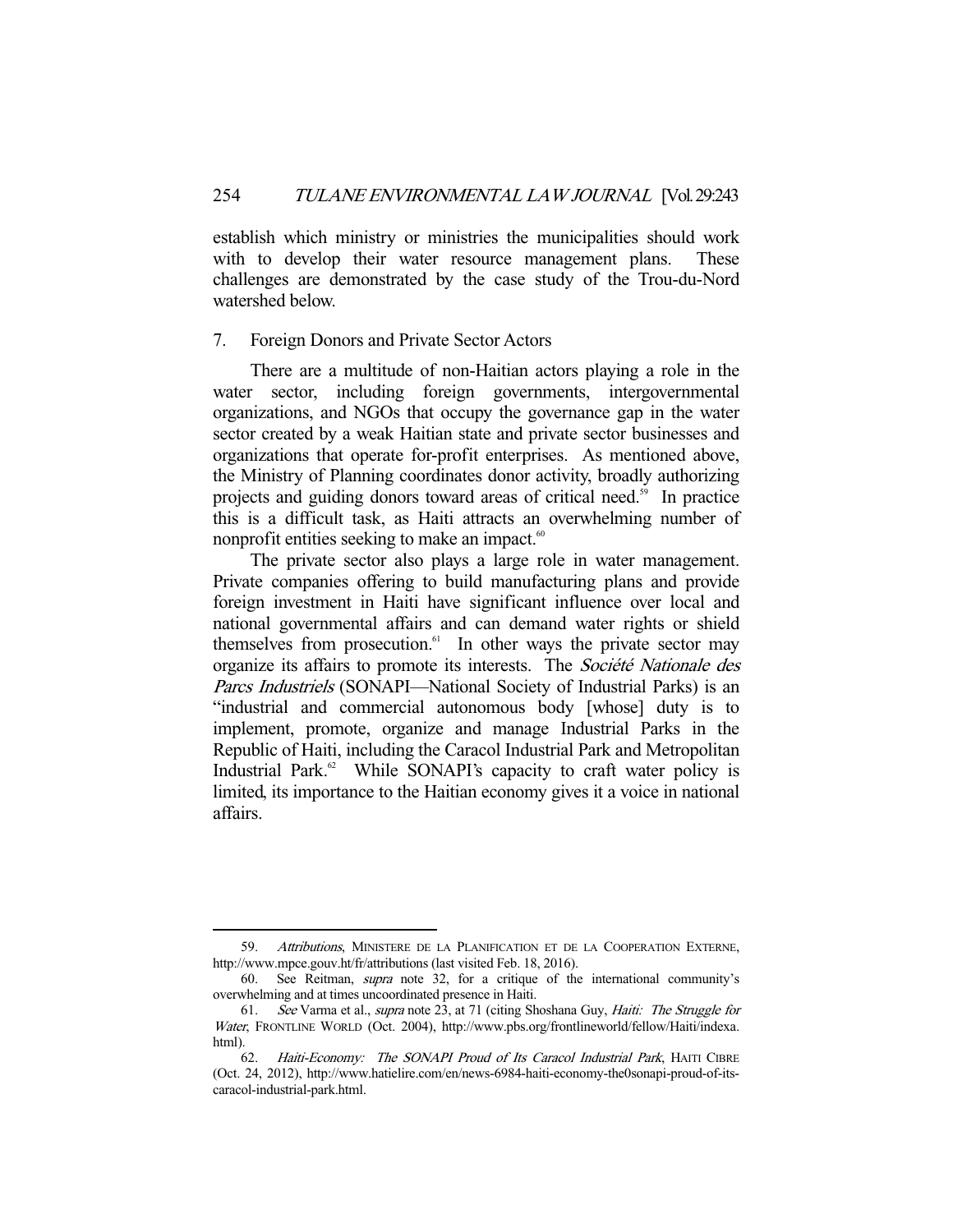establish which ministry or ministries the municipalities should work with to develop their water resource management plans. These challenges are demonstrated by the case study of the Trou-du-Nord watershed below.

#### 7. Foreign Donors and Private Sector Actors

 There are a multitude of non-Haitian actors playing a role in the water sector, including foreign governments, intergovernmental organizations, and NGOs that occupy the governance gap in the water sector created by a weak Haitian state and private sector businesses and organizations that operate for-profit enterprises. As mentioned above, the Ministry of Planning coordinates donor activity, broadly authorizing projects and guiding donors toward areas of critical need.<sup>59</sup> In practice this is a difficult task, as Haiti attracts an overwhelming number of nonprofit entities seeking to make an impact.<sup>60</sup>

 The private sector also plays a large role in water management. Private companies offering to build manufacturing plans and provide foreign investment in Haiti have significant influence over local and national governmental affairs and can demand water rights or shield themselves from prosecution. $61$  In other ways the private sector may organize its affairs to promote its interests. The Société Nationale des Parcs Industriels (SONAPI—National Society of Industrial Parks) is an "industrial and commercial autonomous body [whose] duty is to implement, promote, organize and manage Industrial Parks in the Republic of Haiti, including the Caracol Industrial Park and Metropolitan Industrial Park.<sup>62</sup> While SONAPI's capacity to craft water policy is limited, its importance to the Haitian economy gives it a voice in national affairs.

<sup>59.</sup> Attributions, MINISTERE DE LA PLANIFICATION ET DE LA COOPERATION EXTERNE, http://www.mpce.gouv.ht/fr/attributions (last visited Feb. 18, 2016).

 <sup>60.</sup> See Reitman, supra note 32, for a critique of the international community's overwhelming and at times uncoordinated presence in Haiti.

 <sup>61.</sup> See Varma et al., supra note 23, at 71 (citing Shoshana Guy, Haiti: The Struggle for Water, FRONTLINE WORLD (Oct. 2004), http://www.pbs.org/frontlineworld/fellow/Haiti/indexa. html).

<sup>62.</sup> Haiti-Economy: The SONAPI Proud of Its Caracol Industrial Park, HAITI CIBRE (Oct. 24, 2012), http://www.hatielire.com/en/news-6984-haiti-economy-the0sonapi-proud-of-itscaracol-industrial-park.html.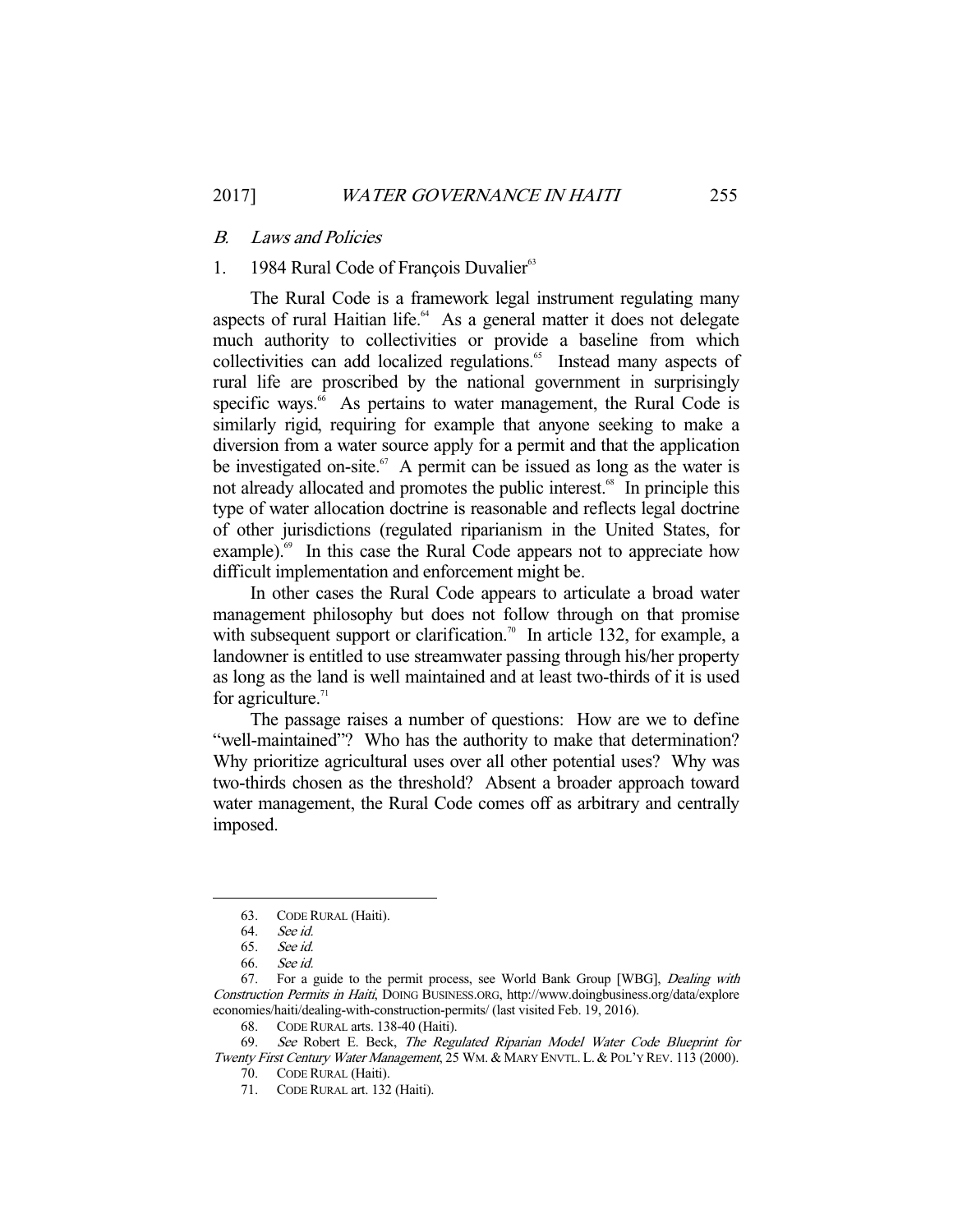#### B. Laws and Policies

# 1. 1984 Rural Code of François Duvalier $63$

 The Rural Code is a framework legal instrument regulating many aspects of rural Haitian life.<sup>64</sup> As a general matter it does not delegate much authority to collectivities or provide a baseline from which collectivities can add localized regulations.<sup>65</sup> Instead many aspects of rural life are proscribed by the national government in surprisingly specific ways.<sup>66</sup> As pertains to water management, the Rural Code is similarly rigid, requiring for example that anyone seeking to make a diversion from a water source apply for a permit and that the application be investigated on-site.<sup>67</sup> A permit can be issued as long as the water is not already allocated and promotes the public interest.<sup>68</sup> In principle this type of water allocation doctrine is reasonable and reflects legal doctrine of other jurisdictions (regulated riparianism in the United States, for example).<sup>69</sup> In this case the Rural Code appears not to appreciate how difficult implementation and enforcement might be.

 In other cases the Rural Code appears to articulate a broad water management philosophy but does not follow through on that promise with subsequent support or clarification.<sup>70</sup> In article 132, for example, a landowner is entitled to use streamwater passing through his/her property as long as the land is well maintained and at least two-thirds of it is used for agriculture. $71$ 

 The passage raises a number of questions: How are we to define "well-maintained"? Who has the authority to make that determination? Why prioritize agricultural uses over all other potential uses? Why was two-thirds chosen as the threshold? Absent a broader approach toward water management, the Rural Code comes off as arbitrary and centrally imposed.

 <sup>63.</sup> CODE RURAL (Haiti).

 <sup>64.</sup> See id.

 <sup>65.</sup> See id.

 <sup>66.</sup> See id.

 <sup>67.</sup> For a guide to the permit process, see World Bank Group [WBG], Dealing with Construction Permits in Haiti, DOING BUSINESS.ORG, http://www.doingbusiness.org/data/explore economies/haiti/dealing-with-construction-permits/ (last visited Feb. 19, 2016).

 <sup>68.</sup> CODE RURAL arts. 138-40 (Haiti).

<sup>69.</sup> See Robert E. Beck, The Regulated Riparian Model Water Code Blueprint for Twenty First Century Water Management, 25 WM. & MARY ENVTL. L. & POL'Y REV. 113 (2000).

 <sup>70.</sup> CODE RURAL (Haiti).

 <sup>71.</sup> CODE RURAL art. 132 (Haiti).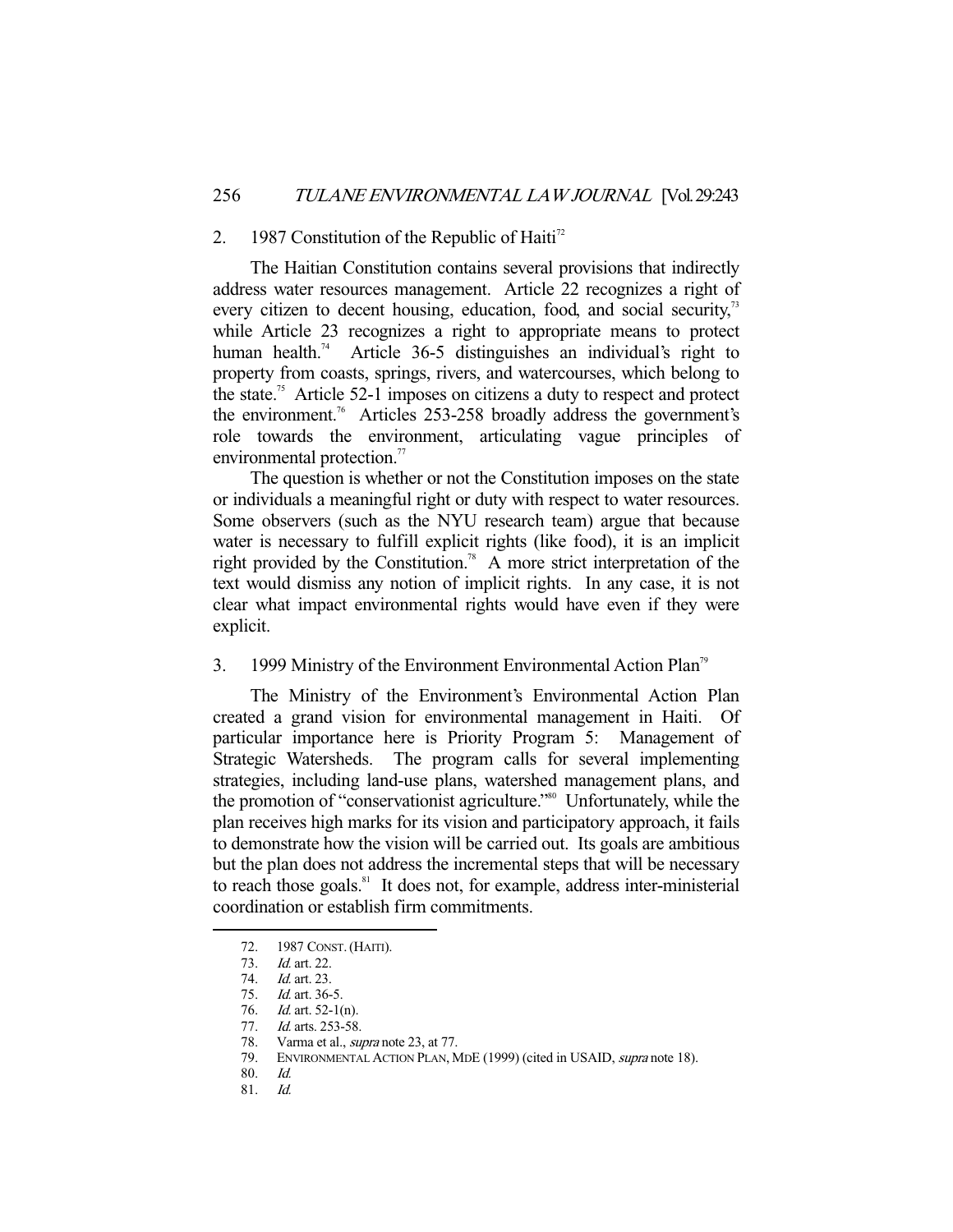#### 2. 1987 Constitution of the Republic of Haiti<sup>72</sup>

 The Haitian Constitution contains several provisions that indirectly address water resources management. Article 22 recognizes a right of every citizen to decent housing, education, food, and social security,<sup>73</sup> while Article 23 recognizes a right to appropriate means to protect human health.<sup>74</sup> Article 36-5 distinguishes an individual's right to property from coasts, springs, rivers, and watercourses, which belong to the state.<sup>75</sup> Article 52-1 imposes on citizens a duty to respect and protect the environment.<sup>76</sup> Articles 253-258 broadly address the government's role towards the environment, articulating vague principles of environmental protection.<sup>77</sup>

 The question is whether or not the Constitution imposes on the state or individuals a meaningful right or duty with respect to water resources. Some observers (such as the NYU research team) argue that because water is necessary to fulfill explicit rights (like food), it is an implicit right provided by the Constitution.<sup>78</sup> A more strict interpretation of the text would dismiss any notion of implicit rights. In any case, it is not clear what impact environmental rights would have even if they were explicit.

# 3. 1999 Ministry of the Environment Environmental Action Plan<sup>79</sup>

 The Ministry of the Environment's Environmental Action Plan created a grand vision for environmental management in Haiti. Of particular importance here is Priority Program 5: Management of Strategic Watersheds. The program calls for several implementing strategies, including land-use plans, watershed management plans, and the promotion of "conservationist agriculture."80 Unfortunately, while the plan receives high marks for its vision and participatory approach, it fails to demonstrate how the vision will be carried out. Its goals are ambitious but the plan does not address the incremental steps that will be necessary to reach those goals.<sup>81</sup> It does not, for example, address inter-ministerial coordination or establish firm commitments.

 <sup>72. 1987</sup> CONST.(HAITI).

 <sup>73.</sup> Id. art. 22.

 <sup>74.</sup> Id. art. 23.

<sup>75.</sup> *Id.* art. 36-5.<br>76. *Id.* art. 52-1(

<sup>76.</sup> *Id.* art. 52-1(n).<br>77. *Id.* arts. 253-58<br>78. Varma et al., *st*.

Id. arts. 253-58.

Varma et al., *supra* note 23, at 77.

<sup>79.</sup> ENVIRONMENTAL ACTION PLAN, MDE (1999) (cited in USAID, *supra* note 18).

 <sup>80.</sup> Id.

 <sup>81.</sup> Id.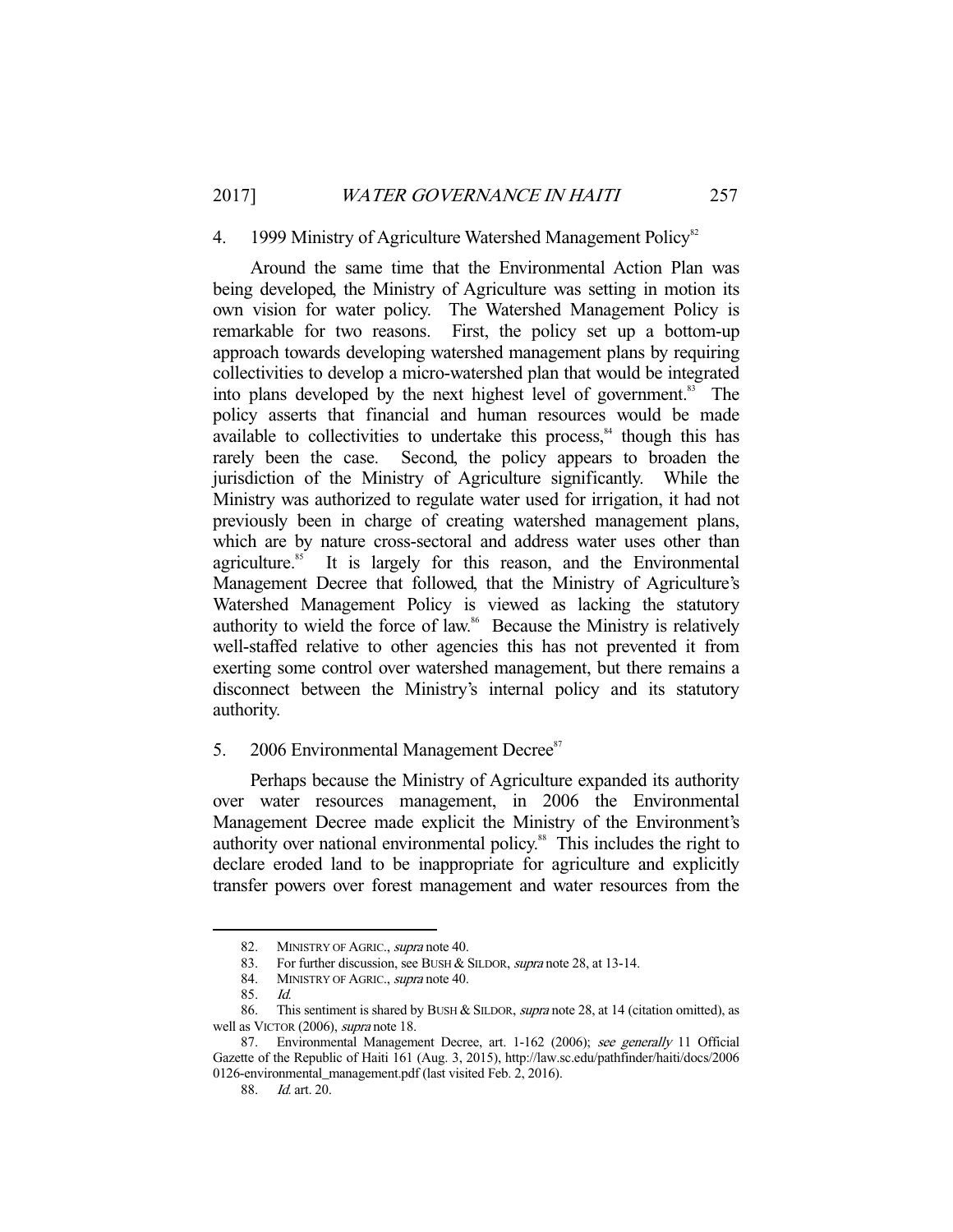## 4. 1999 Ministry of Agriculture Watershed Management Policy<sup>82</sup>

 Around the same time that the Environmental Action Plan was being developed, the Ministry of Agriculture was setting in motion its own vision for water policy. The Watershed Management Policy is remarkable for two reasons. First, the policy set up a bottom-up approach towards developing watershed management plans by requiring collectivities to develop a micro-watershed plan that would be integrated into plans developed by the next highest level of government.<sup>83</sup> The policy asserts that financial and human resources would be made available to collectivities to undertake this process, $84$  though this has rarely been the case. Second, the policy appears to broaden the jurisdiction of the Ministry of Agriculture significantly. While the Ministry was authorized to regulate water used for irrigation, it had not previously been in charge of creating watershed management plans, which are by nature cross-sectoral and address water uses other than agriculture.<sup>85</sup> It is largely for this reason, and the Environmental Management Decree that followed, that the Ministry of Agriculture's Watershed Management Policy is viewed as lacking the statutory authority to wield the force of law.<sup>86</sup> Because the Ministry is relatively well-staffed relative to other agencies this has not prevented it from exerting some control over watershed management, but there remains a disconnect between the Ministry's internal policy and its statutory authority.

# 5. 2006 Environmental Management Decree<sup>87</sup>

 Perhaps because the Ministry of Agriculture expanded its authority over water resources management, in 2006 the Environmental Management Decree made explicit the Ministry of the Environment's authority over national environmental policy.<sup>88</sup> This includes the right to declare eroded land to be inappropriate for agriculture and explicitly transfer powers over forest management and water resources from the

<sup>82.</sup> MINISTRY OF AGRIC., supra note 40.

<sup>83.</sup> For further discussion, see BUSH & SILDOR, *supra* note 28, at 13-14.

<sup>84.</sup> MINISTRY OF AGRIC., supra note 40.

 <sup>85.</sup> Id.

<sup>86.</sup> This sentiment is shared by BUSH & SILDOR, *supra* note 28, at 14 (citation omitted), as well as VICTOR (2006), *supra* note 18.

<sup>87.</sup> Environmental Management Decree, art. 1-162 (2006); see generally 11 Official Gazette of the Republic of Haiti 161 (Aug. 3, 2015), http://law.sc.edu/pathfinder/haiti/docs/2006 0126-environmental\_management.pdf (last visited Feb. 2, 2016).

 <sup>88.</sup> Id. art. 20.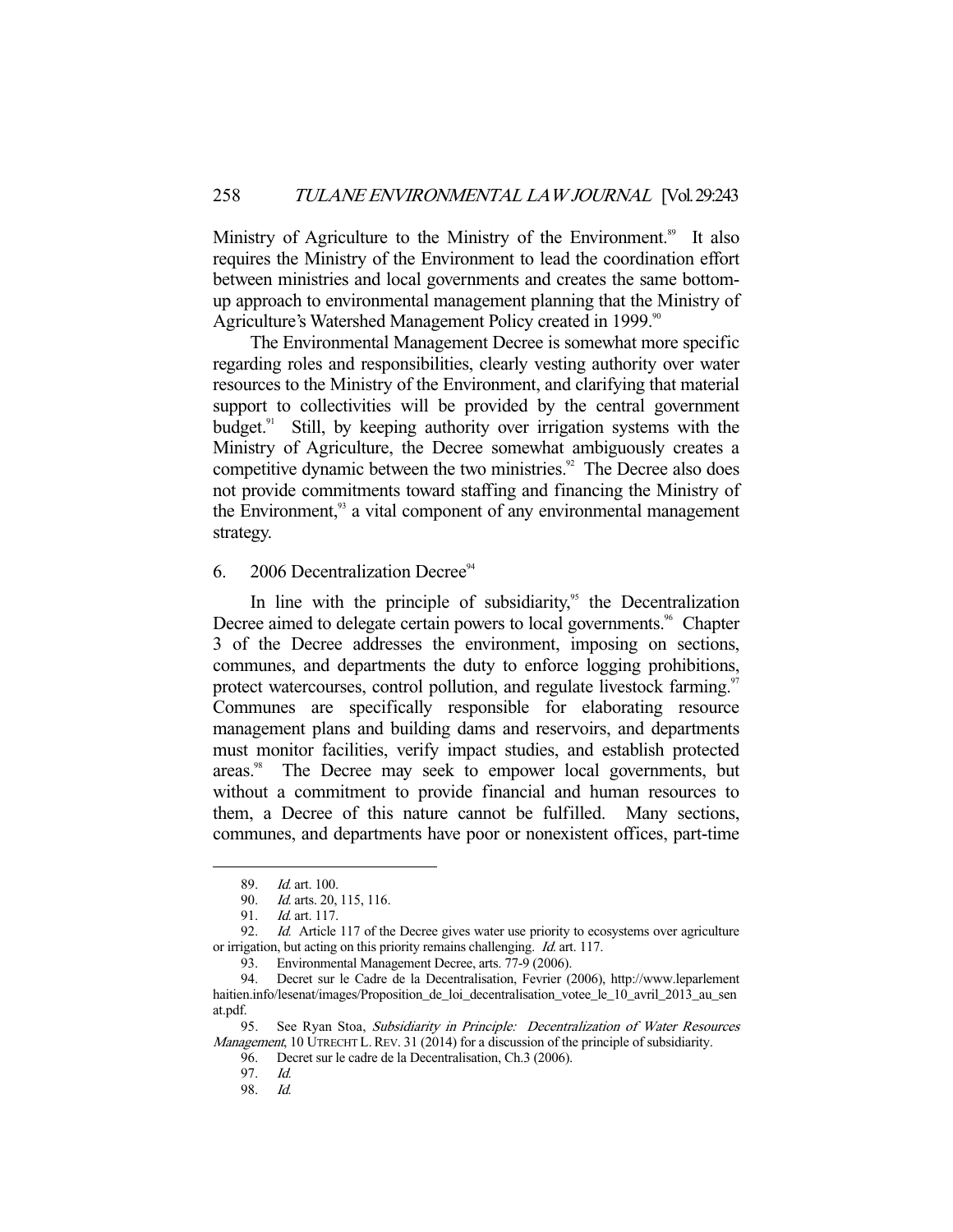Ministry of Agriculture to the Ministry of the Environment.<sup>89</sup> It also requires the Ministry of the Environment to lead the coordination effort between ministries and local governments and creates the same bottomup approach to environmental management planning that the Ministry of Agriculture's Watershed Management Policy created in 1999.<sup>90</sup>

 The Environmental Management Decree is somewhat more specific regarding roles and responsibilities, clearly vesting authority over water resources to the Ministry of the Environment, and clarifying that material support to collectivities will be provided by the central government budget. $91$  Still, by keeping authority over irrigation systems with the Ministry of Agriculture, the Decree somewhat ambiguously creates a competitive dynamic between the two ministries.<sup>92</sup> The Decree also does not provide commitments toward staffing and financing the Ministry of the Environment,<sup>93</sup> a vital component of any environmental management strategy.

## 6. 2006 Decentralization Decree<sup>94</sup>

In line with the principle of subsidiarity,<sup>95</sup> the Decentralization Decree aimed to delegate certain powers to local governments.<sup>96</sup> Chapter 3 of the Decree addresses the environment, imposing on sections, communes, and departments the duty to enforce logging prohibitions, protect watercourses, control pollution, and regulate livestock farming.<sup>97</sup> Communes are specifically responsible for elaborating resource management plans and building dams and reservoirs, and departments must monitor facilities, verify impact studies, and establish protected areas.<sup>98</sup> The Decree may seek to empower local governments, but without a commitment to provide financial and human resources to them, a Decree of this nature cannot be fulfilled. Many sections, communes, and departments have poor or nonexistent offices, part-time

-

96. Decret sur le cadre de la Decentralisation, Ch.3 (2006).

 <sup>89.</sup> Id. art. 100.

 <sup>90.</sup> Id. arts. 20, 115, 116.

<sup>91.</sup> *Id.* art. 117.

<sup>92.</sup> *Id.* Article 117 of the Decree gives water use priority to ecosystems over agriculture or irrigation, but acting on this priority remains challenging. Id. art. 117.

 <sup>93.</sup> Environmental Management Decree, arts. 77-9 (2006).

 <sup>94.</sup> Decret sur le Cadre de la Decentralisation, Fevrier (2006), http://www.leparlement haitien.info/lesenat/images/Proposition\_de\_loi\_decentralisation\_votee\_le\_10\_avril\_2013\_au\_sen at.pdf.

<sup>95.</sup> See Ryan Stoa, Subsidiarity in Principle: Decentralization of Water Resources Management, 10 UTRECHT L. REV. 31 (2014) for a discussion of the principle of subsidiarity.

 <sup>97.</sup> Id.

 <sup>98.</sup> Id.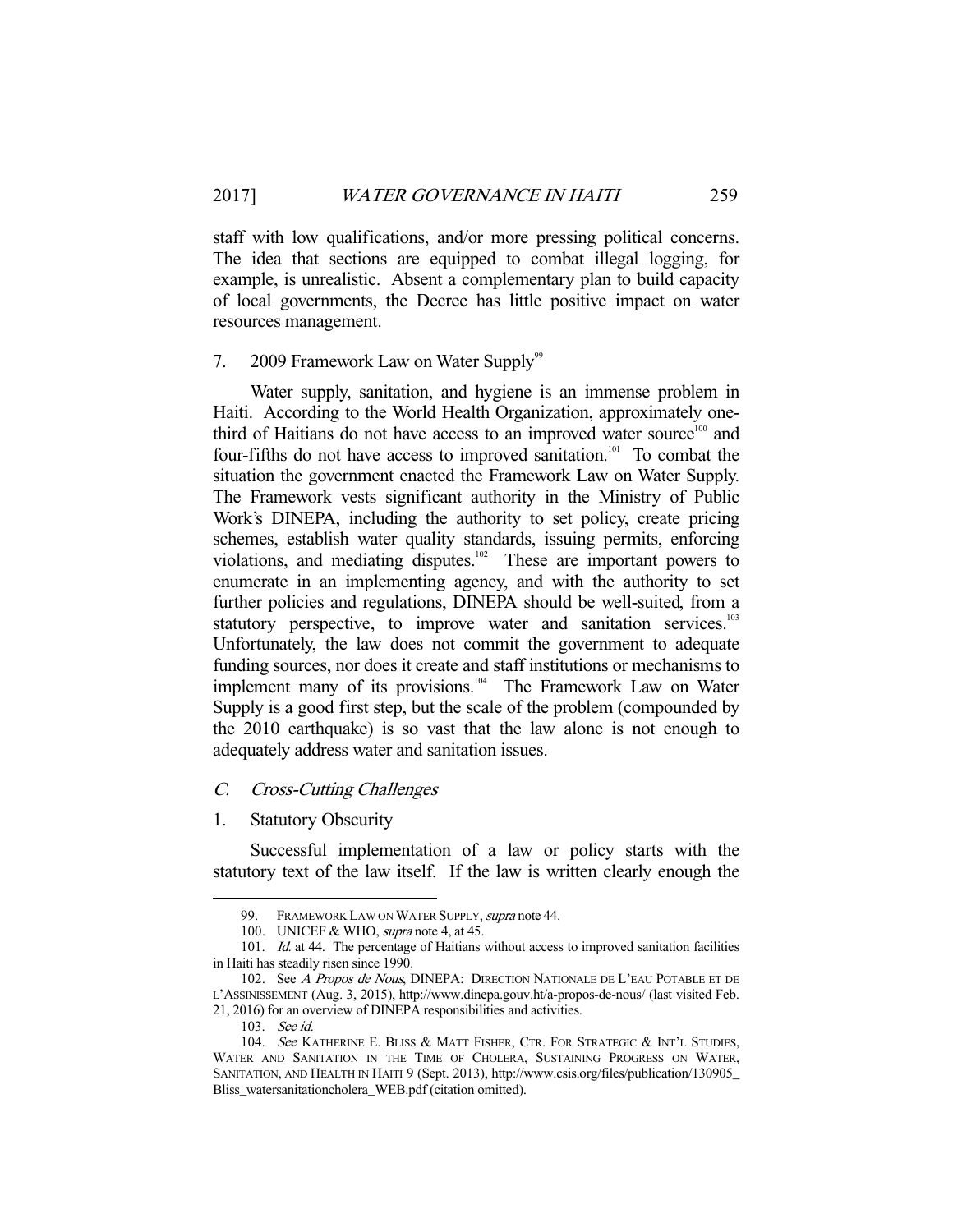staff with low qualifications, and/or more pressing political concerns. The idea that sections are equipped to combat illegal logging, for example, is unrealistic. Absent a complementary plan to build capacity of local governments, the Decree has little positive impact on water resources management.

#### 7. 2009 Framework Law on Water Supply<sup>99</sup>

 Water supply, sanitation, and hygiene is an immense problem in Haiti. According to the World Health Organization, approximately onethird of Haitians do not have access to an improved water source<sup>100</sup> and four-fifths do not have access to improved sanitation.<sup>101</sup> To combat the situation the government enacted the Framework Law on Water Supply. The Framework vests significant authority in the Ministry of Public Work's DINEPA, including the authority to set policy, create pricing schemes, establish water quality standards, issuing permits, enforcing violations, and mediating disputes. $102$  These are important powers to enumerate in an implementing agency, and with the authority to set further policies and regulations, DINEPA should be well-suited, from a statutory perspective, to improve water and sanitation services.<sup>103</sup> Unfortunately, the law does not commit the government to adequate funding sources, nor does it create and staff institutions or mechanisms to implement many of its provisions.<sup>104</sup> The Framework Law on Water Supply is a good first step, but the scale of the problem (compounded by the 2010 earthquake) is so vast that the law alone is not enough to adequately address water and sanitation issues.

# C. Cross-Cutting Challenges

#### 1. Statutory Obscurity

 Successful implementation of a law or policy starts with the statutory text of the law itself. If the law is written clearly enough the

<sup>99.</sup> FRAMEWORK LAW ON WATER SUPPLY, *supra* note 44.

<sup>100.</sup> UNICEF & WHO, *supra* note 4, at 45.

<sup>101.</sup> Id. at 44. The percentage of Haitians without access to improved sanitation facilities in Haiti has steadily risen since 1990.

<sup>102.</sup> See A Propos de Nous, DINEPA: DIRECTION NATIONALE DE L'EAU POTABLE ET DE L'ASSINISSEMENT (Aug. 3, 2015), http://www.dinepa.gouv.ht/a-propos-de-nous/ (last visited Feb. 21, 2016) for an overview of DINEPA responsibilities and activities.

 <sup>103.</sup> See id.

<sup>104.</sup> See KATHERINE E. BLISS & MATT FISHER, CTR. FOR STRATEGIC & INT'L STUDIES, WATER AND SANITATION IN THE TIME OF CHOLERA, SUSTAINING PROGRESS ON WATER, SANITATION, AND HEALTH IN HAITI 9 (Sept. 2013), http://www.csis.org/files/publication/130905\_ Bliss\_watersanitationcholera\_WEB.pdf (citation omitted).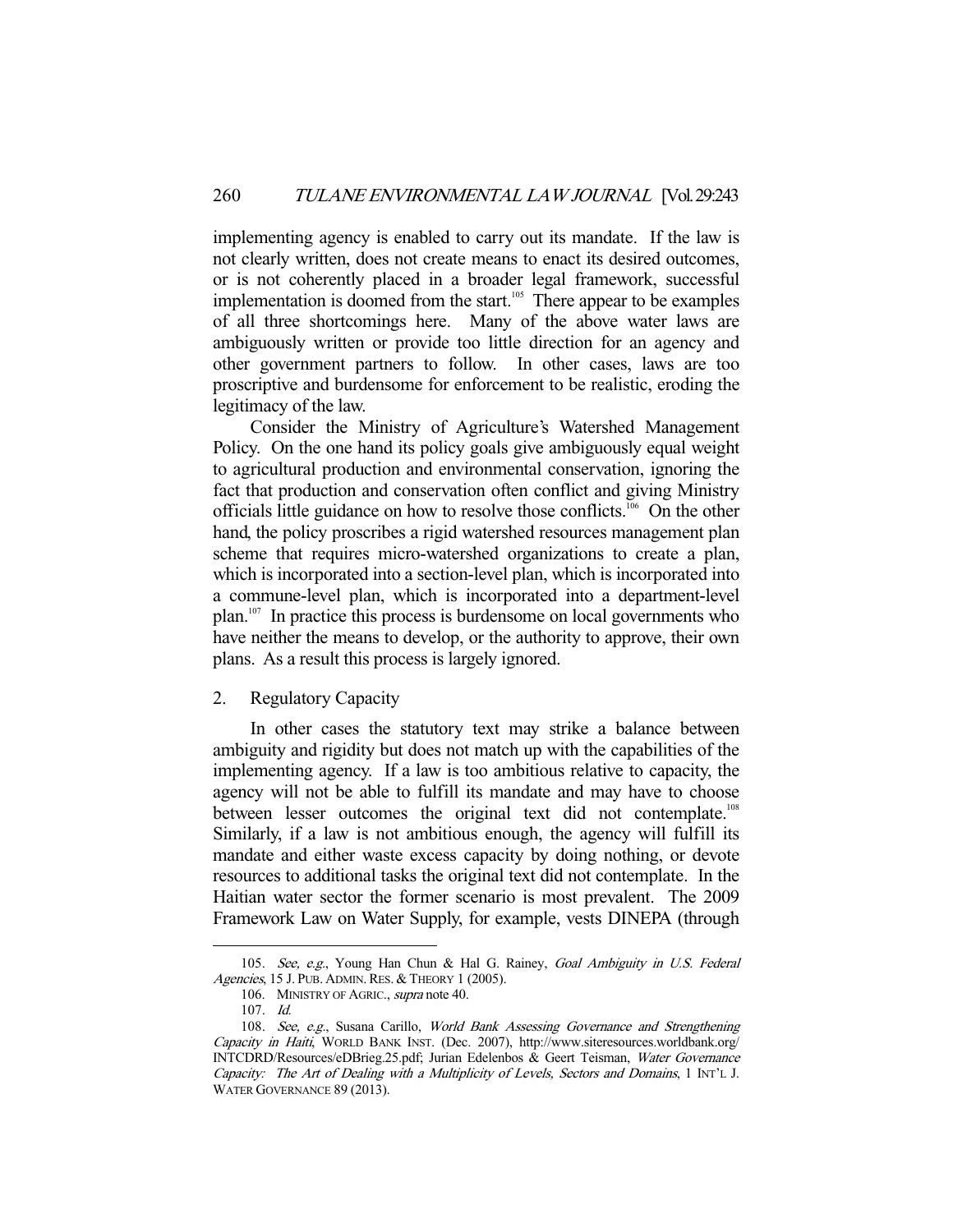implementing agency is enabled to carry out its mandate. If the law is not clearly written, does not create means to enact its desired outcomes, or is not coherently placed in a broader legal framework, successful implementation is doomed from the start.<sup>105</sup> There appear to be examples of all three shortcomings here. Many of the above water laws are ambiguously written or provide too little direction for an agency and other government partners to follow. In other cases, laws are too proscriptive and burdensome for enforcement to be realistic, eroding the legitimacy of the law.

 Consider the Ministry of Agriculture's Watershed Management Policy. On the one hand its policy goals give ambiguously equal weight to agricultural production and environmental conservation, ignoring the fact that production and conservation often conflict and giving Ministry officials little guidance on how to resolve those conflicts.<sup>106</sup> On the other hand, the policy proscribes a rigid watershed resources management plan scheme that requires micro-watershed organizations to create a plan, which is incorporated into a section-level plan, which is incorporated into a commune-level plan, which is incorporated into a department-level plan.107 In practice this process is burdensome on local governments who have neither the means to develop, or the authority to approve, their own plans. As a result this process is largely ignored.

#### 2. Regulatory Capacity

 In other cases the statutory text may strike a balance between ambiguity and rigidity but does not match up with the capabilities of the implementing agency. If a law is too ambitious relative to capacity, the agency will not be able to fulfill its mandate and may have to choose between lesser outcomes the original text did not contemplate.<sup>108</sup> Similarly, if a law is not ambitious enough, the agency will fulfill its mandate and either waste excess capacity by doing nothing, or devote resources to additional tasks the original text did not contemplate. In the Haitian water sector the former scenario is most prevalent. The 2009 Framework Law on Water Supply, for example, vests DINEPA (through

<sup>105.</sup> See, e.g., Young Han Chun & Hal G. Rainey, Goal Ambiguity in U.S. Federal Agencies, 15 J. PUB. ADMIN. RES. & THEORY 1 (2005).

<sup>106.</sup> MINISTRY OF AGRIC., supra note 40.

 <sup>107.</sup> Id.

<sup>108.</sup> See, e.g., Susana Carillo, World Bank Assessing Governance and Strengthening Capacity in Haiti, WORLD BANK INST. (Dec. 2007), http://www.siteresources.worldbank.org/ INTCDRD/Resources/eDBrieg.25.pdf; Jurian Edelenbos & Geert Teisman, Water Governance Capacity: The Art of Dealing with a Multiplicity of Levels, Sectors and Domains, 1 INT'L J. WATER GOVERNANCE 89 (2013).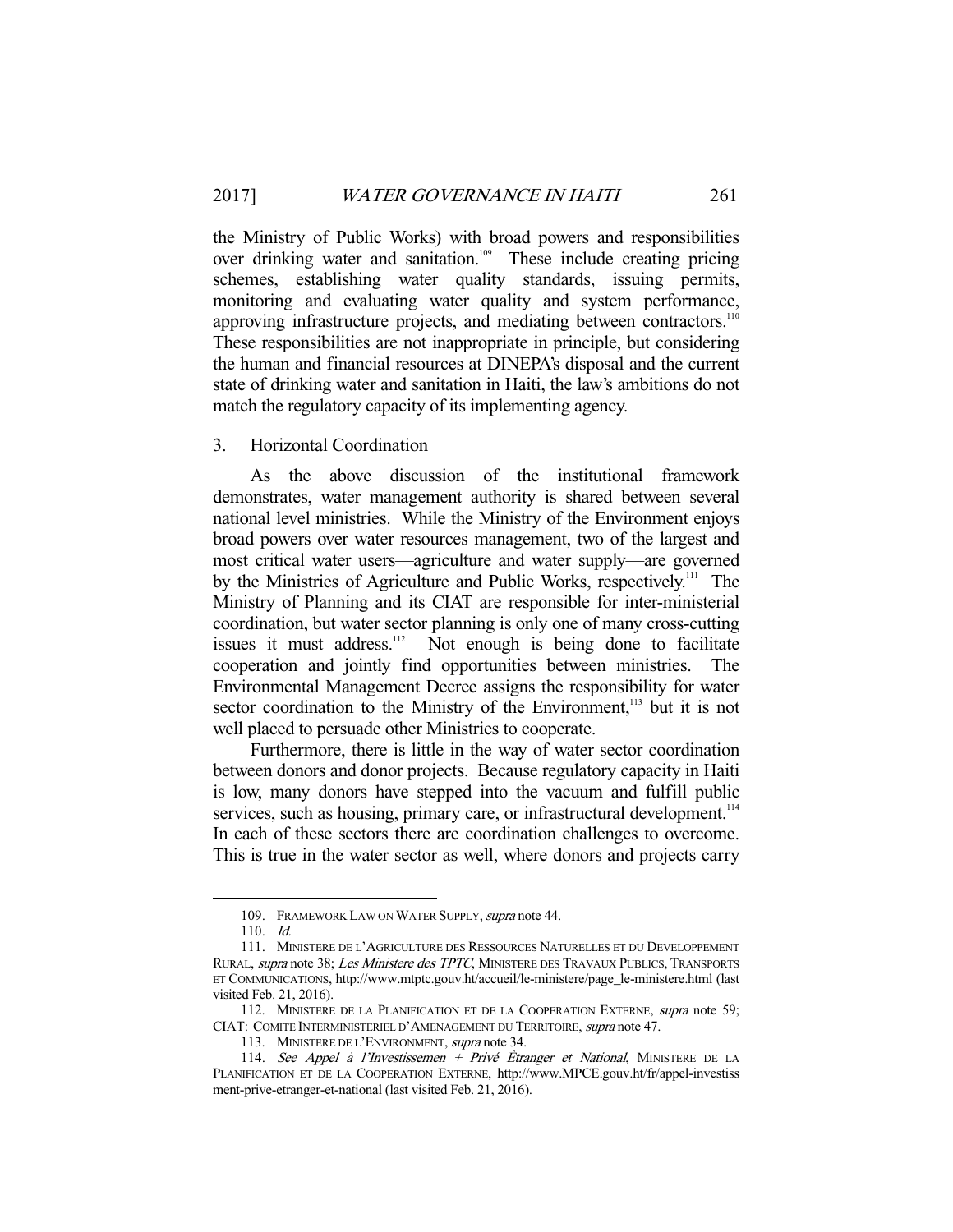the Ministry of Public Works) with broad powers and responsibilities over drinking water and sanitation.<sup>109</sup> These include creating pricing schemes, establishing water quality standards, issuing permits, monitoring and evaluating water quality and system performance, approving infrastructure projects, and mediating between contractors.<sup>110</sup> These responsibilities are not inappropriate in principle, but considering the human and financial resources at DINEPA's disposal and the current state of drinking water and sanitation in Haiti, the law's ambitions do not match the regulatory capacity of its implementing agency.

# 3. Horizontal Coordination

 As the above discussion of the institutional framework demonstrates, water management authority is shared between several national level ministries. While the Ministry of the Environment enjoys broad powers over water resources management, two of the largest and most critical water users—agriculture and water supply—are governed by the Ministries of Agriculture and Public Works, respectively.<sup>111</sup> The Ministry of Planning and its CIAT are responsible for inter-ministerial coordination, but water sector planning is only one of many cross-cutting issues it must address.<sup>112</sup> Not enough is being done to facilitate cooperation and jointly find opportunities between ministries. The Environmental Management Decree assigns the responsibility for water sector coordination to the Ministry of the Environment,<sup>113</sup> but it is not well placed to persuade other Ministries to cooperate.

 Furthermore, there is little in the way of water sector coordination between donors and donor projects. Because regulatory capacity in Haiti is low, many donors have stepped into the vacuum and fulfill public services, such as housing, primary care, or infrastructural development.<sup>114</sup> In each of these sectors there are coordination challenges to overcome. This is true in the water sector as well, where donors and projects carry

<sup>109.</sup> FRAMEWORK LAW ON WATER SUPPLY, supra note 44.

 <sup>110.</sup> Id.

 <sup>111.</sup> MINISTERE DE L'AGRICULTURE DES RESSOURCES NATURELLES ET DU DEVELOPPEMENT RURAL, supra note 38; Les Ministere des TPTC, MINISTERE DES TRAVAUX PUBLICS, TRANSPORTS ET COMMUNICATIONS, http://www.mtptc.gouv.ht/accueil/le-ministere/page\_le-ministere.html (last visited Feb. 21, 2016).

<sup>112.</sup> MINISTERE DE LA PLANIFICATION ET DE LA COOPERATION EXTERNE, *supra* note 59; CIAT: COMITE INTERMINISTERIEL D'AMENAGEMENT DU TERRITOIRE, supra note 47.

 <sup>113.</sup> MINISTERE DE L'ENVIRONMENT, supra note 34.

 <sup>114.</sup> See Appel à l'Investissemen + Privé Ètranger et National, MINISTERE DE LA PLANIFICATION ET DE LA COOPERATION EXTERNE, http://www.MPCE.gouv.ht/fr/appel-investiss ment-prive-etranger-et-national (last visited Feb. 21, 2016).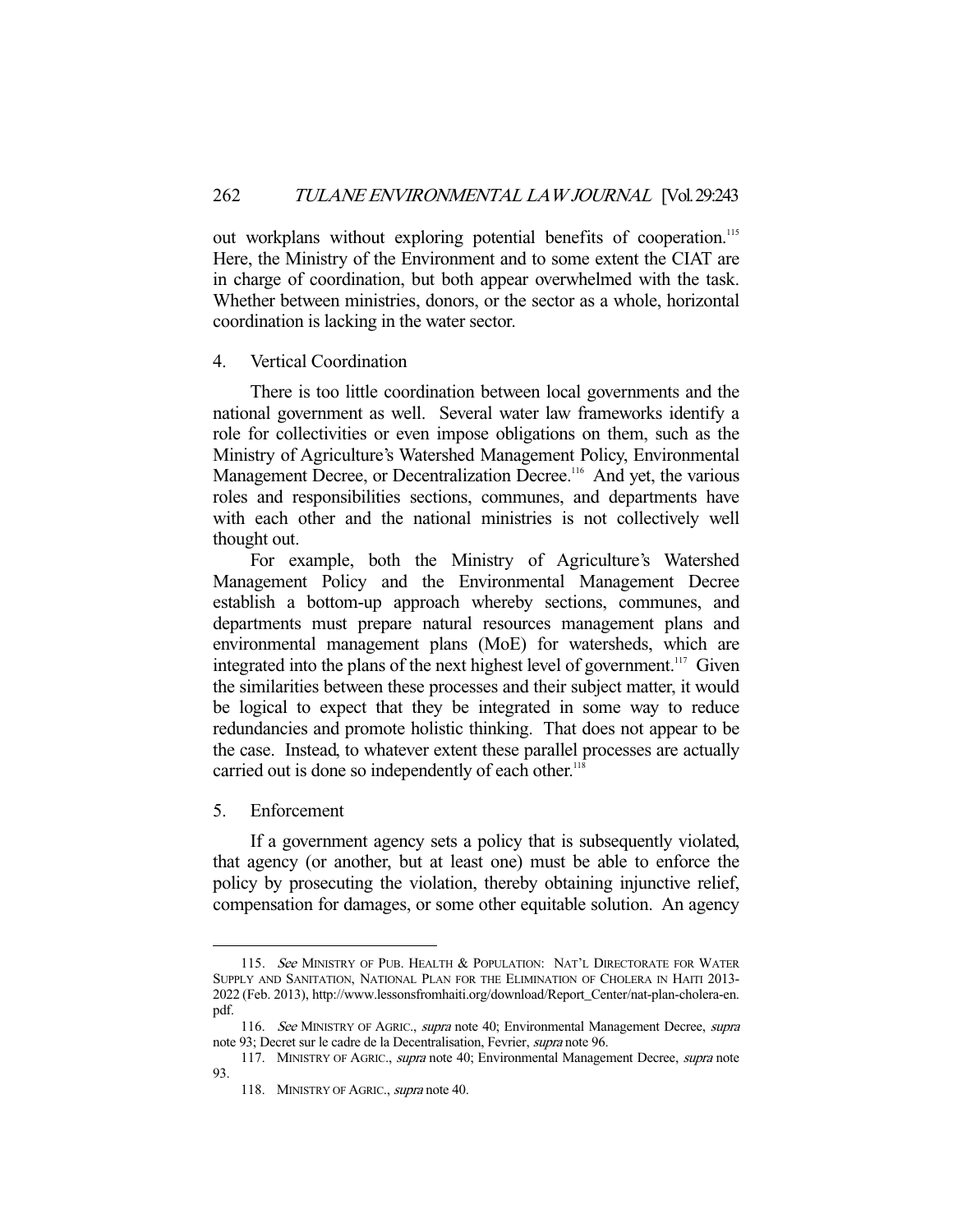out workplans without exploring potential benefits of cooperation.<sup>115</sup> Here, the Ministry of the Environment and to some extent the CIAT are in charge of coordination, but both appear overwhelmed with the task. Whether between ministries, donors, or the sector as a whole, horizontal coordination is lacking in the water sector.

#### 4. Vertical Coordination

 There is too little coordination between local governments and the national government as well. Several water law frameworks identify a role for collectivities or even impose obligations on them, such as the Ministry of Agriculture's Watershed Management Policy, Environmental Management Decree, or Decentralization Decree.<sup>116</sup> And yet, the various roles and responsibilities sections, communes, and departments have with each other and the national ministries is not collectively well thought out.

 For example, both the Ministry of Agriculture's Watershed Management Policy and the Environmental Management Decree establish a bottom-up approach whereby sections, communes, and departments must prepare natural resources management plans and environmental management plans (MoE) for watersheds, which are integrated into the plans of the next highest level of government.<sup>117</sup> Given the similarities between these processes and their subject matter, it would be logical to expect that they be integrated in some way to reduce redundancies and promote holistic thinking. That does not appear to be the case. Instead, to whatever extent these parallel processes are actually carried out is done so independently of each other.<sup>11</sup>

5. Enforcement

-

 If a government agency sets a policy that is subsequently violated, that agency (or another, but at least one) must be able to enforce the policy by prosecuting the violation, thereby obtaining injunctive relief, compensation for damages, or some other equitable solution. An agency

<sup>115.</sup> See MINISTRY OF PUB. HEALTH & POPULATION: NAT'L DIRECTORATE FOR WATER SUPPLY AND SANITATION, NATIONAL PLAN FOR THE ELIMINATION OF CHOLERA IN HAITI 2013- 2022 (Feb. 2013), http://www.lessonsfromhaiti.org/download/Report\_Center/nat-plan-cholera-en. pdf.

<sup>116.</sup> See MINISTRY OF AGRIC., supra note 40; Environmental Management Decree, supra note 93; Decret sur le cadre de la Decentralisation, Fevrier, supra note 96.

<sup>117.</sup> MINISTRY OF AGRIC., *supra* note 40; Environmental Management Decree, *supra* note 93.

<sup>118.</sup> MINISTRY OF AGRIC., *supra* note 40.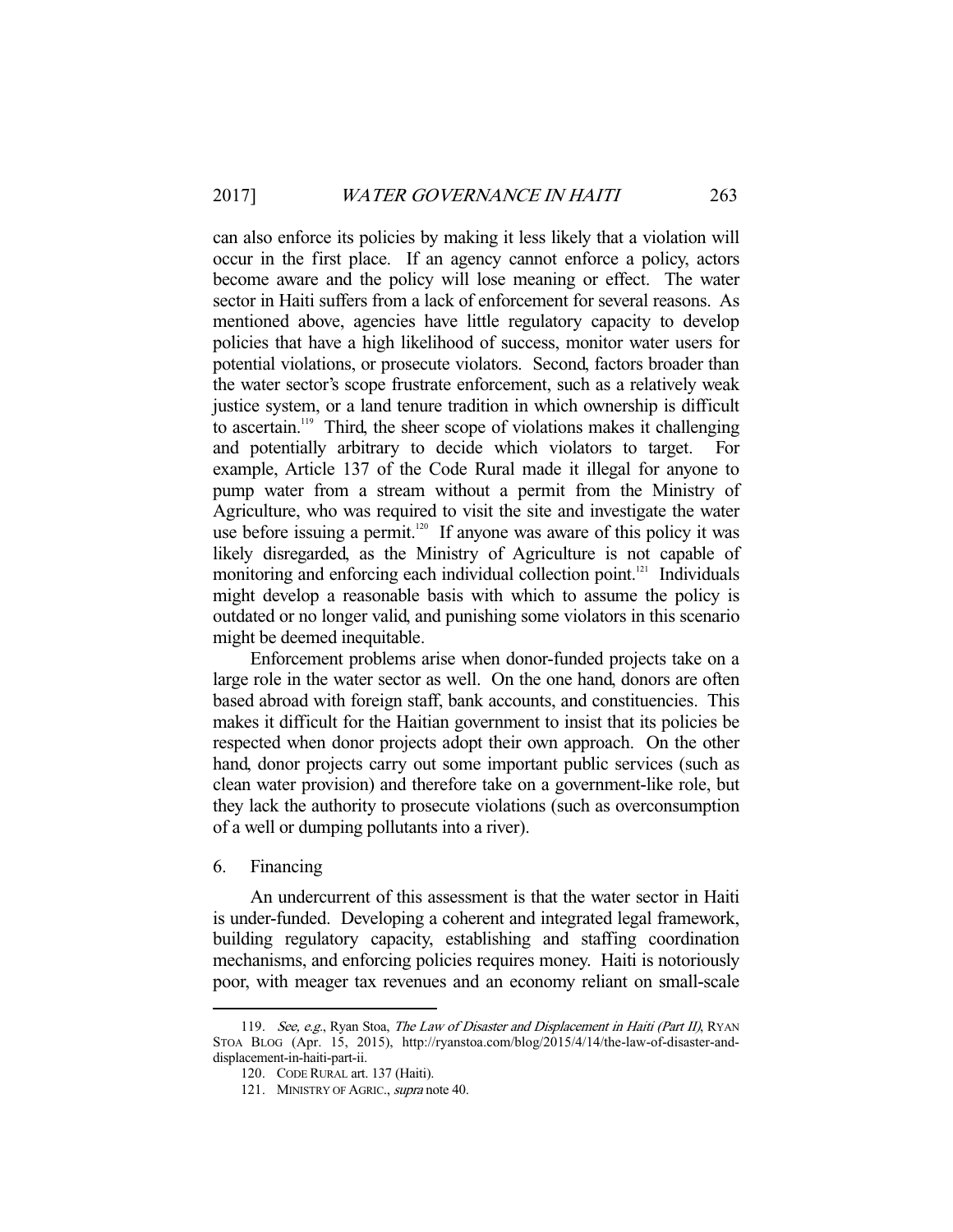can also enforce its policies by making it less likely that a violation will occur in the first place. If an agency cannot enforce a policy, actors become aware and the policy will lose meaning or effect. The water sector in Haiti suffers from a lack of enforcement for several reasons. As mentioned above, agencies have little regulatory capacity to develop policies that have a high likelihood of success, monitor water users for potential violations, or prosecute violators. Second, factors broader than the water sector's scope frustrate enforcement, such as a relatively weak justice system, or a land tenure tradition in which ownership is difficult to ascertain.119 Third, the sheer scope of violations makes it challenging and potentially arbitrary to decide which violators to target. example, Article 137 of the Code Rural made it illegal for anyone to pump water from a stream without a permit from the Ministry of Agriculture, who was required to visit the site and investigate the water use before issuing a permit.<sup>120</sup> If anyone was aware of this policy it was likely disregarded, as the Ministry of Agriculture is not capable of monitoring and enforcing each individual collection point.<sup>121</sup> Individuals might develop a reasonable basis with which to assume the policy is outdated or no longer valid, and punishing some violators in this scenario might be deemed inequitable.

 Enforcement problems arise when donor-funded projects take on a large role in the water sector as well. On the one hand, donors are often based abroad with foreign staff, bank accounts, and constituencies. This makes it difficult for the Haitian government to insist that its policies be respected when donor projects adopt their own approach. On the other hand, donor projects carry out some important public services (such as clean water provision) and therefore take on a government-like role, but they lack the authority to prosecute violations (such as overconsumption of a well or dumping pollutants into a river).

# 6. Financing

-

 An undercurrent of this assessment is that the water sector in Haiti is under-funded. Developing a coherent and integrated legal framework, building regulatory capacity, establishing and staffing coordination mechanisms, and enforcing policies requires money. Haiti is notoriously poor, with meager tax revenues and an economy reliant on small-scale

<sup>119.</sup> See, e.g., Ryan Stoa, The Law of Disaster and Displacement in Haiti (Part II), RYAN STOA BLOG (Apr. 15, 2015), http://ryanstoa.com/blog/2015/4/14/the-law-of-disaster-anddisplacement-in-haiti-part-ii.

 <sup>120.</sup> CODE RURAL art. 137 (Haiti).

<sup>121.</sup> MINISTRY OF AGRIC., supra note 40.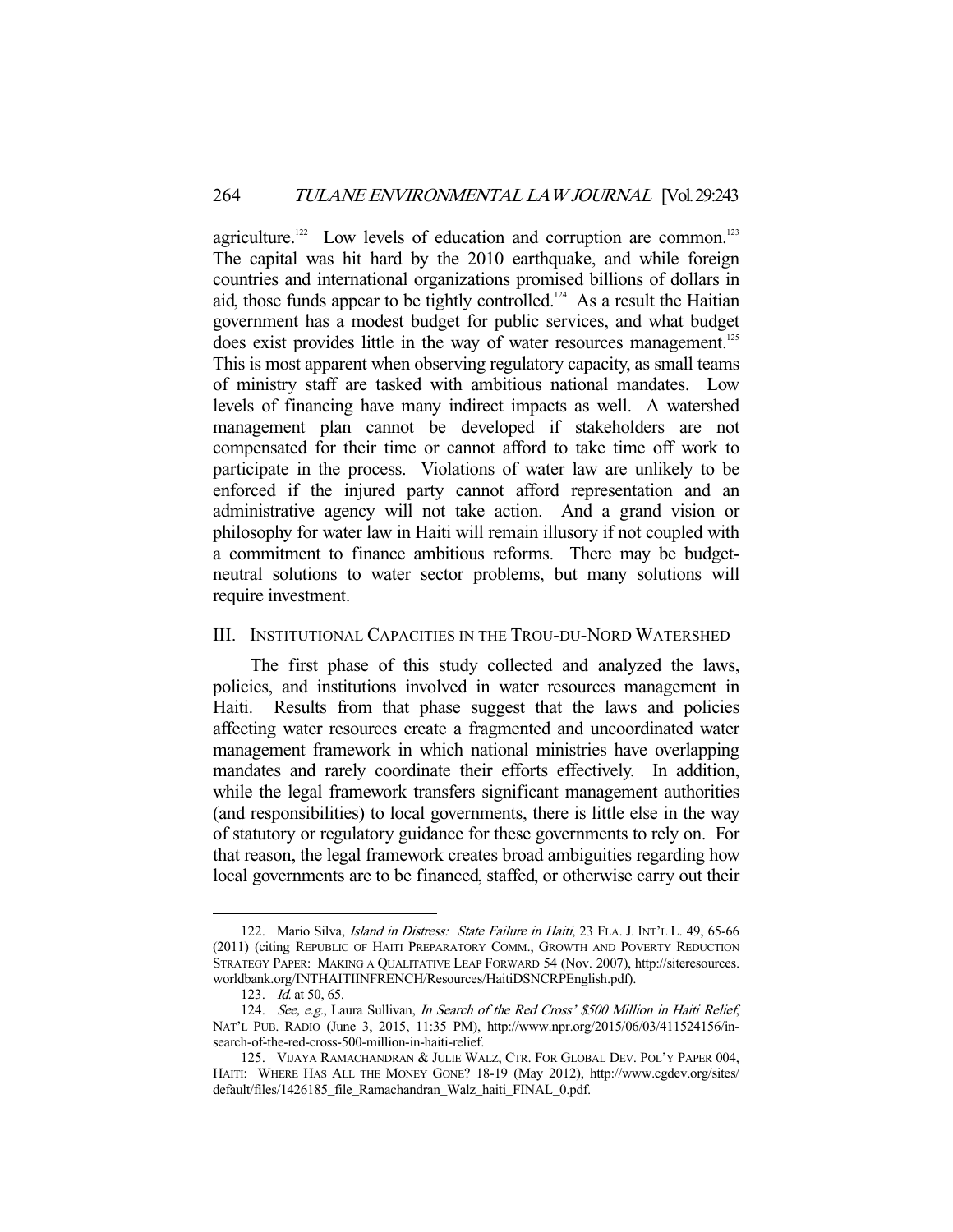agriculture.<sup>122</sup> Low levels of education and corruption are common.<sup>123</sup> The capital was hit hard by the 2010 earthquake, and while foreign countries and international organizations promised billions of dollars in aid, those funds appear to be tightly controlled.<sup>124</sup> As a result the Haitian government has a modest budget for public services, and what budget does exist provides little in the way of water resources management.<sup>125</sup> This is most apparent when observing regulatory capacity, as small teams of ministry staff are tasked with ambitious national mandates. Low levels of financing have many indirect impacts as well. A watershed management plan cannot be developed if stakeholders are not compensated for their time or cannot afford to take time off work to participate in the process. Violations of water law are unlikely to be enforced if the injured party cannot afford representation and an administrative agency will not take action. And a grand vision or philosophy for water law in Haiti will remain illusory if not coupled with a commitment to finance ambitious reforms. There may be budgetneutral solutions to water sector problems, but many solutions will require investment.

# III. INSTITUTIONAL CAPACITIES IN THE TROU-DU-NORD WATERSHED

 The first phase of this study collected and analyzed the laws, policies, and institutions involved in water resources management in Haiti. Results from that phase suggest that the laws and policies affecting water resources create a fragmented and uncoordinated water management framework in which national ministries have overlapping mandates and rarely coordinate their efforts effectively. In addition, while the legal framework transfers significant management authorities (and responsibilities) to local governments, there is little else in the way of statutory or regulatory guidance for these governments to rely on. For that reason, the legal framework creates broad ambiguities regarding how local governments are to be financed, staffed, or otherwise carry out their

<sup>122.</sup> Mario Silva, *Island in Distress: State Failure in Haiti*, 23 FLA. J. INT'L L. 49, 65-66 (2011) (citing REPUBLIC OF HAITI PREPARATORY COMM., GROWTH AND POVERTY REDUCTION STRATEGY PAPER: MAKING A QUALITATIVE LEAP FORWARD 54 (Nov. 2007), http://siteresources. worldbank.org/INTHAITIINFRENCH/Resources/HaitiDSNCRPEnglish.pdf).

<sup>123.</sup> *Id.* at 50, 65.

<sup>124.</sup> See, e.g., Laura Sullivan, In Search of the Red Cross' \$500 Million in Haiti Relief, NAT'L PUB. RADIO (June 3, 2015, 11:35 PM), http://www.npr.org/2015/06/03/411524156/insearch-of-the-red-cross-500-million-in-haiti-relief.

 <sup>125.</sup> VIJAYA RAMACHANDRAN & JULIE WALZ, CTR. FOR GLOBAL DEV. POL'Y PAPER 004, HAITI: WHERE HAS ALL THE MONEY GONE? 18-19 (May 2012), http://www.cgdev.org/sites/ default/files/1426185\_file\_Ramachandran\_Walz\_haiti\_FINAL\_0.pdf.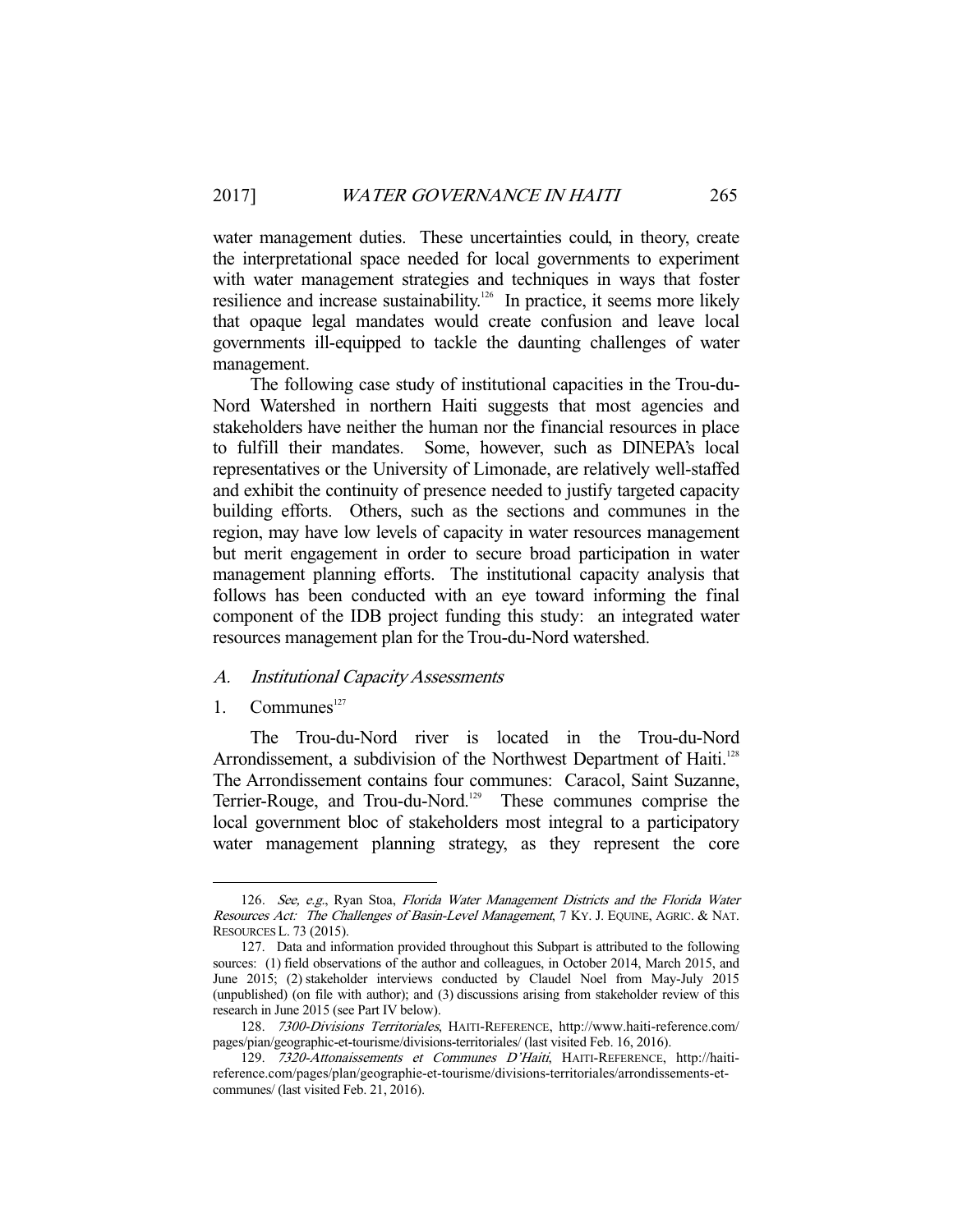water management duties. These uncertainties could, in theory, create the interpretational space needed for local governments to experiment with water management strategies and techniques in ways that foster resilience and increase sustainability.<sup>126</sup> In practice, it seems more likely that opaque legal mandates would create confusion and leave local governments ill-equipped to tackle the daunting challenges of water management.

 The following case study of institutional capacities in the Trou-du-Nord Watershed in northern Haiti suggests that most agencies and stakeholders have neither the human nor the financial resources in place to fulfill their mandates. Some, however, such as DINEPA's local representatives or the University of Limonade, are relatively well-staffed and exhibit the continuity of presence needed to justify targeted capacity building efforts. Others, such as the sections and communes in the region, may have low levels of capacity in water resources management but merit engagement in order to secure broad participation in water management planning efforts. The institutional capacity analysis that follows has been conducted with an eye toward informing the final component of the IDB project funding this study: an integrated water resources management plan for the Trou-du-Nord watershed.

#### A. Institutional Capacity Assessments

1. Communes<sup>127</sup>

-

 The Trou-du-Nord river is located in the Trou-du-Nord Arrondissement, a subdivision of the Northwest Department of Haiti.<sup>128</sup> The Arrondissement contains four communes: Caracol, Saint Suzanne, Terrier-Rouge, and Trou-du-Nord.<sup>129</sup> These communes comprise the local government bloc of stakeholders most integral to a participatory water management planning strategy, as they represent the core

<sup>126.</sup> See, e.g., Ryan Stoa, Florida Water Management Districts and the Florida Water Resources Act: The Challenges of Basin-Level Management, 7 KY. J. EQUINE, AGRIC. & NAT. RESOURCES L. 73 (2015).

 <sup>127.</sup> Data and information provided throughout this Subpart is attributed to the following sources: (1) field observations of the author and colleagues, in October 2014, March 2015, and June 2015; (2) stakeholder interviews conducted by Claudel Noel from May-July 2015 (unpublished) (on file with author); and (3) discussions arising from stakeholder review of this research in June 2015 (see Part IV below).

 <sup>128.</sup> 7300-Divisions Territoriales, HAITI-REFERENCE, http://www.haiti-reference.com/ pages/pian/geographic-et-tourisme/divisions-territoriales/ (last visited Feb. 16, 2016).

 <sup>129.</sup> 7320-Attonaissements et Communes D'Haiti, HAITI-REFERENCE, http://haitireference.com/pages/plan/geographie-et-tourisme/divisions-territoriales/arrondissements-etcommunes/ (last visited Feb. 21, 2016).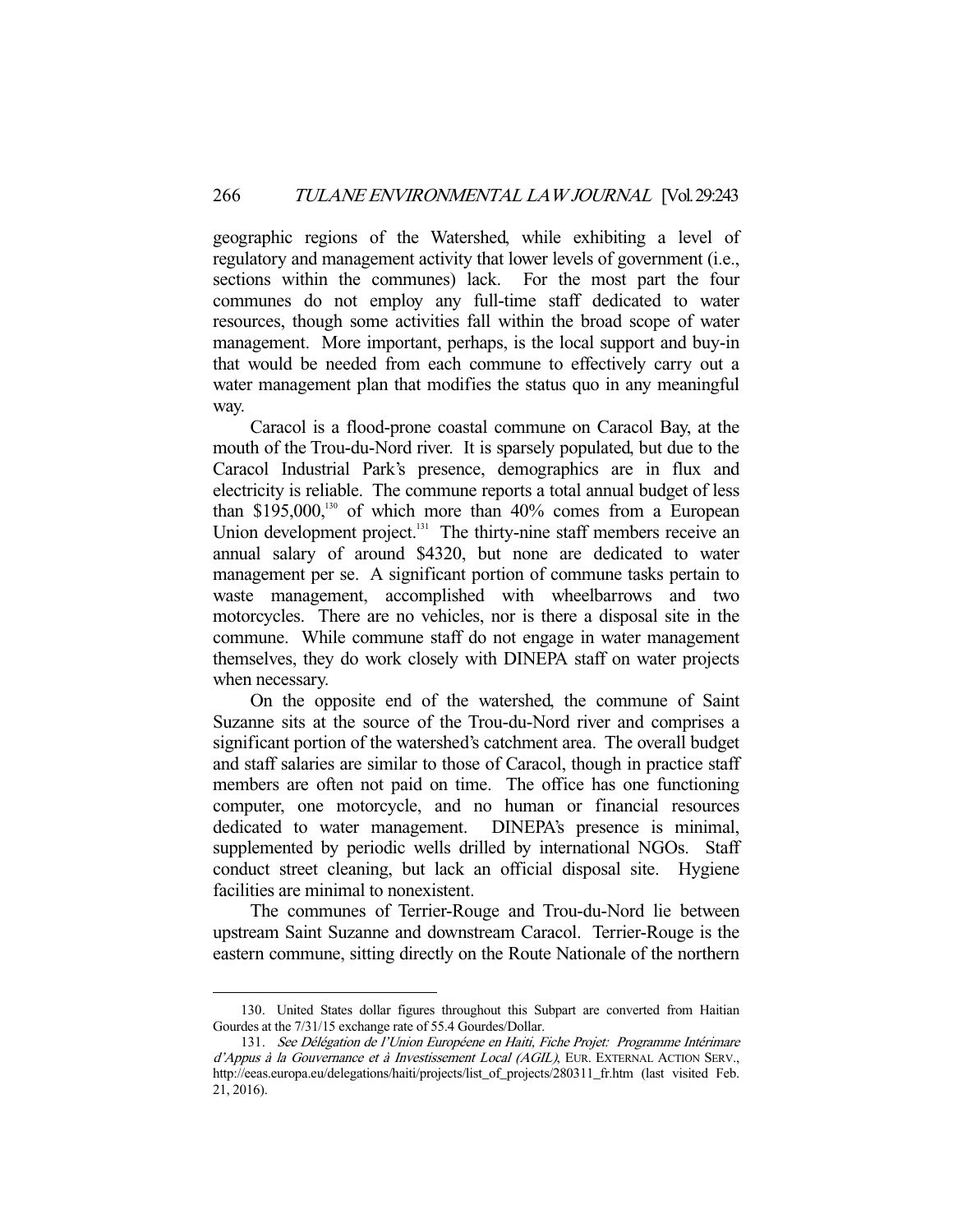geographic regions of the Watershed, while exhibiting a level of regulatory and management activity that lower levels of government (i.e., sections within the communes) lack. For the most part the four communes do not employ any full-time staff dedicated to water resources, though some activities fall within the broad scope of water management. More important, perhaps, is the local support and buy-in that would be needed from each commune to effectively carry out a water management plan that modifies the status quo in any meaningful way.

 Caracol is a flood-prone coastal commune on Caracol Bay, at the mouth of the Trou-du-Nord river. It is sparsely populated, but due to the Caracol Industrial Park's presence, demographics are in flux and electricity is reliable. The commune reports a total annual budget of less than  $$195,000$ ,<sup>130</sup> of which more than  $40\%$  comes from a European Union development project. $131$  The thirty-nine staff members receive an annual salary of around \$4320, but none are dedicated to water management per se. A significant portion of commune tasks pertain to waste management, accomplished with wheelbarrows and two motorcycles. There are no vehicles, nor is there a disposal site in the commune. While commune staff do not engage in water management themselves, they do work closely with DINEPA staff on water projects when necessary.

 On the opposite end of the watershed, the commune of Saint Suzanne sits at the source of the Trou-du-Nord river and comprises a significant portion of the watershed's catchment area. The overall budget and staff salaries are similar to those of Caracol, though in practice staff members are often not paid on time. The office has one functioning computer, one motorcycle, and no human or financial resources dedicated to water management. DINEPA's presence is minimal, supplemented by periodic wells drilled by international NGOs. Staff conduct street cleaning, but lack an official disposal site. Hygiene facilities are minimal to nonexistent.

 The communes of Terrier-Rouge and Trou-du-Nord lie between upstream Saint Suzanne and downstream Caracol. Terrier-Rouge is the eastern commune, sitting directly on the Route Nationale of the northern

 <sup>130.</sup> United States dollar figures throughout this Subpart are converted from Haitian Gourdes at the 7/31/15 exchange rate of 55.4 Gourdes/Dollar.

 <sup>131.</sup> See Délégation de l'Union Européene en Haiti, Fiche Projet: Programme Intérimare d'Appus à la Gouvernance et à Investissement Local (AGIL), EUR. EXTERNAL ACTION SERV., http://eeas.europa.eu/delegations/haiti/projects/list\_of\_projects/280311\_fr.htm (last visited Feb. 21, 2016).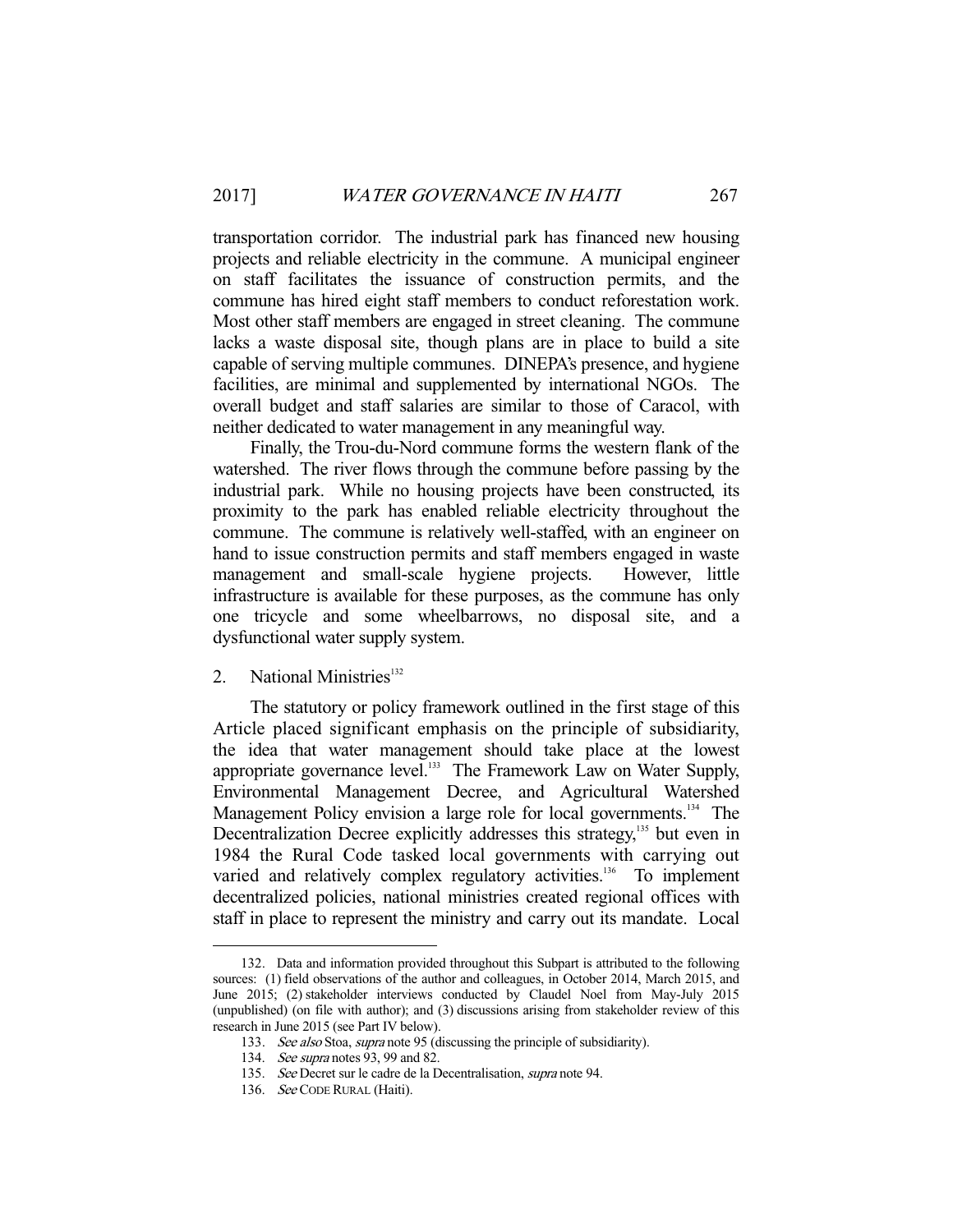transportation corridor. The industrial park has financed new housing projects and reliable electricity in the commune. A municipal engineer on staff facilitates the issuance of construction permits, and the commune has hired eight staff members to conduct reforestation work. Most other staff members are engaged in street cleaning. The commune lacks a waste disposal site, though plans are in place to build a site capable of serving multiple communes. DINEPA's presence, and hygiene facilities, are minimal and supplemented by international NGOs. The overall budget and staff salaries are similar to those of Caracol, with neither dedicated to water management in any meaningful way.

 Finally, the Trou-du-Nord commune forms the western flank of the watershed. The river flows through the commune before passing by the industrial park. While no housing projects have been constructed, its proximity to the park has enabled reliable electricity throughout the commune. The commune is relatively well-staffed, with an engineer on hand to issue construction permits and staff members engaged in waste management and small-scale hygiene projects. However, little infrastructure is available for these purposes, as the commune has only one tricycle and some wheelbarrows, no disposal site, and a dysfunctional water supply system.

# 2. National Ministries<sup>132</sup>

 The statutory or policy framework outlined in the first stage of this Article placed significant emphasis on the principle of subsidiarity, the idea that water management should take place at the lowest appropriate governance level.<sup>133</sup> The Framework Law on Water Supply, Environmental Management Decree, and Agricultural Watershed Management Policy envision a large role for local governments.<sup>134</sup> The Decentralization Decree explicitly addresses this strategy,<sup>135</sup> but even in 1984 the Rural Code tasked local governments with carrying out varied and relatively complex regulatory activities.<sup>136</sup> To implement decentralized policies, national ministries created regional offices with staff in place to represent the ministry and carry out its mandate. Local

 <sup>132.</sup> Data and information provided throughout this Subpart is attributed to the following sources: (1) field observations of the author and colleagues, in October 2014, March 2015, and June 2015; (2) stakeholder interviews conducted by Claudel Noel from May-July 2015 (unpublished) (on file with author); and (3) discussions arising from stakeholder review of this research in June 2015 (see Part IV below).

<sup>133.</sup> See also Stoa, supra note 95 (discussing the principle of subsidiarity).

<sup>134.</sup> See supra notes 93, 99 and 82.

 <sup>135.</sup> See Decret sur le cadre de la Decentralisation, supra note 94.

 <sup>136.</sup> See CODE RURAL (Haiti).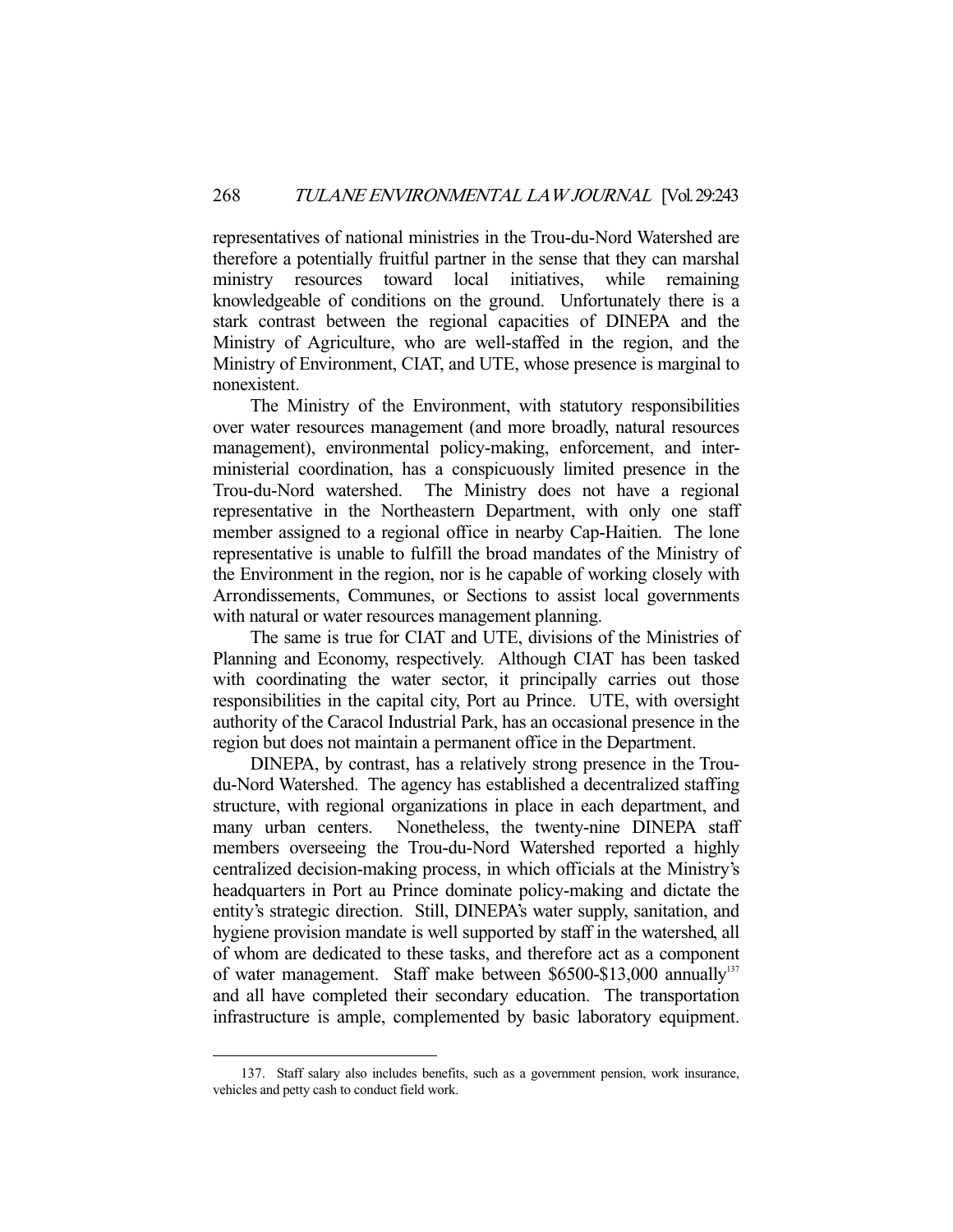representatives of national ministries in the Trou-du-Nord Watershed are therefore a potentially fruitful partner in the sense that they can marshal ministry resources toward local initiatives, while remaining knowledgeable of conditions on the ground. Unfortunately there is a stark contrast between the regional capacities of DINEPA and the Ministry of Agriculture, who are well-staffed in the region, and the Ministry of Environment, CIAT, and UTE, whose presence is marginal to nonexistent.

 The Ministry of the Environment, with statutory responsibilities over water resources management (and more broadly, natural resources management), environmental policy-making, enforcement, and interministerial coordination, has a conspicuously limited presence in the Trou-du-Nord watershed. The Ministry does not have a regional representative in the Northeastern Department, with only one staff member assigned to a regional office in nearby Cap-Haitien. The lone representative is unable to fulfill the broad mandates of the Ministry of the Environment in the region, nor is he capable of working closely with Arrondissements, Communes, or Sections to assist local governments with natural or water resources management planning.

 The same is true for CIAT and UTE, divisions of the Ministries of Planning and Economy, respectively. Although CIAT has been tasked with coordinating the water sector, it principally carries out those responsibilities in the capital city, Port au Prince. UTE, with oversight authority of the Caracol Industrial Park, has an occasional presence in the region but does not maintain a permanent office in the Department.

 DINEPA, by contrast, has a relatively strong presence in the Troudu-Nord Watershed. The agency has established a decentralized staffing structure, with regional organizations in place in each department, and many urban centers. Nonetheless, the twenty-nine DINEPA staff members overseeing the Trou-du-Nord Watershed reported a highly centralized decision-making process, in which officials at the Ministry's headquarters in Port au Prince dominate policy-making and dictate the entity's strategic direction. Still, DINEPA's water supply, sanitation, and hygiene provision mandate is well supported by staff in the watershed, all of whom are dedicated to these tasks, and therefore act as a component of water management. Staff make between \$6500-\$13,000 annually<sup>137</sup> and all have completed their secondary education. The transportation infrastructure is ample, complemented by basic laboratory equipment.

 <sup>137.</sup> Staff salary also includes benefits, such as a government pension, work insurance, vehicles and petty cash to conduct field work.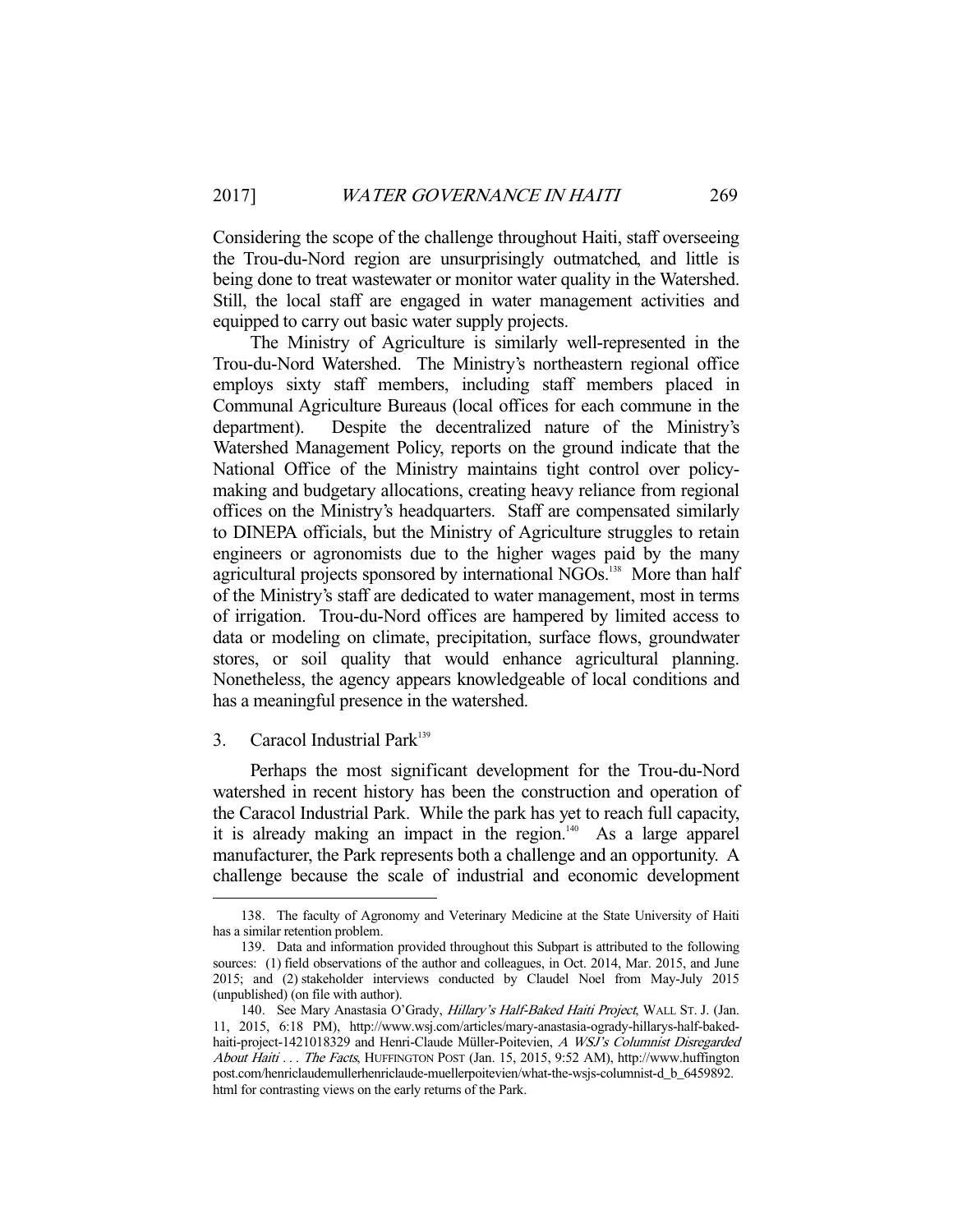Considering the scope of the challenge throughout Haiti, staff overseeing the Trou-du-Nord region are unsurprisingly outmatched, and little is being done to treat wastewater or monitor water quality in the Watershed. Still, the local staff are engaged in water management activities and equipped to carry out basic water supply projects.

 The Ministry of Agriculture is similarly well-represented in the Trou-du-Nord Watershed. The Ministry's northeastern regional office employs sixty staff members, including staff members placed in Communal Agriculture Bureaus (local offices for each commune in the department). Despite the decentralized nature of the Ministry's Watershed Management Policy, reports on the ground indicate that the National Office of the Ministry maintains tight control over policymaking and budgetary allocations, creating heavy reliance from regional offices on the Ministry's headquarters. Staff are compensated similarly to DINEPA officials, but the Ministry of Agriculture struggles to retain engineers or agronomists due to the higher wages paid by the many agricultural projects sponsored by international NGOs.<sup>138</sup> More than half of the Ministry's staff are dedicated to water management, most in terms of irrigation. Trou-du-Nord offices are hampered by limited access to data or modeling on climate, precipitation, surface flows, groundwater stores, or soil quality that would enhance agricultural planning. Nonetheless, the agency appears knowledgeable of local conditions and has a meaningful presence in the watershed.

# 3. Caracol Industrial Park<sup>139</sup>

-

 Perhaps the most significant development for the Trou-du-Nord watershed in recent history has been the construction and operation of the Caracol Industrial Park. While the park has yet to reach full capacity, it is already making an impact in the region. $140$  As a large apparel manufacturer, the Park represents both a challenge and an opportunity. A challenge because the scale of industrial and economic development

 <sup>138.</sup> The faculty of Agronomy and Veterinary Medicine at the State University of Haiti has a similar retention problem.

 <sup>139.</sup> Data and information provided throughout this Subpart is attributed to the following sources: (1) field observations of the author and colleagues, in Oct. 2014, Mar. 2015, and June 2015; and (2) stakeholder interviews conducted by Claudel Noel from May-July 2015 (unpublished) (on file with author).

<sup>140.</sup> See Mary Anastasia O'Grady, *Hillary's Half-Baked Haiti Project*, WALL ST. J. (Jan. 11, 2015, 6:18 PM), http://www.wsj.com/articles/mary-anastasia-ogrady-hillarys-half-bakedhaiti-project-1421018329 and Henri-Claude Müller-Poitevien, A WSJ's Columnist Disregarded About Haiti . . . The Facts, HUFFINGTON POST (Jan. 15, 2015, 9:52 AM), http://www.huffington post.com/henriclaudemullerhenriclaude-muellerpoitevien/what-the-wsjs-columnist-d\_b\_6459892. html for contrasting views on the early returns of the Park.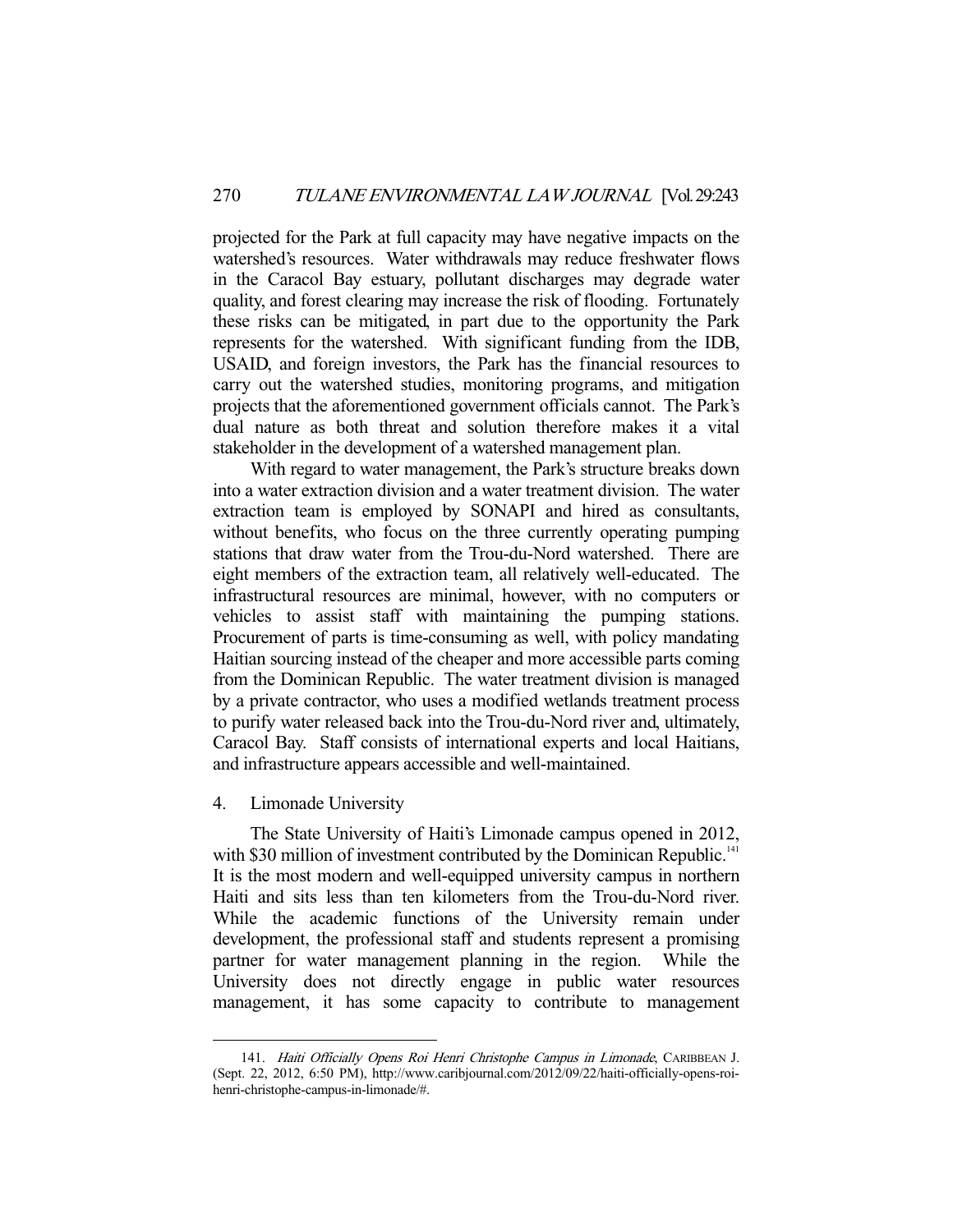projected for the Park at full capacity may have negative impacts on the watershed's resources. Water withdrawals may reduce freshwater flows in the Caracol Bay estuary, pollutant discharges may degrade water quality, and forest clearing may increase the risk of flooding. Fortunately these risks can be mitigated, in part due to the opportunity the Park represents for the watershed. With significant funding from the IDB, USAID, and foreign investors, the Park has the financial resources to carry out the watershed studies, monitoring programs, and mitigation projects that the aforementioned government officials cannot. The Park's dual nature as both threat and solution therefore makes it a vital stakeholder in the development of a watershed management plan.

 With regard to water management, the Park's structure breaks down into a water extraction division and a water treatment division. The water extraction team is employed by SONAPI and hired as consultants, without benefits, who focus on the three currently operating pumping stations that draw water from the Trou-du-Nord watershed. There are eight members of the extraction team, all relatively well-educated. The infrastructural resources are minimal, however, with no computers or vehicles to assist staff with maintaining the pumping stations. Procurement of parts is time-consuming as well, with policy mandating Haitian sourcing instead of the cheaper and more accessible parts coming from the Dominican Republic. The water treatment division is managed by a private contractor, who uses a modified wetlands treatment process to purify water released back into the Trou-du-Nord river and, ultimately, Caracol Bay. Staff consists of international experts and local Haitians, and infrastructure appears accessible and well-maintained.

4. Limonade University

-

 The State University of Haiti's Limonade campus opened in 2012, with \$30 million of investment contributed by the Dominican Republic.<sup>141</sup> It is the most modern and well-equipped university campus in northern Haiti and sits less than ten kilometers from the Trou-du-Nord river. While the academic functions of the University remain under development, the professional staff and students represent a promising partner for water management planning in the region. While the University does not directly engage in public water resources management, it has some capacity to contribute to management

<sup>141.</sup> Haiti Officially Opens Roi Henri Christophe Campus in Limonade, CARIBBEAN J. (Sept. 22, 2012, 6:50 PM), http://www.caribjournal.com/2012/09/22/haiti-officially-opens-roihenri-christophe-campus-in-limonade/#.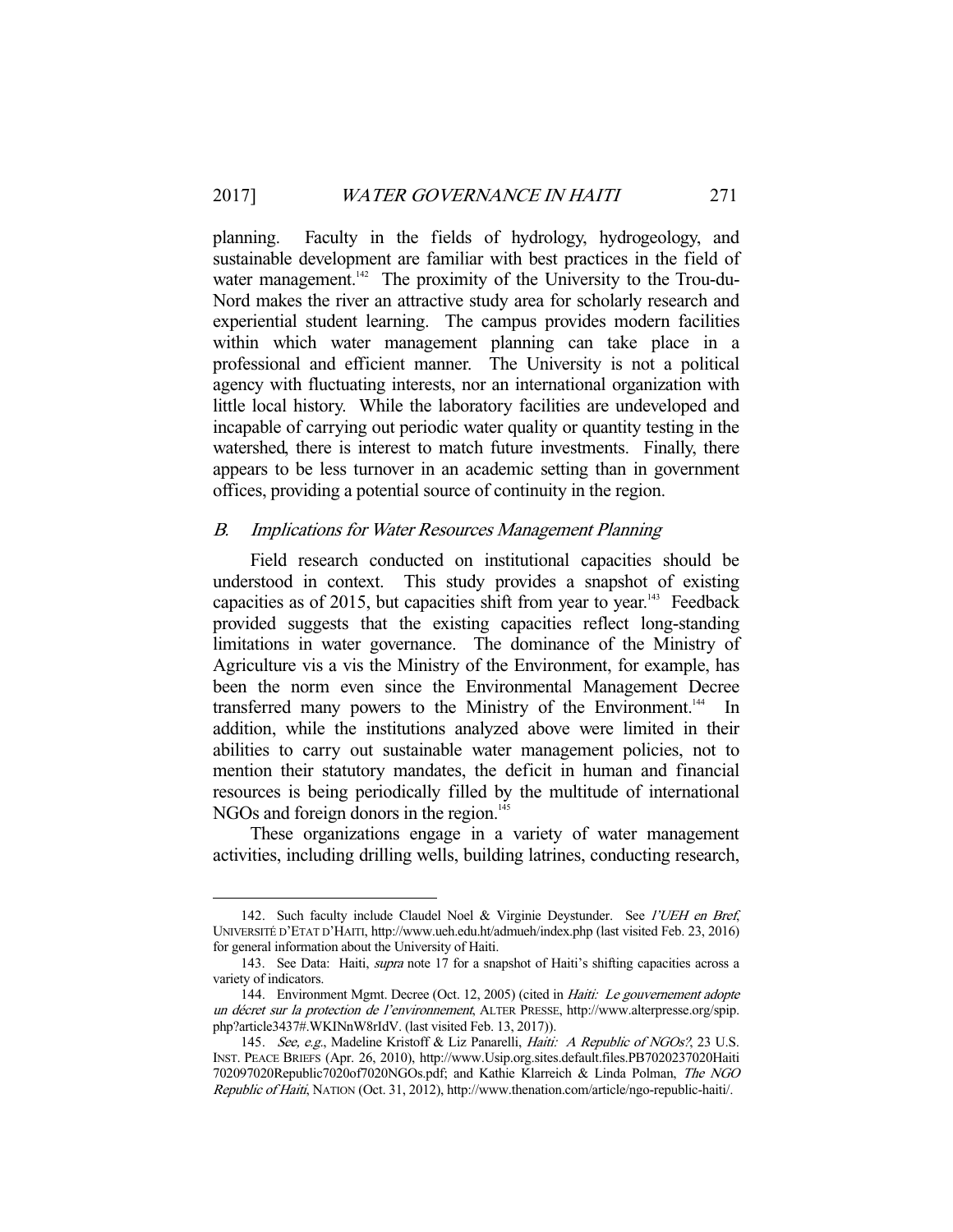planning. Faculty in the fields of hydrology, hydrogeology, and sustainable development are familiar with best practices in the field of water management.<sup>142</sup> The proximity of the University to the Trou-du-Nord makes the river an attractive study area for scholarly research and experiential student learning. The campus provides modern facilities within which water management planning can take place in a professional and efficient manner. The University is not a political agency with fluctuating interests, nor an international organization with little local history. While the laboratory facilities are undeveloped and incapable of carrying out periodic water quality or quantity testing in the watershed, there is interest to match future investments. Finally, there appears to be less turnover in an academic setting than in government offices, providing a potential source of continuity in the region.

# B. Implications for Water Resources Management Planning

 Field research conducted on institutional capacities should be understood in context. This study provides a snapshot of existing capacities as of 2015, but capacities shift from year to year.<sup>143</sup> Feedback provided suggests that the existing capacities reflect long-standing limitations in water governance. The dominance of the Ministry of Agriculture vis a vis the Ministry of the Environment, for example, has been the norm even since the Environmental Management Decree transferred many powers to the Ministry of the Environment.<sup>144</sup> In addition, while the institutions analyzed above were limited in their abilities to carry out sustainable water management policies, not to mention their statutory mandates, the deficit in human and financial resources is being periodically filled by the multitude of international NGOs and foreign donors in the region.<sup>145</sup>

 These organizations engage in a variety of water management activities, including drilling wells, building latrines, conducting research,

<sup>142.</sup> Such faculty include Claudel Noel & Virginie Deystunder. See l'UEH en Bref, UNIVERSITÉ D'ETAT D'HAITI, http://www.ueh.edu.ht/admueh/index.php (last visited Feb. 23, 2016) for general information about the University of Haiti.

 <sup>143.</sup> See Data: Haiti, supra note 17 for a snapshot of Haiti's shifting capacities across a variety of indicators.

<sup>144.</sup> Environment Mgmt. Decree (Oct. 12, 2005) (cited in Haiti: Le gouvernement adopte un décret sur la protection de l'environnement, ALTER PRESSE, http://www.alterpresse.org/spip. php?article3437#.WKINnW8rIdV. (last visited Feb. 13, 2017)).

<sup>145.</sup> See, e.g., Madeline Kristoff & Liz Panarelli, Haiti: A Republic of NGOs?, 23 U.S. INST. PEACE BRIEFS (Apr. 26, 2010), http://www.Usip.org.sites.default.files.PB7020237020Haiti 702097020Republic7020of7020NGOs.pdf; and Kathie Klarreich & Linda Polman, The NGO Republic of Haiti, NATION (Oct. 31, 2012), http://www.thenation.com/article/ngo-republic-haiti/.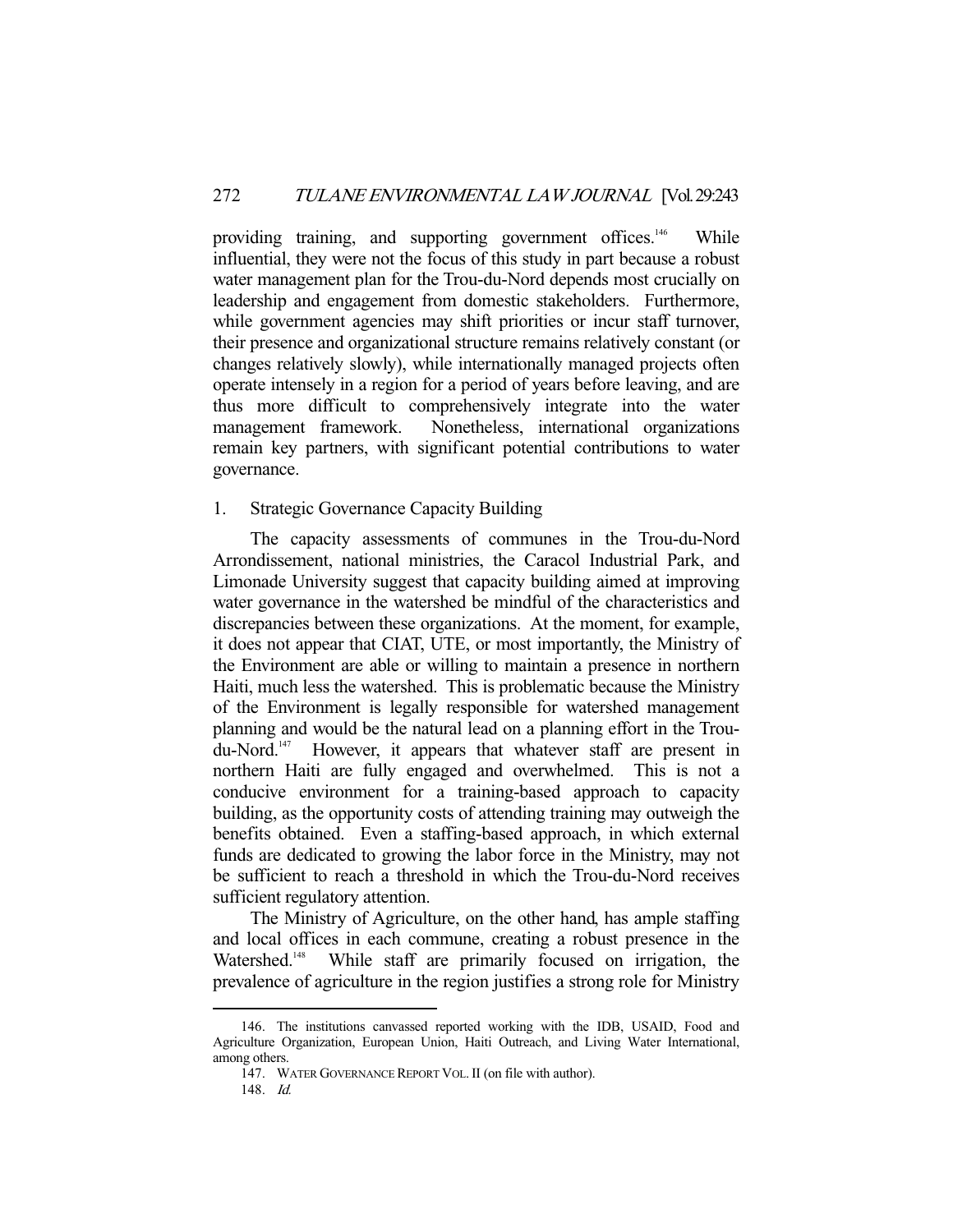providing training, and supporting government offices.<sup>146</sup> While influential, they were not the focus of this study in part because a robust water management plan for the Trou-du-Nord depends most crucially on leadership and engagement from domestic stakeholders. Furthermore, while government agencies may shift priorities or incur staff turnover, their presence and organizational structure remains relatively constant (or changes relatively slowly), while internationally managed projects often operate intensely in a region for a period of years before leaving, and are thus more difficult to comprehensively integrate into the water management framework. Nonetheless, international organizations remain key partners, with significant potential contributions to water governance.

## 1. Strategic Governance Capacity Building

 The capacity assessments of communes in the Trou-du-Nord Arrondissement, national ministries, the Caracol Industrial Park, and Limonade University suggest that capacity building aimed at improving water governance in the watershed be mindful of the characteristics and discrepancies between these organizations. At the moment, for example, it does not appear that CIAT, UTE, or most importantly, the Ministry of the Environment are able or willing to maintain a presence in northern Haiti, much less the watershed. This is problematic because the Ministry of the Environment is legally responsible for watershed management planning and would be the natural lead on a planning effort in the Troudu-Nord.147 However, it appears that whatever staff are present in northern Haiti are fully engaged and overwhelmed. This is not a conducive environment for a training-based approach to capacity building, as the opportunity costs of attending training may outweigh the benefits obtained. Even a staffing-based approach, in which external funds are dedicated to growing the labor force in the Ministry, may not be sufficient to reach a threshold in which the Trou-du-Nord receives sufficient regulatory attention.

 The Ministry of Agriculture, on the other hand, has ample staffing and local offices in each commune, creating a robust presence in the Watershed.<sup>148</sup> While staff are primarily focused on irrigation, the prevalence of agriculture in the region justifies a strong role for Ministry

 <sup>146.</sup> The institutions canvassed reported working with the IDB, USAID, Food and Agriculture Organization, European Union, Haiti Outreach, and Living Water International, among others.

 <sup>147.</sup> WATER GOVERNANCE REPORT VOL.II (on file with author).

 <sup>148.</sup> Id.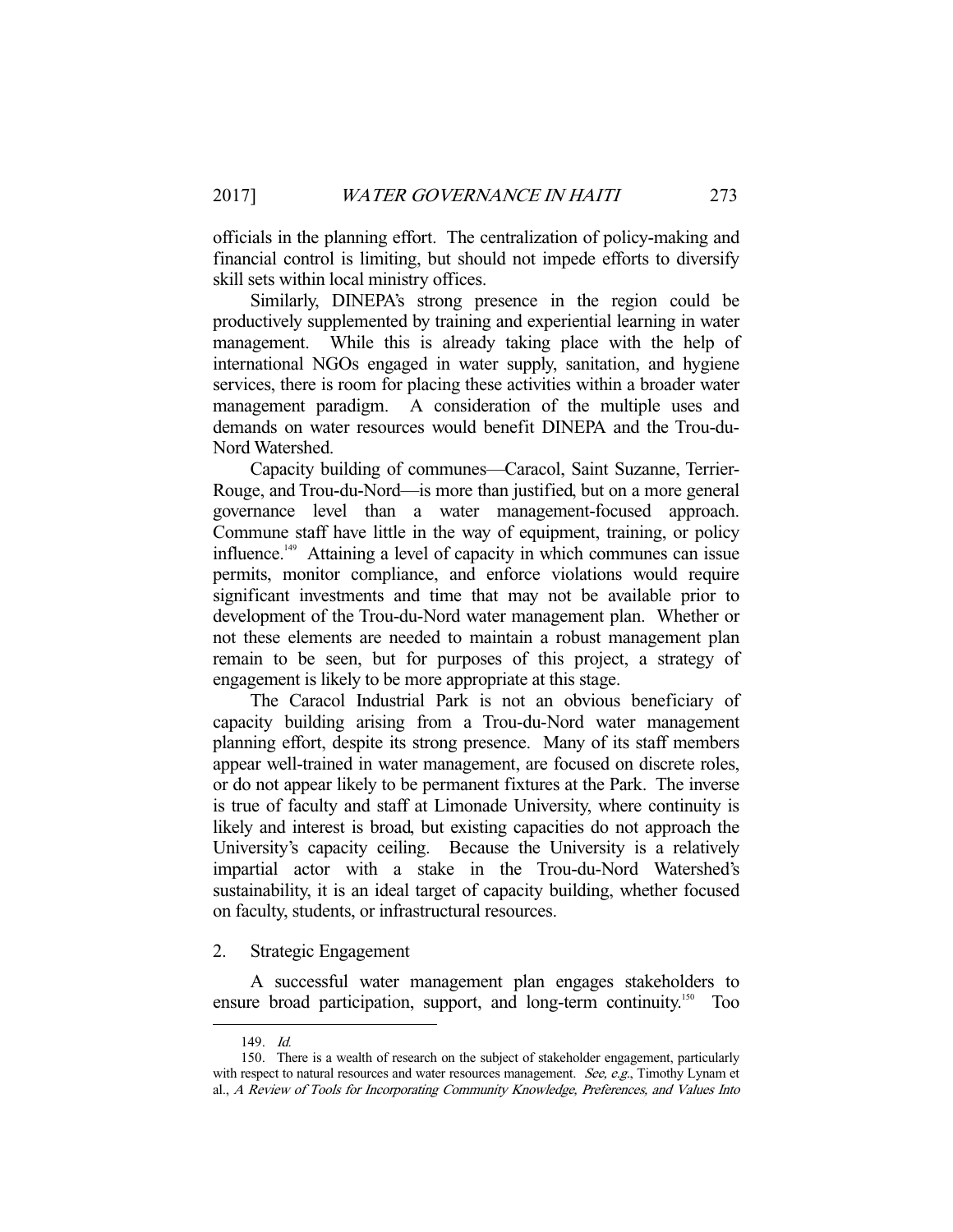officials in the planning effort. The centralization of policy-making and financial control is limiting, but should not impede efforts to diversify skill sets within local ministry offices.

 Similarly, DINEPA's strong presence in the region could be productively supplemented by training and experiential learning in water management. While this is already taking place with the help of international NGOs engaged in water supply, sanitation, and hygiene services, there is room for placing these activities within a broader water management paradigm. A consideration of the multiple uses and demands on water resources would benefit DINEPA and the Trou-du-Nord Watershed.

 Capacity building of communes—Caracol, Saint Suzanne, Terrier-Rouge, and Trou-du-Nord—is more than justified, but on a more general governance level than a water management-focused approach. Commune staff have little in the way of equipment, training, or policy influence.149 Attaining a level of capacity in which communes can issue permits, monitor compliance, and enforce violations would require significant investments and time that may not be available prior to development of the Trou-du-Nord water management plan. Whether or not these elements are needed to maintain a robust management plan remain to be seen, but for purposes of this project, a strategy of engagement is likely to be more appropriate at this stage.

 The Caracol Industrial Park is not an obvious beneficiary of capacity building arising from a Trou-du-Nord water management planning effort, despite its strong presence. Many of its staff members appear well-trained in water management, are focused on discrete roles, or do not appear likely to be permanent fixtures at the Park. The inverse is true of faculty and staff at Limonade University, where continuity is likely and interest is broad, but existing capacities do not approach the University's capacity ceiling. Because the University is a relatively impartial actor with a stake in the Trou-du-Nord Watershed's sustainability, it is an ideal target of capacity building, whether focused on faculty, students, or infrastructural resources.

# 2. Strategic Engagement

 A successful water management plan engages stakeholders to ensure broad participation, support, and long-term continuity.<sup>150</sup> Too

 <sup>149.</sup> Id.

 <sup>150.</sup> There is a wealth of research on the subject of stakeholder engagement, particularly with respect to natural resources and water resources management. See, e.g., Timothy Lynam et al., A Review of Tools for Incorporating Community Knowledge, Preferences, and Values Into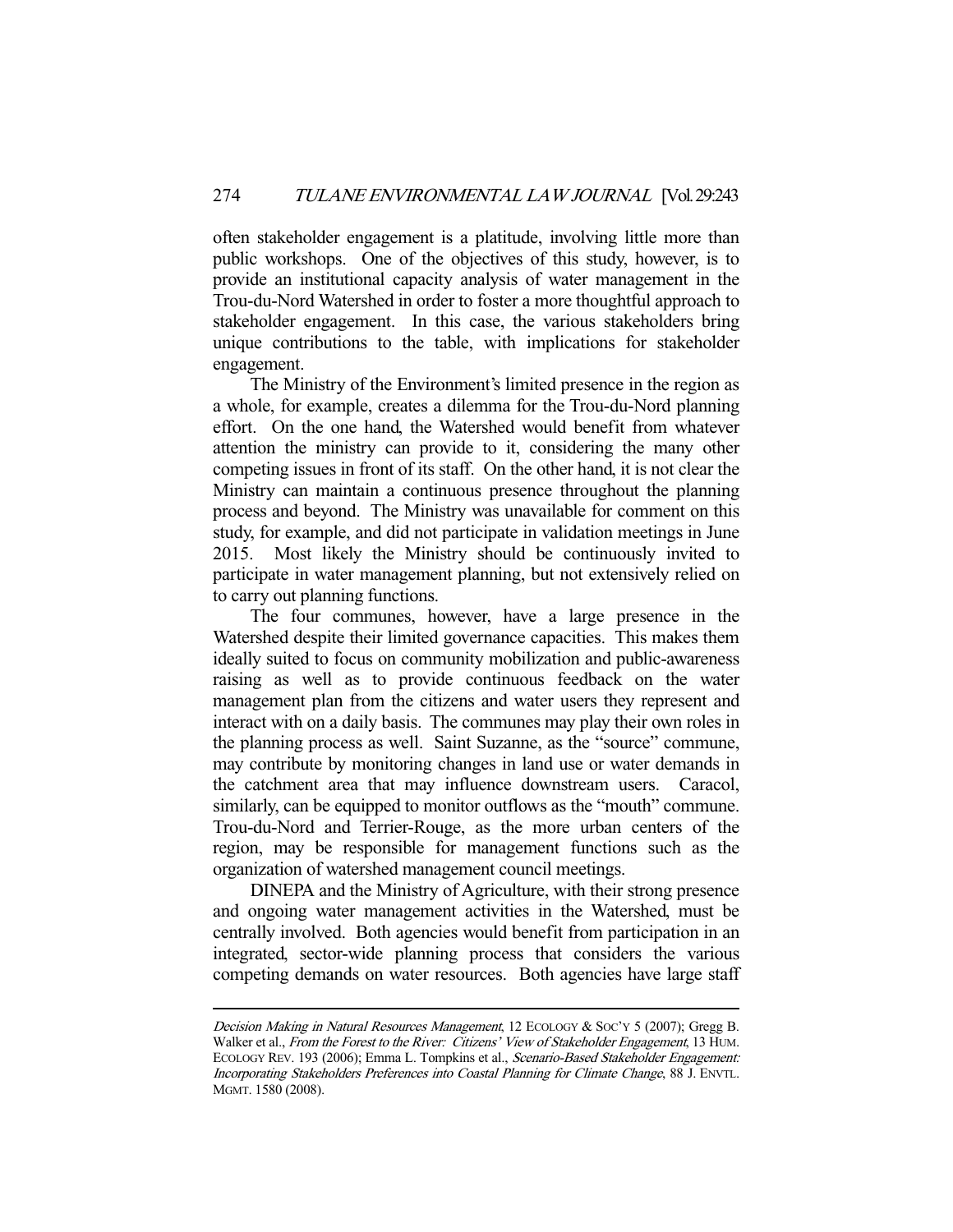often stakeholder engagement is a platitude, involving little more than public workshops. One of the objectives of this study, however, is to provide an institutional capacity analysis of water management in the Trou-du-Nord Watershed in order to foster a more thoughtful approach to stakeholder engagement. In this case, the various stakeholders bring unique contributions to the table, with implications for stakeholder engagement.

 The Ministry of the Environment's limited presence in the region as a whole, for example, creates a dilemma for the Trou-du-Nord planning effort. On the one hand, the Watershed would benefit from whatever attention the ministry can provide to it, considering the many other competing issues in front of its staff. On the other hand, it is not clear the Ministry can maintain a continuous presence throughout the planning process and beyond. The Ministry was unavailable for comment on this study, for example, and did not participate in validation meetings in June 2015. Most likely the Ministry should be continuously invited to participate in water management planning, but not extensively relied on to carry out planning functions.

 The four communes, however, have a large presence in the Watershed despite their limited governance capacities. This makes them ideally suited to focus on community mobilization and public-awareness raising as well as to provide continuous feedback on the water management plan from the citizens and water users they represent and interact with on a daily basis. The communes may play their own roles in the planning process as well. Saint Suzanne, as the "source" commune, may contribute by monitoring changes in land use or water demands in the catchment area that may influence downstream users. Caracol, similarly, can be equipped to monitor outflows as the "mouth" commune. Trou-du-Nord and Terrier-Rouge, as the more urban centers of the region, may be responsible for management functions such as the organization of watershed management council meetings.

 DINEPA and the Ministry of Agriculture, with their strong presence and ongoing water management activities in the Watershed, must be centrally involved. Both agencies would benefit from participation in an integrated, sector-wide planning process that considers the various competing demands on water resources. Both agencies have large staff

Decision Making in Natural Resources Management, 12 ECOLOGY & SOC'Y 5 (2007); Gregg B. Walker et al., From the Forest to the River: Citizens' View of Stakeholder Engagement, 13 HUM. ECOLOGY REV. 193 (2006); Emma L. Tompkins et al., Scenario-Based Stakeholder Engagement: Incorporating Stakeholders Preferences into Coastal Planning for Climate Change, 88 J. ENVTL. MGMT. 1580 (2008).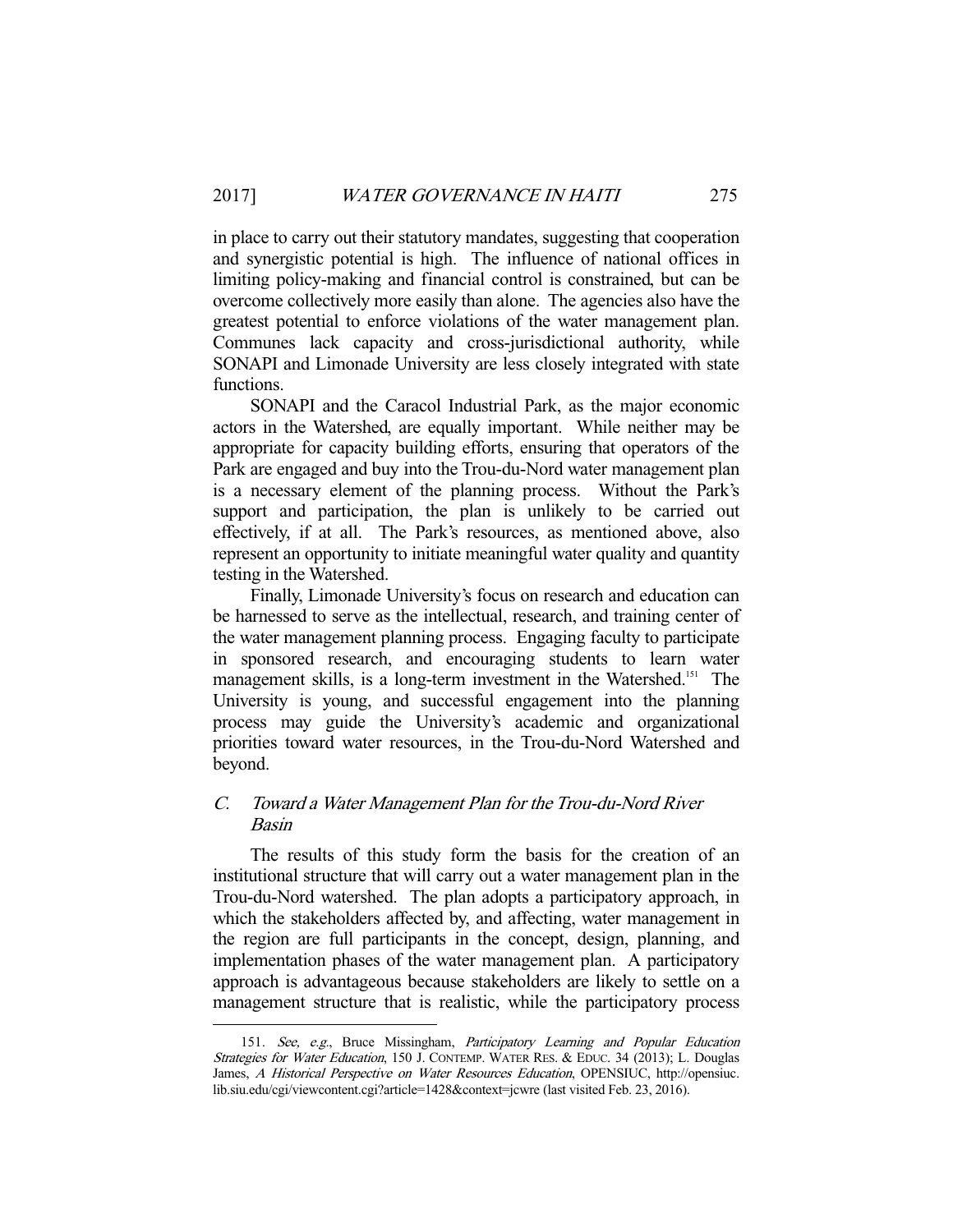in place to carry out their statutory mandates, suggesting that cooperation and synergistic potential is high. The influence of national offices in limiting policy-making and financial control is constrained, but can be overcome collectively more easily than alone. The agencies also have the greatest potential to enforce violations of the water management plan. Communes lack capacity and cross-jurisdictional authority, while SONAPI and Limonade University are less closely integrated with state functions.

 SONAPI and the Caracol Industrial Park, as the major economic actors in the Watershed, are equally important. While neither may be appropriate for capacity building efforts, ensuring that operators of the Park are engaged and buy into the Trou-du-Nord water management plan is a necessary element of the planning process. Without the Park's support and participation, the plan is unlikely to be carried out effectively, if at all. The Park's resources, as mentioned above, also represent an opportunity to initiate meaningful water quality and quantity testing in the Watershed.

 Finally, Limonade University's focus on research and education can be harnessed to serve as the intellectual, research, and training center of the water management planning process. Engaging faculty to participate in sponsored research, and encouraging students to learn water management skills, is a long-term investment in the Watershed.<sup>151</sup> The University is young, and successful engagement into the planning process may guide the University's academic and organizational priorities toward water resources, in the Trou-du-Nord Watershed and beyond.

# C. Toward a Water Management Plan for the Trou-du-Nord River Basin

 The results of this study form the basis for the creation of an institutional structure that will carry out a water management plan in the Trou-du-Nord watershed. The plan adopts a participatory approach, in which the stakeholders affected by, and affecting, water management in the region are full participants in the concept, design, planning, and implementation phases of the water management plan. A participatory approach is advantageous because stakeholders are likely to settle on a management structure that is realistic, while the participatory process

<sup>151.</sup> See, e.g., Bruce Missingham, Participatory Learning and Popular Education Strategies for Water Education, 150 J. CONTEMP. WATER RES. & EDUC. 34 (2013); L. Douglas James, A Historical Perspective on Water Resources Education, OPENSIUC, http://opensiuc. lib.siu.edu/cgi/viewcontent.cgi?article=1428&context=jcwre (last visited Feb. 23, 2016).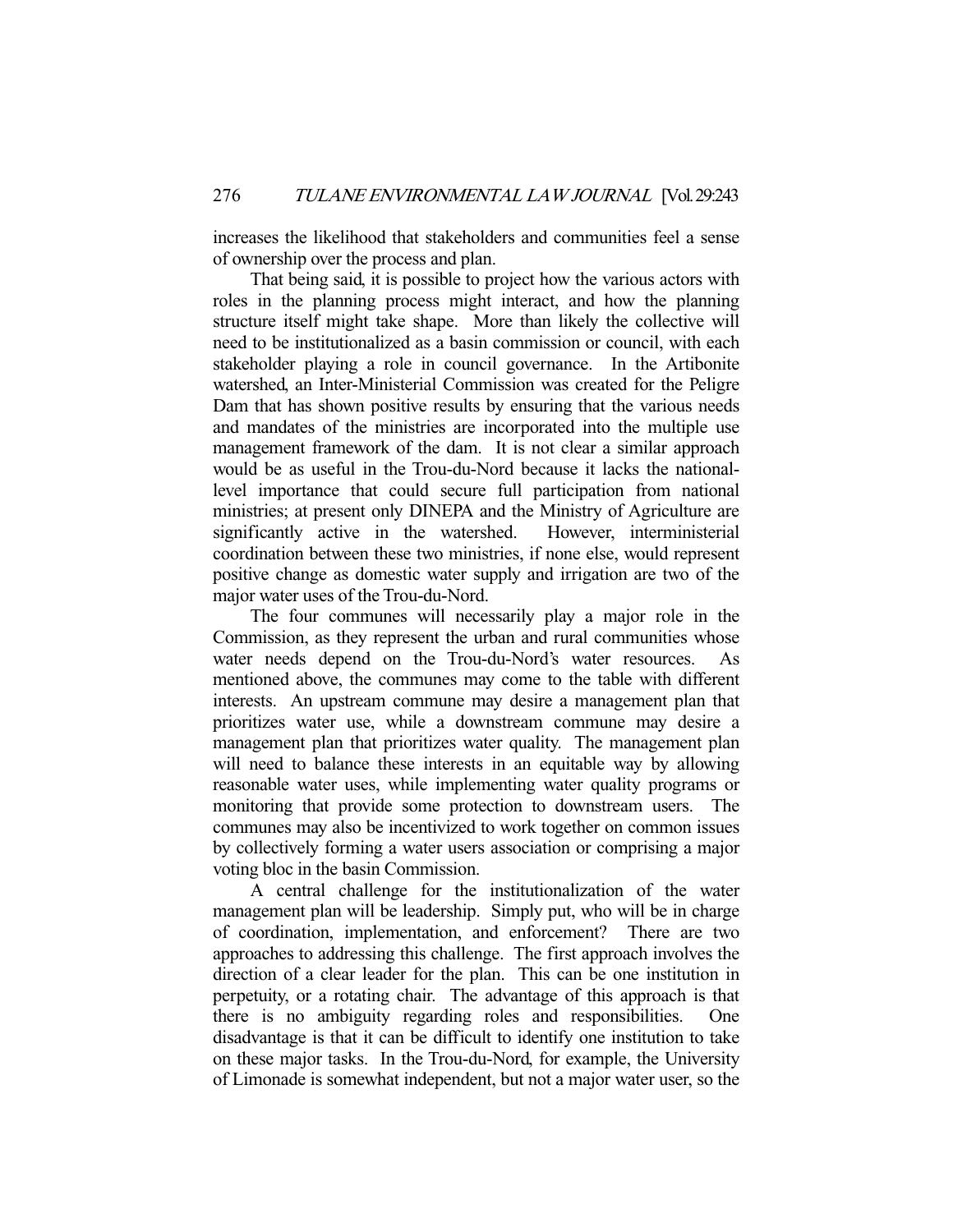increases the likelihood that stakeholders and communities feel a sense of ownership over the process and plan.

 That being said, it is possible to project how the various actors with roles in the planning process might interact, and how the planning structure itself might take shape. More than likely the collective will need to be institutionalized as a basin commission or council, with each stakeholder playing a role in council governance. In the Artibonite watershed, an Inter-Ministerial Commission was created for the Peligre Dam that has shown positive results by ensuring that the various needs and mandates of the ministries are incorporated into the multiple use management framework of the dam. It is not clear a similar approach would be as useful in the Trou-du-Nord because it lacks the nationallevel importance that could secure full participation from national ministries; at present only DINEPA and the Ministry of Agriculture are significantly active in the watershed. However, interministerial significantly active in the watershed. coordination between these two ministries, if none else, would represent positive change as domestic water supply and irrigation are two of the major water uses of the Trou-du-Nord.

 The four communes will necessarily play a major role in the Commission, as they represent the urban and rural communities whose water needs depend on the Trou-du-Nord's water resources. As mentioned above, the communes may come to the table with different interests. An upstream commune may desire a management plan that prioritizes water use, while a downstream commune may desire a management plan that prioritizes water quality. The management plan will need to balance these interests in an equitable way by allowing reasonable water uses, while implementing water quality programs or monitoring that provide some protection to downstream users. The communes may also be incentivized to work together on common issues by collectively forming a water users association or comprising a major voting bloc in the basin Commission.

 A central challenge for the institutionalization of the water management plan will be leadership. Simply put, who will be in charge of coordination, implementation, and enforcement? There are two approaches to addressing this challenge. The first approach involves the direction of a clear leader for the plan. This can be one institution in perpetuity, or a rotating chair. The advantage of this approach is that there is no ambiguity regarding roles and responsibilities. One disadvantage is that it can be difficult to identify one institution to take on these major tasks. In the Trou-du-Nord, for example, the University of Limonade is somewhat independent, but not a major water user, so the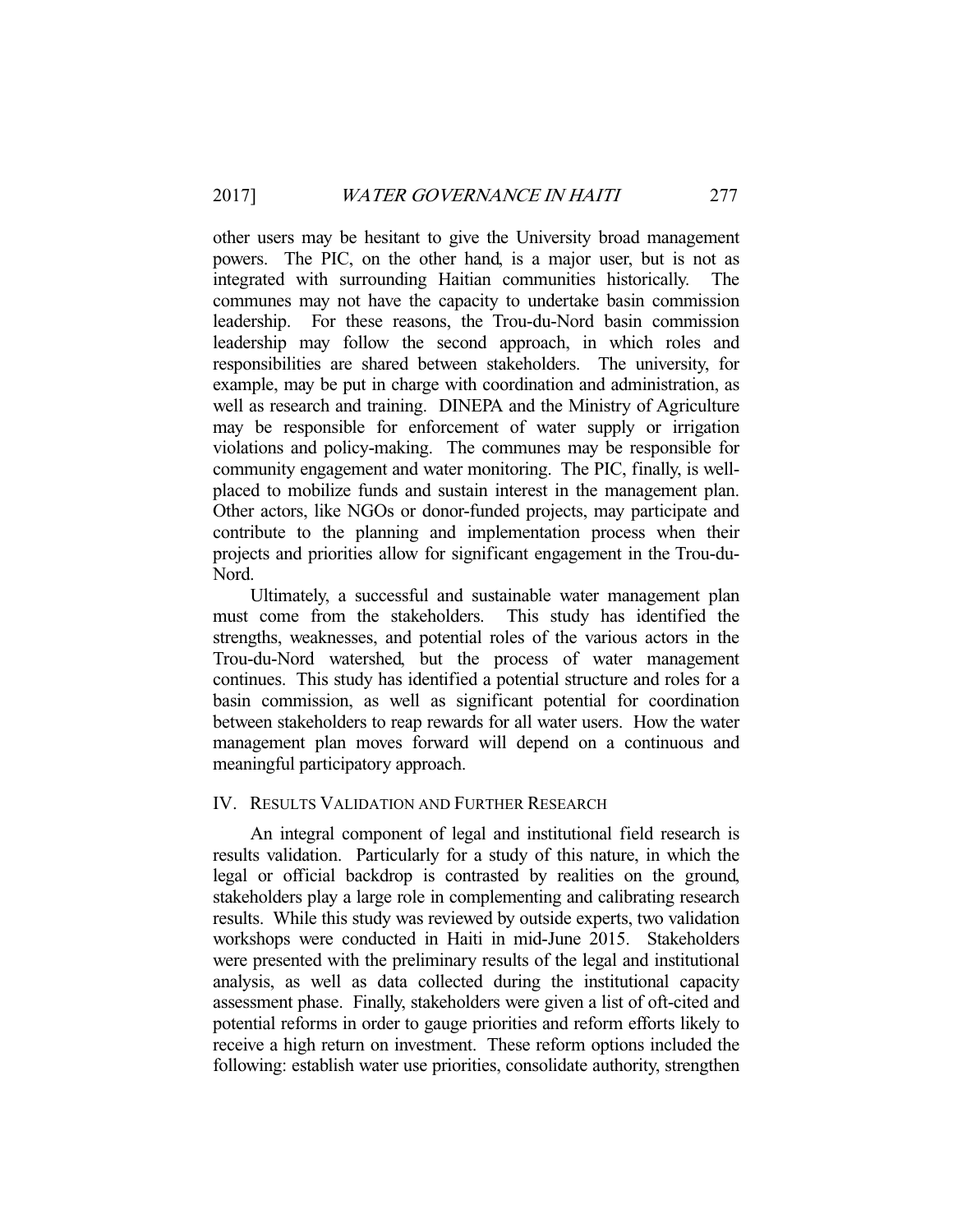other users may be hesitant to give the University broad management powers. The PIC, on the other hand, is a major user, but is not as integrated with surrounding Haitian communities historically. The communes may not have the capacity to undertake basin commission leadership. For these reasons, the Trou-du-Nord basin commission leadership may follow the second approach, in which roles and responsibilities are shared between stakeholders. The university, for example, may be put in charge with coordination and administration, as well as research and training. DINEPA and the Ministry of Agriculture may be responsible for enforcement of water supply or irrigation violations and policy-making. The communes may be responsible for community engagement and water monitoring. The PIC, finally, is wellplaced to mobilize funds and sustain interest in the management plan. Other actors, like NGOs or donor-funded projects, may participate and contribute to the planning and implementation process when their projects and priorities allow for significant engagement in the Trou-du-Nord.

 Ultimately, a successful and sustainable water management plan must come from the stakeholders. This study has identified the strengths, weaknesses, and potential roles of the various actors in the Trou-du-Nord watershed, but the process of water management continues. This study has identified a potential structure and roles for a basin commission, as well as significant potential for coordination between stakeholders to reap rewards for all water users. How the water management plan moves forward will depend on a continuous and meaningful participatory approach.

# IV. RESULTS VALIDATION AND FURTHER RESEARCH

 An integral component of legal and institutional field research is results validation. Particularly for a study of this nature, in which the legal or official backdrop is contrasted by realities on the ground, stakeholders play a large role in complementing and calibrating research results. While this study was reviewed by outside experts, two validation workshops were conducted in Haiti in mid-June 2015. Stakeholders were presented with the preliminary results of the legal and institutional analysis, as well as data collected during the institutional capacity assessment phase. Finally, stakeholders were given a list of oft-cited and potential reforms in order to gauge priorities and reform efforts likely to receive a high return on investment. These reform options included the following: establish water use priorities, consolidate authority, strengthen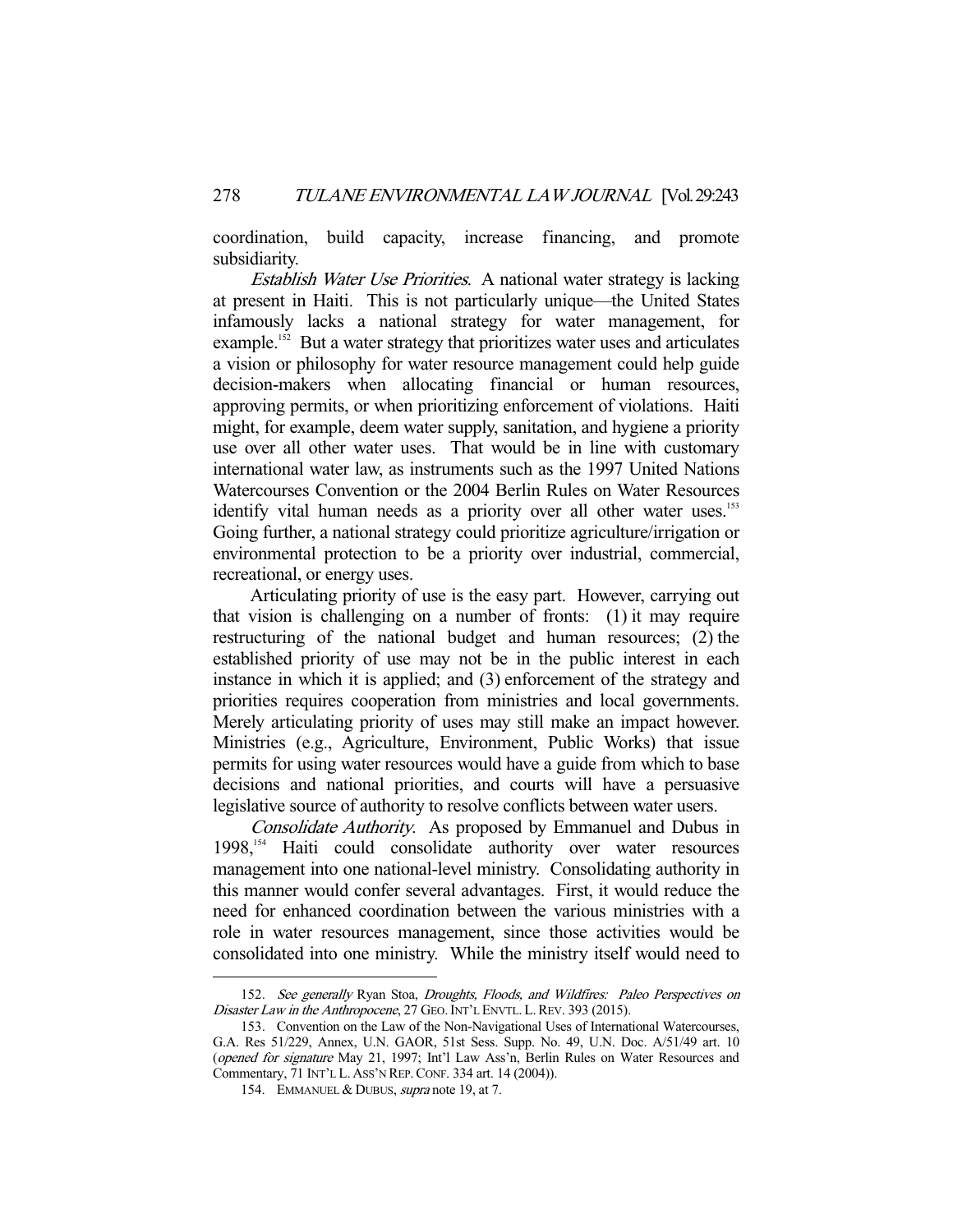coordination, build capacity, increase financing, and promote subsidiarity.

Establish Water Use Priorities. A national water strategy is lacking at present in Haiti. This is not particularly unique—the United States infamously lacks a national strategy for water management, for example.<sup>152</sup> But a water strategy that prioritizes water uses and articulates a vision or philosophy for water resource management could help guide decision-makers when allocating financial or human resources, approving permits, or when prioritizing enforcement of violations. Haiti might, for example, deem water supply, sanitation, and hygiene a priority use over all other water uses. That would be in line with customary international water law, as instruments such as the 1997 United Nations Watercourses Convention or the 2004 Berlin Rules on Water Resources identify vital human needs as a priority over all other water uses.<sup>153</sup> Going further, a national strategy could prioritize agriculture/irrigation or environmental protection to be a priority over industrial, commercial, recreational, or energy uses.

 Articulating priority of use is the easy part. However, carrying out that vision is challenging on a number of fronts: (1) it may require restructuring of the national budget and human resources; (2) the established priority of use may not be in the public interest in each instance in which it is applied; and (3) enforcement of the strategy and priorities requires cooperation from ministries and local governments. Merely articulating priority of uses may still make an impact however. Ministries (e.g., Agriculture, Environment, Public Works) that issue permits for using water resources would have a guide from which to base decisions and national priorities, and courts will have a persuasive legislative source of authority to resolve conflicts between water users.

Consolidate Authority. As proposed by Emmanuel and Dubus in  $1998$ ,<sup>154</sup> Haiti could consolidate authority over water resources management into one national-level ministry. Consolidating authority in this manner would confer several advantages. First, it would reduce the need for enhanced coordination between the various ministries with a role in water resources management, since those activities would be consolidated into one ministry. While the ministry itself would need to

<sup>152.</sup> See generally Ryan Stoa, Droughts, Floods, and Wildfires: Paleo Perspectives on Disaster Law in the Anthropocene, 27 GEO. INT'L ENVTL. L. REV. 393 (2015).

 <sup>153.</sup> Convention on the Law of the Non-Navigational Uses of International Watercourses, G.A. Res 51/229, Annex, U.N. GAOR, 51st Sess. Supp. No. 49, U.N. Doc. A/51/49 art. 10 (opened for signature May 21, 1997; Int'l Law Ass'n, Berlin Rules on Water Resources and Commentary, 71 INT'L L. ASS'N REP.CONF. 334 art. 14 (2004)).

<sup>154.</sup> EMMANUEL & DUBUS, *supra* note 19, at 7.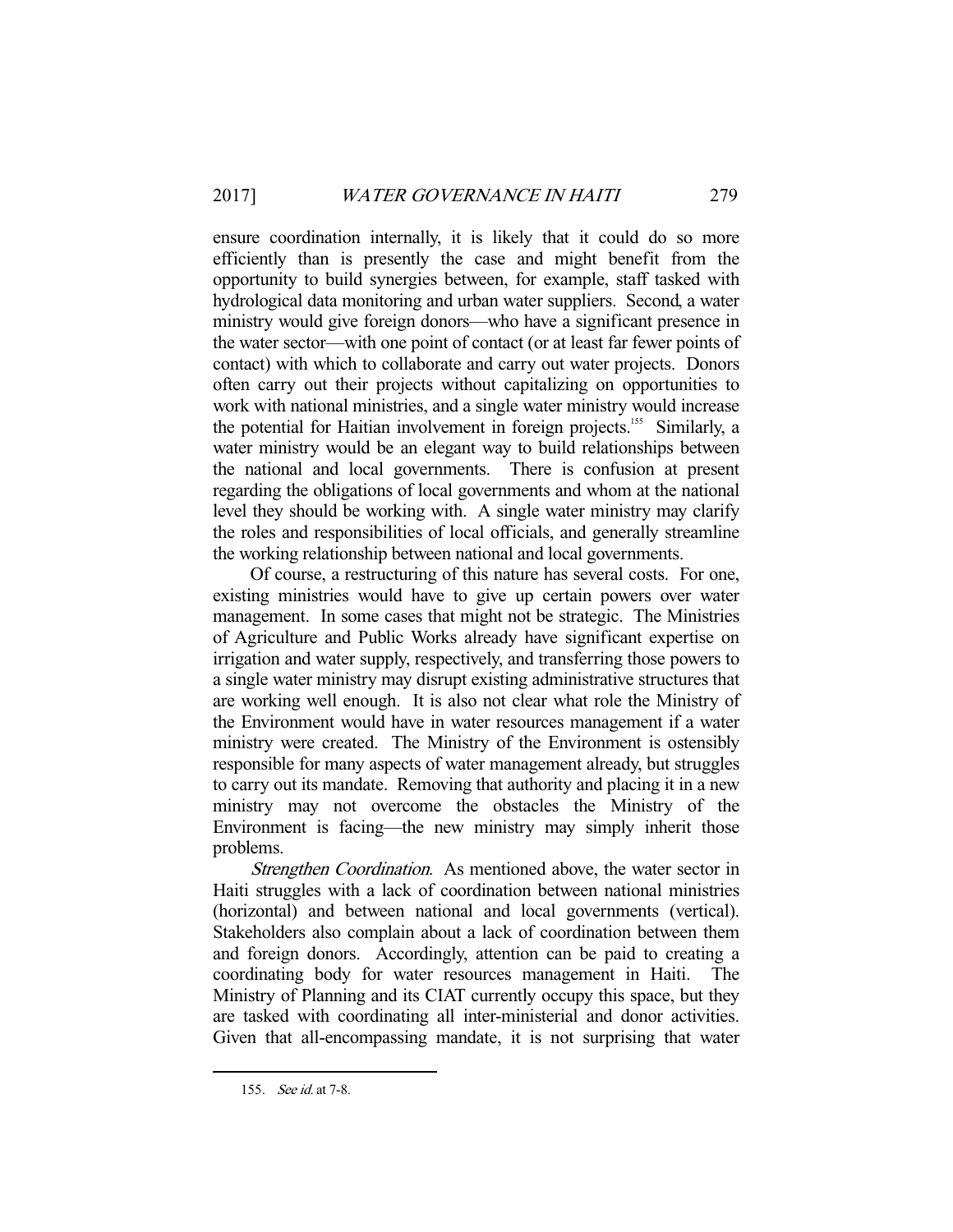ensure coordination internally, it is likely that it could do so more efficiently than is presently the case and might benefit from the opportunity to build synergies between, for example, staff tasked with hydrological data monitoring and urban water suppliers. Second, a water ministry would give foreign donors—who have a significant presence in the water sector—with one point of contact (or at least far fewer points of contact) with which to collaborate and carry out water projects. Donors often carry out their projects without capitalizing on opportunities to work with national ministries, and a single water ministry would increase the potential for Haitian involvement in foreign projects.<sup>155</sup> Similarly, a water ministry would be an elegant way to build relationships between the national and local governments. There is confusion at present regarding the obligations of local governments and whom at the national level they should be working with. A single water ministry may clarify the roles and responsibilities of local officials, and generally streamline the working relationship between national and local governments.

 Of course, a restructuring of this nature has several costs. For one, existing ministries would have to give up certain powers over water management. In some cases that might not be strategic. The Ministries of Agriculture and Public Works already have significant expertise on irrigation and water supply, respectively, and transferring those powers to a single water ministry may disrupt existing administrative structures that are working well enough. It is also not clear what role the Ministry of the Environment would have in water resources management if a water ministry were created. The Ministry of the Environment is ostensibly responsible for many aspects of water management already, but struggles to carry out its mandate. Removing that authority and placing it in a new ministry may not overcome the obstacles the Ministry of the Environment is facing—the new ministry may simply inherit those problems.

Strengthen Coordination. As mentioned above, the water sector in Haiti struggles with a lack of coordination between national ministries (horizontal) and between national and local governments (vertical). Stakeholders also complain about a lack of coordination between them and foreign donors. Accordingly, attention can be paid to creating a coordinating body for water resources management in Haiti. Ministry of Planning and its CIAT currently occupy this space, but they are tasked with coordinating all inter-ministerial and donor activities. Given that all-encompassing mandate, it is not surprising that water

 <sup>155.</sup> See id. at 7-8.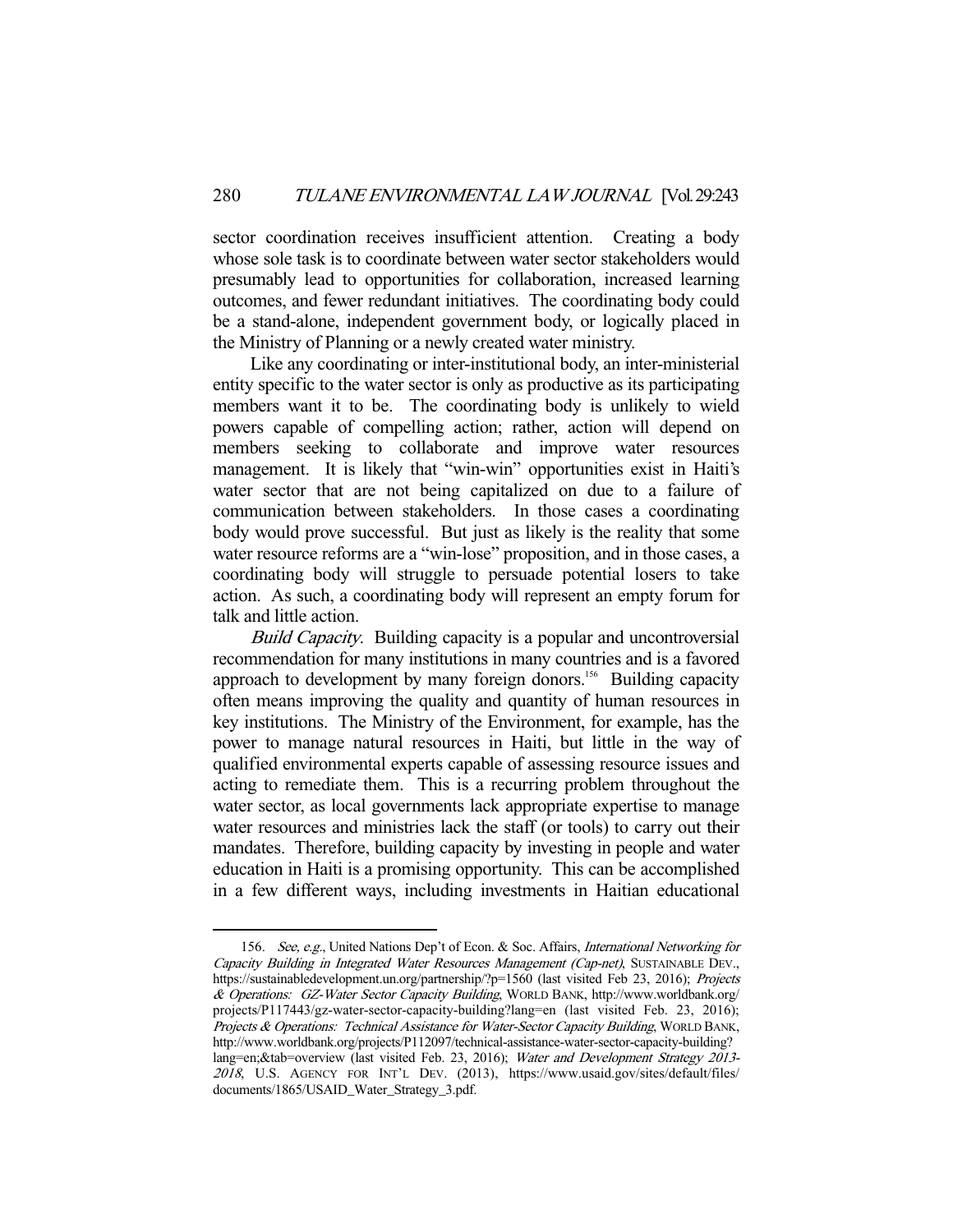sector coordination receives insufficient attention. Creating a body whose sole task is to coordinate between water sector stakeholders would presumably lead to opportunities for collaboration, increased learning outcomes, and fewer redundant initiatives. The coordinating body could be a stand-alone, independent government body, or logically placed in the Ministry of Planning or a newly created water ministry.

 Like any coordinating or inter-institutional body, an inter-ministerial entity specific to the water sector is only as productive as its participating members want it to be. The coordinating body is unlikely to wield powers capable of compelling action; rather, action will depend on members seeking to collaborate and improve water resources management. It is likely that "win-win" opportunities exist in Haiti's water sector that are not being capitalized on due to a failure of communication between stakeholders. In those cases a coordinating body would prove successful. But just as likely is the reality that some water resource reforms are a "win-lose" proposition, and in those cases, a coordinating body will struggle to persuade potential losers to take action. As such, a coordinating body will represent an empty forum for talk and little action.

Build Capacity. Building capacity is a popular and uncontroversial recommendation for many institutions in many countries and is a favored approach to development by many foreign donors.<sup>156</sup> Building capacity often means improving the quality and quantity of human resources in key institutions. The Ministry of the Environment, for example, has the power to manage natural resources in Haiti, but little in the way of qualified environmental experts capable of assessing resource issues and acting to remediate them. This is a recurring problem throughout the water sector, as local governments lack appropriate expertise to manage water resources and ministries lack the staff (or tools) to carry out their mandates. Therefore, building capacity by investing in people and water education in Haiti is a promising opportunity. This can be accomplished in a few different ways, including investments in Haitian educational

<sup>156.</sup> See, e.g., United Nations Dep't of Econ. & Soc. Affairs, International Networking for Capacity Building in Integrated Water Resources Management (Cap-net), SUSTAINABLE DEV., https://sustainabledevelopment.un.org/partnership/?p=1560 (last visited Feb 23, 2016); Projects & Operations: GZ-Water Sector Capacity Building, WORLD BANK, http://www.worldbank.org/ projects/P117443/gz-water-sector-capacity-building?lang=en (last visited Feb. 23, 2016); Projects & Operations: Technical Assistance for Water-Sector Capacity Building, WORLD BANK, http://www.worldbank.org/projects/P112097/technical-assistance-water-sector-capacity-building? lang=en;&tab=overview (last visited Feb. 23, 2016); Water and Development Strategy 2013-<sup>2018</sup>, U.S. AGENCY FOR INT'L DEV. (2013), https://www.usaid.gov/sites/default/files/ documents/1865/USAID\_Water\_Strategy\_3.pdf.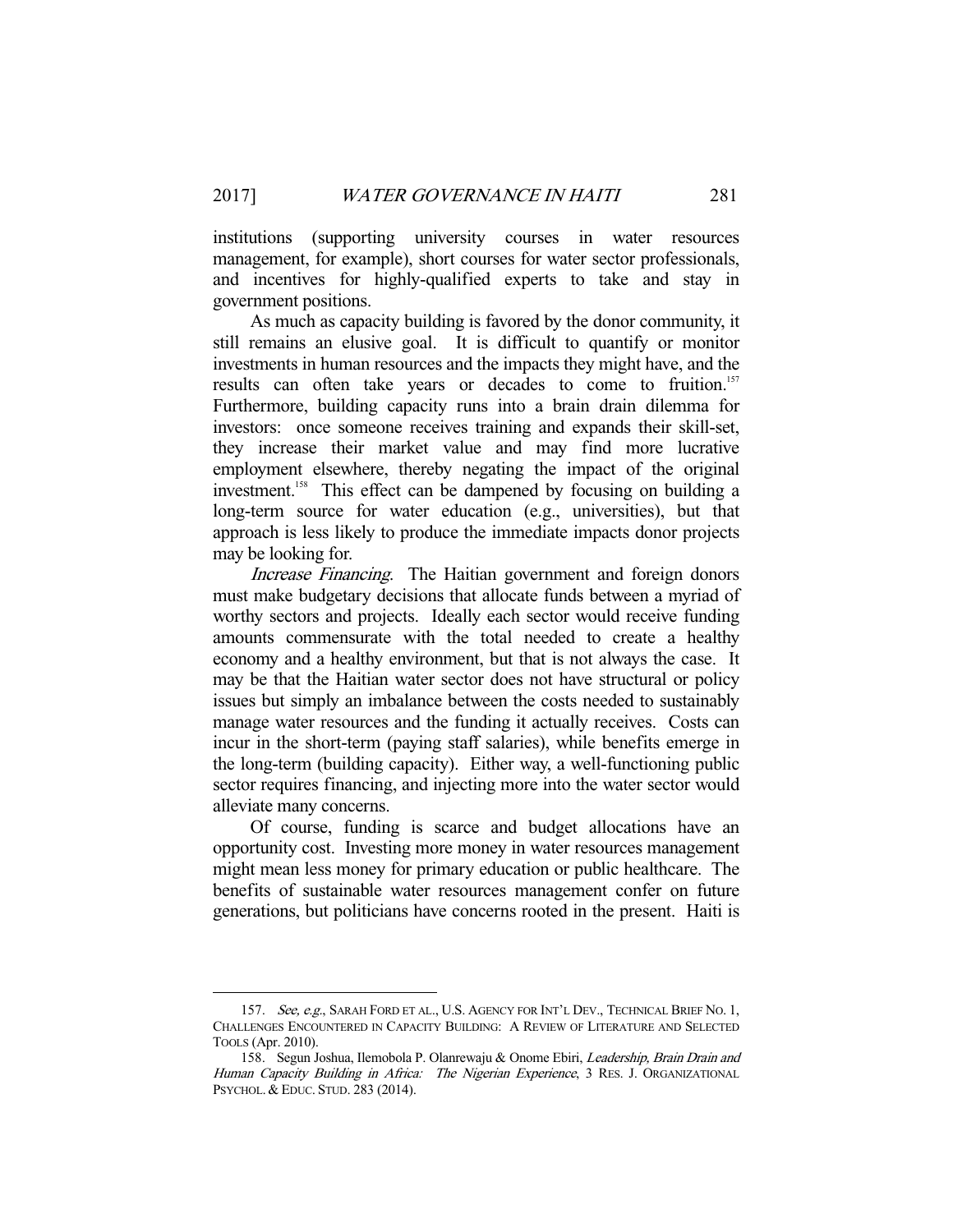institutions (supporting university courses in water resources management, for example), short courses for water sector professionals, and incentives for highly-qualified experts to take and stay in government positions.

 As much as capacity building is favored by the donor community, it still remains an elusive goal. It is difficult to quantify or monitor investments in human resources and the impacts they might have, and the results can often take years or decades to come to fruition.<sup>157</sup> Furthermore, building capacity runs into a brain drain dilemma for investors: once someone receives training and expands their skill-set, they increase their market value and may find more lucrative employment elsewhere, thereby negating the impact of the original investment.<sup>158</sup> This effect can be dampened by focusing on building a long-term source for water education (e.g., universities), but that approach is less likely to produce the immediate impacts donor projects may be looking for.

Increase Financing. The Haitian government and foreign donors must make budgetary decisions that allocate funds between a myriad of worthy sectors and projects. Ideally each sector would receive funding amounts commensurate with the total needed to create a healthy economy and a healthy environment, but that is not always the case. It may be that the Haitian water sector does not have structural or policy issues but simply an imbalance between the costs needed to sustainably manage water resources and the funding it actually receives. Costs can incur in the short-term (paying staff salaries), while benefits emerge in the long-term (building capacity). Either way, a well-functioning public sector requires financing, and injecting more into the water sector would alleviate many concerns.

 Of course, funding is scarce and budget allocations have an opportunity cost. Investing more money in water resources management might mean less money for primary education or public healthcare. The benefits of sustainable water resources management confer on future generations, but politicians have concerns rooted in the present. Haiti is

<sup>157.</sup> See, e.g., SARAH FORD ET AL., U.S. AGENCY FOR INT'L DEV., TECHNICAL BRIEF NO. 1, CHALLENGES ENCOUNTERED IN CAPACITY BUILDING: A REVIEW OF LITERATURE AND SELECTED TOOLS (Apr. 2010).

<sup>158.</sup> Segun Joshua, Ilemobola P. Olanrewaju & Onome Ebiri, Leadership, Brain Drain and Human Capacity Building in Africa: The Nigerian Experience, 3 RES. J. ORGANIZATIONAL PSYCHOL.& EDUC. STUD. 283 (2014).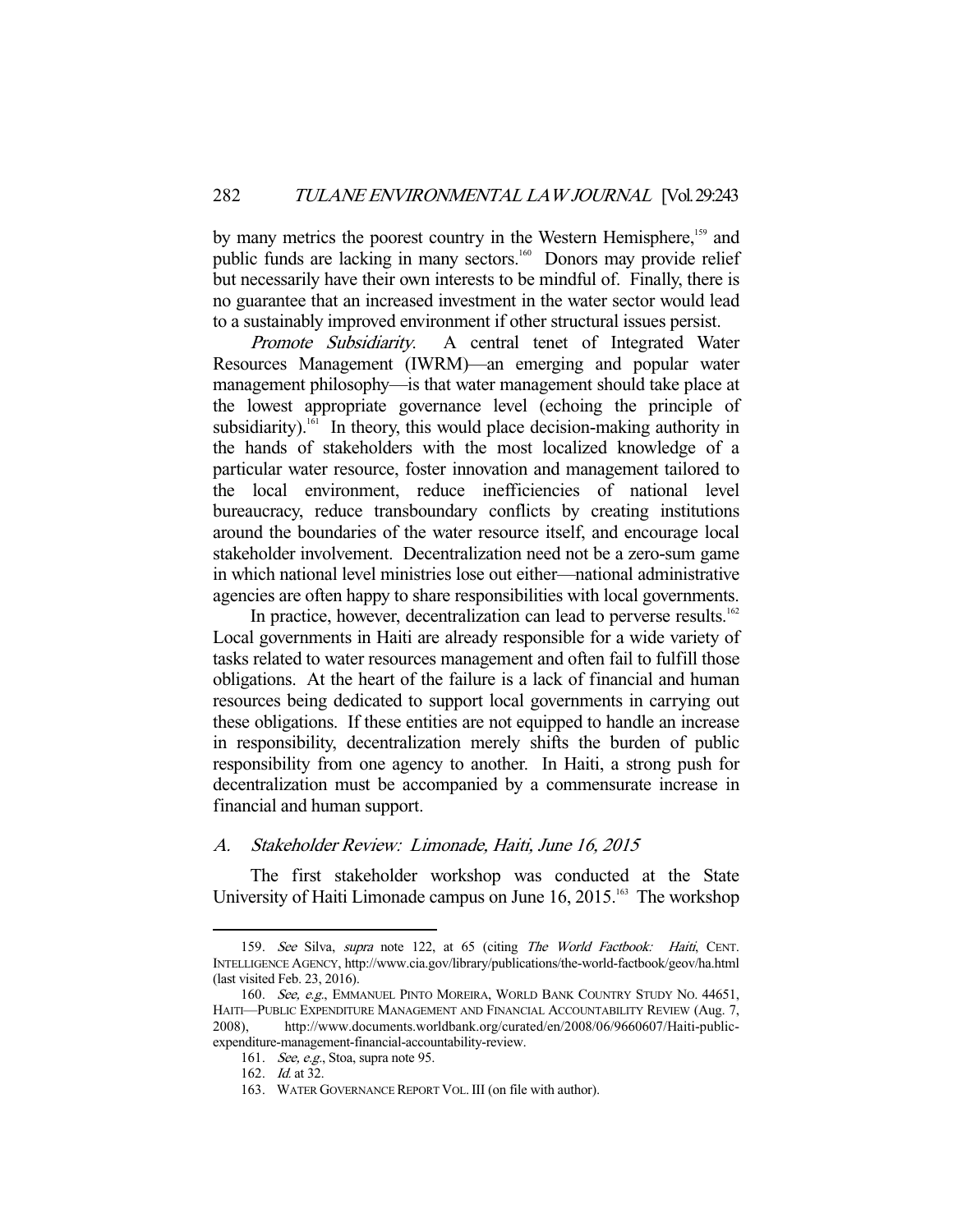by many metrics the poorest country in the Western Hemisphere,<sup>159</sup> and public funds are lacking in many sectors.<sup>160</sup> Donors may provide relief but necessarily have their own interests to be mindful of. Finally, there is no guarantee that an increased investment in the water sector would lead to a sustainably improved environment if other structural issues persist.

Promote Subsidiarity. A central tenet of Integrated Water Resources Management (IWRM)—an emerging and popular water management philosophy—is that water management should take place at the lowest appropriate governance level (echoing the principle of subsidiarity).<sup>161</sup> In theory, this would place decision-making authority in the hands of stakeholders with the most localized knowledge of a particular water resource, foster innovation and management tailored to the local environment, reduce inefficiencies of national level bureaucracy, reduce transboundary conflicts by creating institutions around the boundaries of the water resource itself, and encourage local stakeholder involvement. Decentralization need not be a zero-sum game in which national level ministries lose out either—national administrative agencies are often happy to share responsibilities with local governments.

In practice, however, decentralization can lead to perverse results.<sup>162</sup> Local governments in Haiti are already responsible for a wide variety of tasks related to water resources management and often fail to fulfill those obligations. At the heart of the failure is a lack of financial and human resources being dedicated to support local governments in carrying out these obligations. If these entities are not equipped to handle an increase in responsibility, decentralization merely shifts the burden of public responsibility from one agency to another. In Haiti, a strong push for decentralization must be accompanied by a commensurate increase in financial and human support.

# A. Stakeholder Review: Limonade, Haiti, June 16, 2015

 The first stakeholder workshop was conducted at the State University of Haiti Limonade campus on June  $16, 2015$ .<sup>163</sup> The workshop

<sup>159.</sup> See Silva, supra note 122, at 65 (citing The World Factbook: Haiti, CENT. INTELLIGENCE AGENCY, http://www.cia.gov/library/publications/the-world-factbook/geov/ha.html (last visited Feb. 23, 2016).

<sup>160.</sup> See, e.g., EMMANUEL PINTO MOREIRA, WORLD BANK COUNTRY STUDY NO. 44651, HAITI—PUBLIC EXPENDITURE MANAGEMENT AND FINANCIAL ACCOUNTABILITY REVIEW (Aug. 7, 2008), http://www.documents.worldbank.org/curated/en/2008/06/9660607/Haiti-publicexpenditure-management-financial-accountability-review.

 <sup>161.</sup> See, e.g., Stoa, supra note 95.

<sup>162.</sup> *Id.* at 32.

 <sup>163.</sup> WATER GOVERNANCE REPORT VOL.III (on file with author).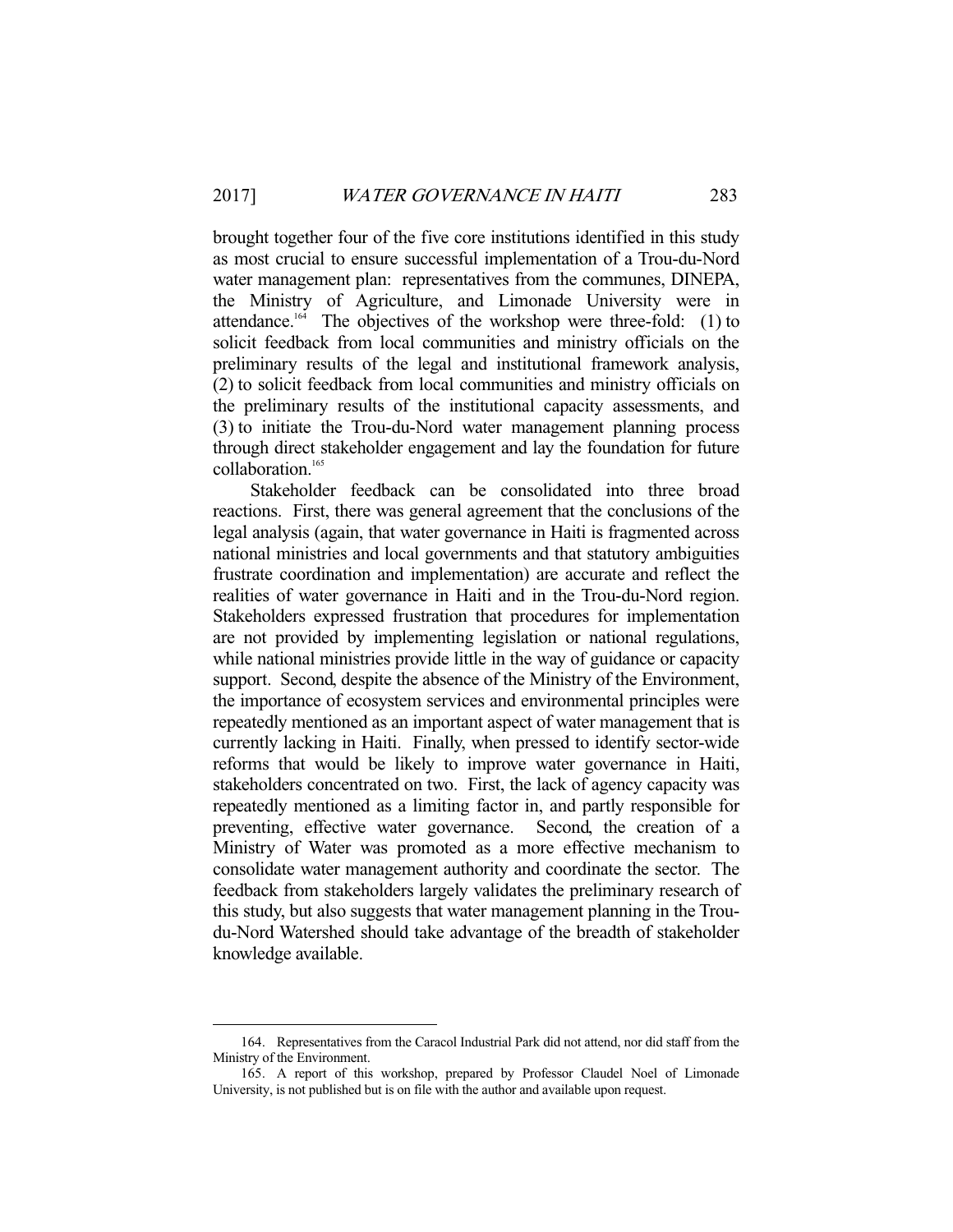brought together four of the five core institutions identified in this study as most crucial to ensure successful implementation of a Trou-du-Nord water management plan: representatives from the communes, DINEPA, the Ministry of Agriculture, and Limonade University were in attendance.<sup>164</sup> The objectives of the workshop were three-fold:  $(1)$  to solicit feedback from local communities and ministry officials on the preliminary results of the legal and institutional framework analysis, (2) to solicit feedback from local communities and ministry officials on the preliminary results of the institutional capacity assessments, and (3) to initiate the Trou-du-Nord water management planning process through direct stakeholder engagement and lay the foundation for future collaboration.165

 Stakeholder feedback can be consolidated into three broad reactions. First, there was general agreement that the conclusions of the legal analysis (again, that water governance in Haiti is fragmented across national ministries and local governments and that statutory ambiguities frustrate coordination and implementation) are accurate and reflect the realities of water governance in Haiti and in the Trou-du-Nord region. Stakeholders expressed frustration that procedures for implementation are not provided by implementing legislation or national regulations, while national ministries provide little in the way of guidance or capacity support. Second, despite the absence of the Ministry of the Environment, the importance of ecosystem services and environmental principles were repeatedly mentioned as an important aspect of water management that is currently lacking in Haiti. Finally, when pressed to identify sector-wide reforms that would be likely to improve water governance in Haiti, stakeholders concentrated on two. First, the lack of agency capacity was repeatedly mentioned as a limiting factor in, and partly responsible for preventing, effective water governance. Second, the creation of a Ministry of Water was promoted as a more effective mechanism to consolidate water management authority and coordinate the sector. The feedback from stakeholders largely validates the preliminary research of this study, but also suggests that water management planning in the Troudu-Nord Watershed should take advantage of the breadth of stakeholder knowledge available.

 <sup>164.</sup> Representatives from the Caracol Industrial Park did not attend, nor did staff from the Ministry of the Environment.

 <sup>165.</sup> A report of this workshop, prepared by Professor Claudel Noel of Limonade University, is not published but is on file with the author and available upon request.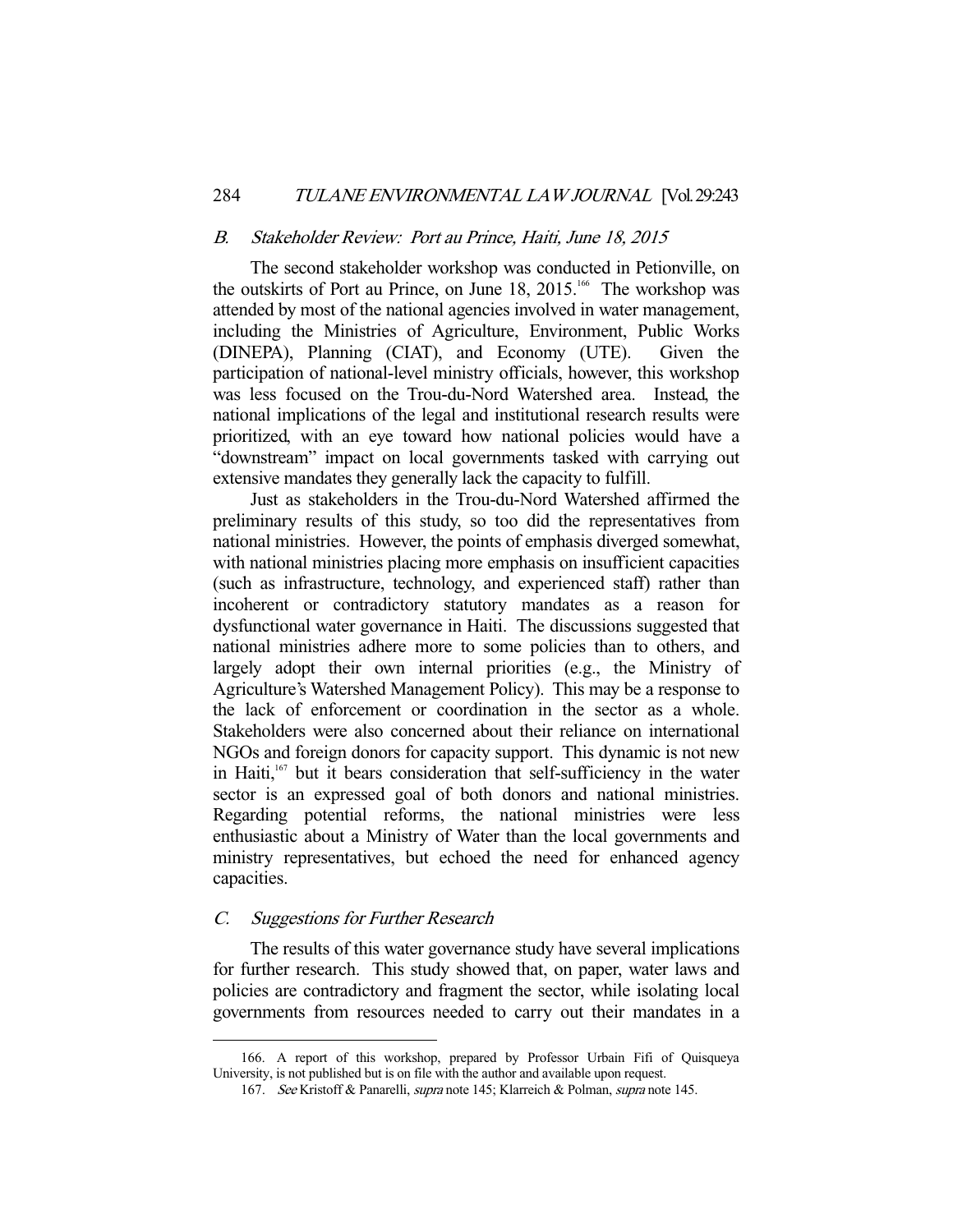#### B. Stakeholder Review: Port au Prince, Haiti, June 18, 2015

 The second stakeholder workshop was conducted in Petionville, on the outskirts of Port au Prince, on June 18, 2015.<sup>166</sup> The workshop was attended by most of the national agencies involved in water management, including the Ministries of Agriculture, Environment, Public Works (DINEPA), Planning (CIAT), and Economy (UTE). Given the participation of national-level ministry officials, however, this workshop was less focused on the Trou-du-Nord Watershed area. Instead, the national implications of the legal and institutional research results were prioritized, with an eye toward how national policies would have a "downstream" impact on local governments tasked with carrying out extensive mandates they generally lack the capacity to fulfill.

 Just as stakeholders in the Trou-du-Nord Watershed affirmed the preliminary results of this study, so too did the representatives from national ministries. However, the points of emphasis diverged somewhat, with national ministries placing more emphasis on insufficient capacities (such as infrastructure, technology, and experienced staff) rather than incoherent or contradictory statutory mandates as a reason for dysfunctional water governance in Haiti. The discussions suggested that national ministries adhere more to some policies than to others, and largely adopt their own internal priorities (e.g., the Ministry of Agriculture's Watershed Management Policy). This may be a response to the lack of enforcement or coordination in the sector as a whole. Stakeholders were also concerned about their reliance on international NGOs and foreign donors for capacity support. This dynamic is not new in Haiti,<sup>167</sup> but it bears consideration that self-sufficiency in the water sector is an expressed goal of both donors and national ministries. Regarding potential reforms, the national ministries were less enthusiastic about a Ministry of Water than the local governments and ministry representatives, but echoed the need for enhanced agency capacities.

# C. Suggestions for Further Research

-

 The results of this water governance study have several implications for further research. This study showed that, on paper, water laws and policies are contradictory and fragment the sector, while isolating local governments from resources needed to carry out their mandates in a

 <sup>166.</sup> A report of this workshop, prepared by Professor Urbain Fifi of Quisqueya University, is not published but is on file with the author and available upon request.

<sup>167.</sup> See Kristoff & Panarelli, *supra* note 145; Klarreich & Polman, *supra* note 145.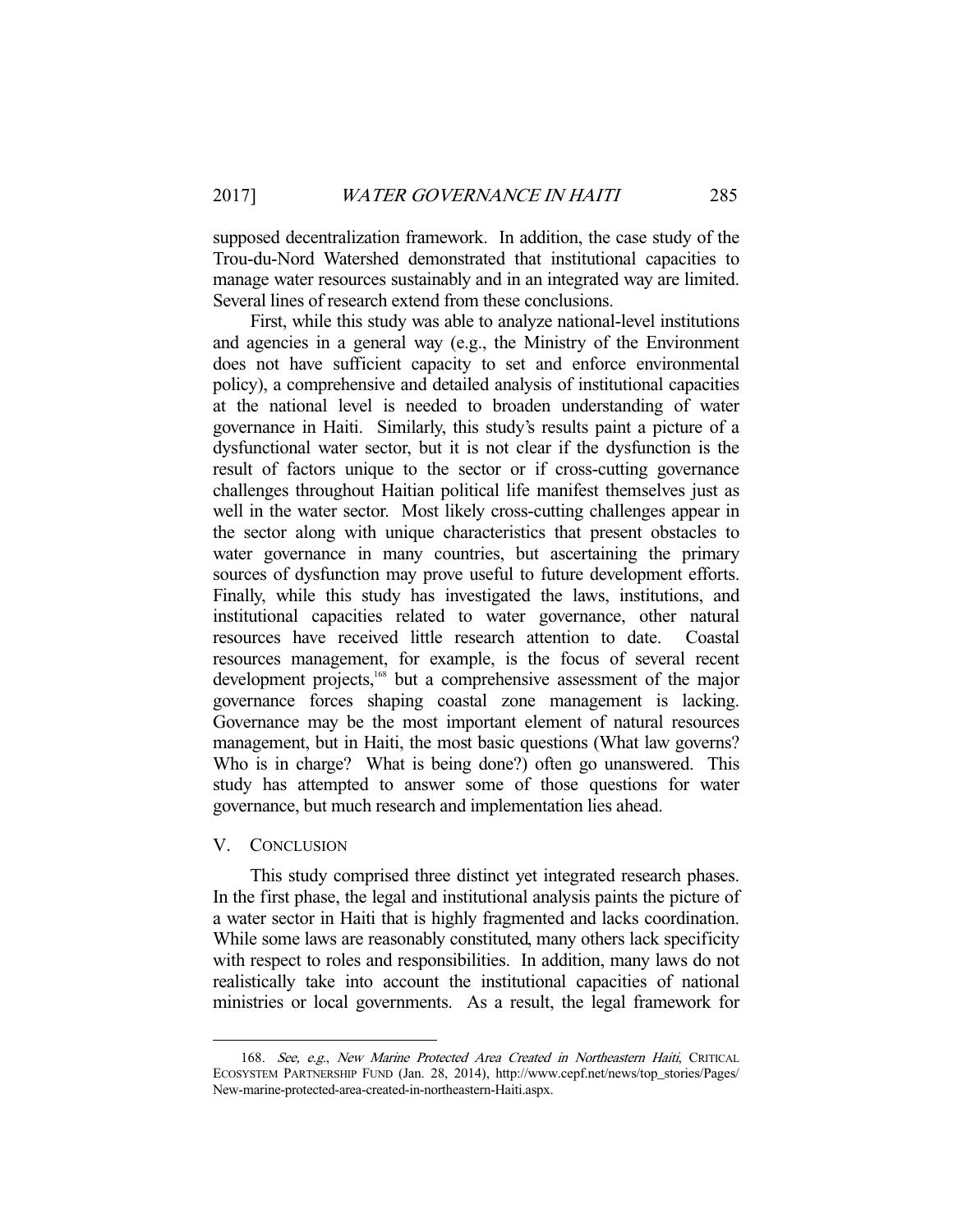supposed decentralization framework. In addition, the case study of the Trou-du-Nord Watershed demonstrated that institutional capacities to manage water resources sustainably and in an integrated way are limited. Several lines of research extend from these conclusions.

 First, while this study was able to analyze national-level institutions and agencies in a general way (e.g., the Ministry of the Environment does not have sufficient capacity to set and enforce environmental policy), a comprehensive and detailed analysis of institutional capacities at the national level is needed to broaden understanding of water governance in Haiti. Similarly, this study's results paint a picture of a dysfunctional water sector, but it is not clear if the dysfunction is the result of factors unique to the sector or if cross-cutting governance challenges throughout Haitian political life manifest themselves just as well in the water sector. Most likely cross-cutting challenges appear in the sector along with unique characteristics that present obstacles to water governance in many countries, but ascertaining the primary sources of dysfunction may prove useful to future development efforts. Finally, while this study has investigated the laws, institutions, and institutional capacities related to water governance, other natural resources have received little research attention to date. Coastal resources management, for example, is the focus of several recent development projects,<sup>168</sup> but a comprehensive assessment of the major governance forces shaping coastal zone management is lacking. Governance may be the most important element of natural resources management, but in Haiti, the most basic questions (What law governs? Who is in charge? What is being done?) often go unanswered. This study has attempted to answer some of those questions for water governance, but much research and implementation lies ahead.

#### V. CONCLUSION

-

 This study comprised three distinct yet integrated research phases. In the first phase, the legal and institutional analysis paints the picture of a water sector in Haiti that is highly fragmented and lacks coordination. While some laws are reasonably constituted, many others lack specificity with respect to roles and responsibilities. In addition, many laws do not realistically take into account the institutional capacities of national ministries or local governments. As a result, the legal framework for

<sup>168.</sup> See, e.g., New Marine Protected Area Created in Northeastern Haiti, CRITICAL ECOSYSTEM PARTNERSHIP FUND (Jan. 28, 2014), http://www.cepf.net/news/top\_stories/Pages/ New-marine-protected-area-created-in-northeastern-Haiti.aspx.